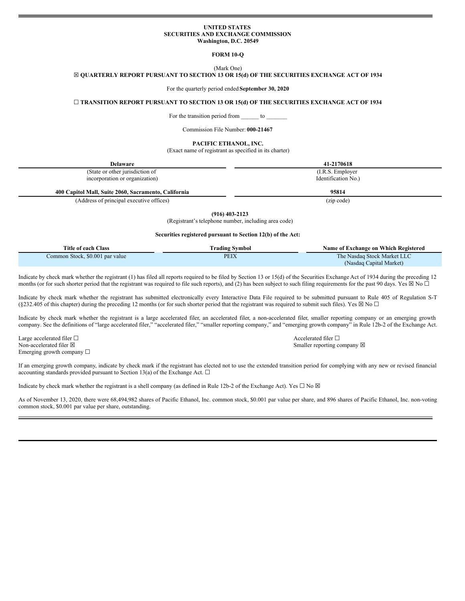#### **UNITED STATES SECURITIES AND EXCHANGE COMMISSION Washington, D.C. 20549**

### **FORM 10-Q**

# (Mark One)

## ☒ **QUARTERLY REPORT PURSUANT TO SECTION 13 OR 15(d) OF THE SECURITIES EXCHANGE ACT OF 1934**

For the quarterly period ended **September 30, 2020**

## ☐ **TRANSITION REPORT PURSUANT TO SECTION 13 OR 15(d) OF THE SECURITIES EXCHANGE ACT OF 1934**

For the transition period from \_\_\_\_\_\_\_ to

Commission File Number: **000-21467**

#### **PACIFIC ETHANOL, INC.**

(Exact name of registrant as specified in its charter)

| <b>Delaware</b>                                      | 41-2170618          |
|------------------------------------------------------|---------------------|
| (State or other jurisdiction of                      | (I.R.S. Employer)   |
| incorporation or organization)                       | Identification No.) |
| 400 Capitol Mall, Suite 2060, Sacramento, California | 95814               |
| (Address of principal executive offices)             | (zip code)          |

**(916) 403-2123**

(Registrant's telephone number, including area code)

## **Securities registered pursuant to Section 12(b) of the Act:**

| <b>Title of each Class</b>      | Frading Svmbol | Name of Exchange on Which Registered |
|---------------------------------|----------------|--------------------------------------|
| Common Stock, \$0.001 par value | <b>PEIX</b>    | The Nasdaq Stock Market LLC          |
|                                 |                | (Nasdaq Capital Market)              |

Indicate by check mark whether the registrant (1) has filed all reports required to be filed by Section 13 or 15(d) of the Securities Exchange Act of 1934 during the preceding 12 months (or for such shorter period that the registrant was required to file such reports), and (2) has been subject to such filing requirements for the past 90 days. Yes  $\boxtimes$  No  $\Box$ 

Indicate by check mark whether the registrant has submitted electronically every Interactive Data File required to be submitted pursuant to Rule 405 of Regulation S-T (§232.405 of this chapter) during the preceding 12 months (or for such shorter period that the registrant was required to submit such files). Yes  $\boxtimes$  No  $\Box$ 

Indicate by check mark whether the registrant is a large accelerated filer, an accelerated filer, a non-accelerated filer, smaller reporting company or an emerging growth company. See the definitions of "large accelerated filer," "accelerated filer," "smaller reporting company," and "emerging growth company" in Rule 12b-2 of the Exchange Act.

Large accelerated filer □<br>
Non-accelerated filer □<br>
Smaller reporting co Emerging growth company ☐

Smaller reporting company  $\boxtimes$ 

If an emerging growth company, indicate by check mark if the registrant has elected not to use the extended transition period for complying with any new or revised financial accounting standards provided pursuant to Section 13(a) of the Exchange Act.  $\square$ 

Indicate by check mark whether the registrant is a shell company (as defined in Rule 12b-2 of the Exchange Act). Yes  $\Box$  No  $\boxtimes$ 

As of November 13, 2020, there were 68,494,982 shares of Pacific Ethanol, Inc. common stock, \$0.001 par value per share, and 896 shares of Pacific Ethanol, Inc. non-voting common stock, \$0.001 par value per share, outstanding.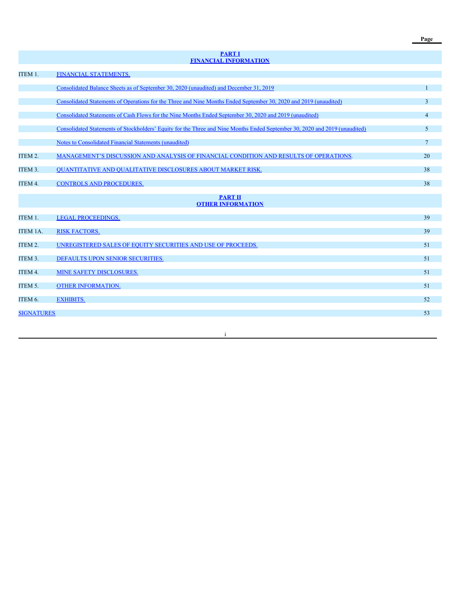|                   | <b>FINANCIAL INFORMATION</b>                                                                                                |                |
|-------------------|-----------------------------------------------------------------------------------------------------------------------------|----------------|
| ITEM 1.           | FINANCIAL STATEMENTS.                                                                                                       |                |
|                   | Consolidated Balance Sheets as of September 30, 2020 (unaudited) and December 31, 2019                                      | $\mathbf{1}$   |
|                   | Consolidated Statements of Operations for the Three and Nine Months Ended September 30, 2020 and 2019 (unaudited)           | $\overline{3}$ |
|                   | Consolidated Statements of Cash Flows for the Nine Months Ended September 30, 2020 and 2019 (unaudited)                     | $\overline{4}$ |
|                   | Consolidated Statements of Stockholders' Equity for the Three and Nine Months Ended September 30, 2020 and 2019 (unaudited) | 5              |
|                   | Notes to Consolidated Financial Statements (unaudited)                                                                      | $\overline{7}$ |
| ITEM 2.           | MANAGEMENT'S DISCUSSION AND ANALYSIS OF FINANCIAL CONDITION AND RESULTS OF OPERATIONS.                                      | 20             |
| ITEM 3.           | <b>QUANTITATIVE AND QUALITATIVE DISCLOSURES ABOUT MARKET RISK.</b>                                                          | 38             |
| ITEM 4.           | <b>CONTROLS AND PROCEDURES.</b>                                                                                             | 38             |
|                   | <b>PART II</b><br><b>OTHER INFORMATION</b>                                                                                  |                |
| ITEM 1.           | <b>LEGAL PROCEEDINGS.</b>                                                                                                   | 39             |
| ITEM 1A.          | <b>RISK FACTORS.</b>                                                                                                        | 39             |
| ITEM 2.           | UNREGISTERED SALES OF EQUITY SECURITIES AND USE OF PROCEEDS.                                                                | 51             |
| ITEM 3.           | DEFAULTS UPON SENIOR SECURITIES.                                                                                            | 51             |
| ITEM 4.           | <b>MINE SAFETY DISCLOSURES.</b>                                                                                             | 51             |
| ITEM 5.           | <b>OTHER INFORMATION.</b>                                                                                                   | 51             |
| ITEM 6.           | <b>EXHIBITS.</b>                                                                                                            | 52             |
| <b>SIGNATURES</b> |                                                                                                                             | 53             |

i

# **[PART](#page-2-0) I**

**Page**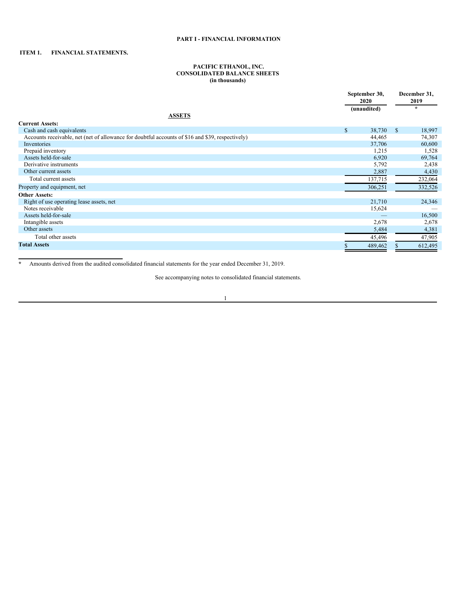# <span id="page-2-0"></span>**PART I - FINANCIAL INFORMATION**

# <span id="page-2-1"></span>**ITEM 1. FINANCIAL STATEMENTS.**

#### <span id="page-2-2"></span>**PACIFIC ETHANOL, INC. CONSOLIDATED BALANCE SHEETS (in thousands)**

|                                                                                                  |    | September 30,<br>2020<br>(unaudited) |              |         |  | December 31,<br>2019 |
|--------------------------------------------------------------------------------------------------|----|--------------------------------------|--------------|---------|--|----------------------|
|                                                                                                  |    |                                      |              | $\star$ |  |                      |
| <b>ASSETS</b>                                                                                    |    |                                      |              |         |  |                      |
| <b>Current Assets:</b>                                                                           |    |                                      |              |         |  |                      |
| Cash and cash equivalents                                                                        | \$ | 38,730                               | $\mathbb{S}$ | 18,997  |  |                      |
| Accounts receivable, net (net of allowance for doubtful accounts of \$16 and \$39, respectively) |    | 44,465                               |              | 74,307  |  |                      |
| Inventories                                                                                      |    | 37,706                               |              | 60,600  |  |                      |
| Prepaid inventory                                                                                |    | 1,215                                |              | 1,528   |  |                      |
| Assets held-for-sale                                                                             |    | 6,920                                |              | 69,764  |  |                      |
| Derivative instruments                                                                           |    | 5,792                                |              | 2,438   |  |                      |
| Other current assets                                                                             |    | 2,887                                |              | 4,430   |  |                      |
| Total current assets                                                                             |    | 137,715                              |              | 232,064 |  |                      |
| Property and equipment, net                                                                      |    | 306,251                              |              | 332,526 |  |                      |
| <b>Other Assets:</b>                                                                             |    |                                      |              |         |  |                      |
| Right of use operating lease assets, net                                                         |    | 21,710                               |              | 24,346  |  |                      |
| Notes receivable                                                                                 |    | 15,624                               |              |         |  |                      |
| Assets held-for-sale                                                                             |    |                                      |              | 16,500  |  |                      |
| Intangible assets                                                                                |    | 2,678                                |              | 2,678   |  |                      |
| Other assets                                                                                     |    | 5,484                                |              | 4,381   |  |                      |
| Total other assets                                                                               |    | 45,496                               |              | 47,905  |  |                      |
| <b>Total Assets</b>                                                                              |    | 489,462                              |              | 612,495 |  |                      |

**\*** Amounts derived from the audited consolidated financial statements for the year ended December 31, 2019.

See accompanying notes to consolidated financial statements.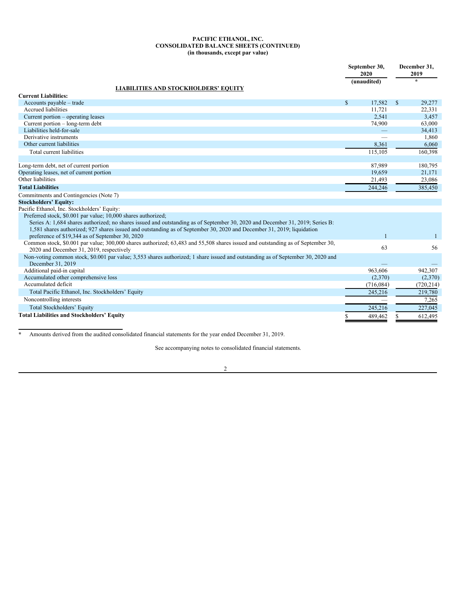## **PACIFIC ETHANOL, INC. CONSOLIDATED BALANCE SHEETS (CONTINUED) (in thousands, except par value)**

|                                                                                                                                  |                        | December 31,<br>2019   |
|----------------------------------------------------------------------------------------------------------------------------------|------------------------|------------------------|
|                                                                                                                                  | (unaudited)            | $\star$                |
| <b>LIABILITIES AND STOCKHOLDERS' EQUITY</b>                                                                                      |                        |                        |
| <b>Current Liabilities:</b>                                                                                                      |                        |                        |
| Accounts payable – trade                                                                                                         | $\mathbb{S}$<br>17,582 | <sup>S</sup><br>29,277 |
| Accrued liabilities                                                                                                              | 11,721                 | 22,331                 |
| Current portion – operating leases                                                                                               | 2,541                  | 3,457                  |
| Current portion – long-term debt                                                                                                 | 74,900                 | 63,000                 |
| Liabilities held-for-sale                                                                                                        |                        | 34,413                 |
| Derivative instruments                                                                                                           |                        | 1,860                  |
| Other current liabilities                                                                                                        | 8,361                  | 6,060                  |
| Total current liabilities                                                                                                        | 115,105                | 160,398                |
|                                                                                                                                  |                        |                        |
| Long-term debt, net of current portion                                                                                           | 87,989                 | 180,795                |
| Operating leases, net of current portion                                                                                         | 19.659                 | 21,171                 |
| Other liabilities                                                                                                                | 21,493                 | 23,086                 |
| <b>Total Liabilities</b>                                                                                                         | 244,246                | 385,450                |
| Commitments and Contingencies (Note 7)                                                                                           |                        |                        |
| <b>Stockholders' Equity:</b>                                                                                                     |                        |                        |
| Pacific Ethanol, Inc. Stockholders' Equity:                                                                                      |                        |                        |
| Preferred stock, \$0.001 par value; 10,000 shares authorized;                                                                    |                        |                        |
| Series A: 1,684 shares authorized; no shares issued and outstanding as of September 30, 2020 and December 31, 2019; Series B:    |                        |                        |
| 1,581 shares authorized; 927 shares issued and outstanding as of September 30, 2020 and December 31, 2019; liquidation           |                        |                        |
| preference of \$19,344 as of September 30, 2020                                                                                  |                        |                        |
| Common stock, \$0.001 par value; 300,000 shares authorized; 63,483 and 55,508 shares issued and outstanding as of September 30,  | 63                     | 56                     |
| 2020 and December 31, 2019, respectively                                                                                         |                        |                        |
| Non-voting common stock, \$0.001 par value; 3,553 shares authorized; 1 share issued and outstanding as of September 30, 2020 and |                        |                        |
| December 31, 2019                                                                                                                |                        |                        |
| Additional paid-in capital<br>Accumulated other comprehensive loss                                                               | 963,606<br>(2,370)     | 942,307                |
| Accumulated deficit                                                                                                              | (716,084)              | (2,370)                |
|                                                                                                                                  |                        | (720, 214)             |
| Total Pacific Ethanol, Inc. Stockholders' Equity                                                                                 | 245,216                | 219,780                |
| Noncontrolling interests                                                                                                         |                        | 7,265                  |
| <b>Total Stockholders' Equity</b>                                                                                                | 245,216                | 227,045                |
| <b>Total Liabilities and Stockholders' Equity</b>                                                                                | 489,462                | 612,495                |

**\*** Amounts derived from the audited consolidated financial statements for the year ended December 31, 2019.

See accompanying notes to consolidated financial statements.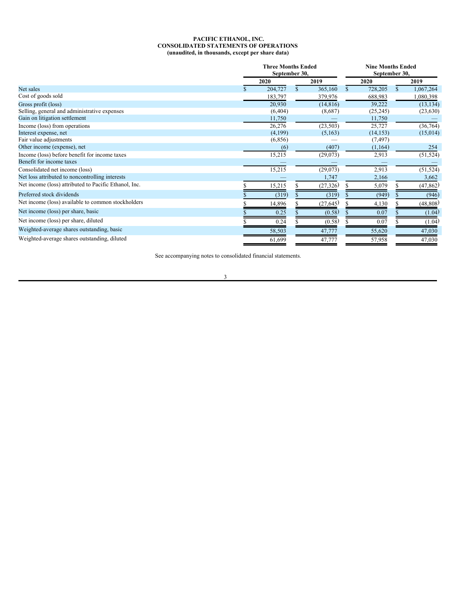#### <span id="page-4-0"></span>**PACIFIC ETHANOL, INC. CONSOLIDATED STATEMENTS OF OPERATIONS (unaudited, in thousands, except per share data)**

|                                                       | <b>Three Months Ended</b><br>September 30, |     |           | <b>Nine Months Ended</b><br>September 30, |           |    |           |
|-------------------------------------------------------|--------------------------------------------|-----|-----------|-------------------------------------------|-----------|----|-----------|
|                                                       | 2020                                       |     | 2019      |                                           | 2020      |    | 2019      |
| Net sales                                             | 204,727                                    | \$. | 365,160   |                                           | 728,205   | S. | 1,067,264 |
| Cost of goods sold                                    | 183,797                                    |     | 379,976   |                                           | 688,983   |    | 1,080,398 |
| Gross profit (loss)                                   | 20,930                                     |     | (14, 816) |                                           | 39,222    |    | (13, 134) |
| Selling, general and administrative expenses          | (6, 404)                                   |     | (8,687)   |                                           | (25, 245) |    | (23, 630) |
| Gain on litigation settlement                         | 11,750                                     |     |           |                                           | 11,750    |    |           |
| Income (loss) from operations                         | 26,276                                     |     | (23, 503) |                                           | 25,727    |    | (36,764)  |
| Interest expense, net                                 | (4,199)                                    |     | (5,163)   |                                           | (14, 153) |    | (15,014)  |
| Fair value adjustments                                | (6, 856)                                   |     |           |                                           | (7, 497)  |    |           |
| Other income (expense), net                           | (6)                                        |     | (407)     |                                           | (1,164)   |    | 254       |
| Income (loss) before benefit for income taxes         | 15,215                                     |     | (29,073)  |                                           | 2,913     |    | (51, 524) |
| Benefit for income taxes                              |                                            |     |           |                                           |           |    |           |
| Consolidated net income (loss)                        | 15,215                                     |     | (29,073)  |                                           | 2,913     |    | (51, 524) |
| Net loss attributed to noncontrolling interests       |                                            |     | 1,747     |                                           | 2,166     |    | 3,662     |
| Net income (loss) attributed to Pacific Ethanol, Inc. | 15,215                                     |     | (27, 326) |                                           | 5,079     |    | (47, 862) |
| Preferred stock dividends                             | (319)                                      |     | (319)     |                                           | (949)     |    | (946)     |
| Net income (loss) available to common stockholders    | 14,896                                     |     | (27, 645) |                                           | 4,130     |    | (48, 808) |
| Net income (loss) per share, basic                    | 0.25                                       |     | (0.58)    |                                           | 0.07      |    | (1.04)    |
| Net income (loss) per share, diluted                  | 0.24                                       |     | (0.58)    |                                           | 0.07      |    | (1.04)    |
| Weighted-average shares outstanding, basic            | 58,503                                     |     | 47,777    |                                           | 55,620    |    | 47,030    |
| Weighted-average shares outstanding, diluted          | 61,699                                     |     | 47,777    |                                           | 57,958    |    | 47,030    |

See accompanying notes to consolidated financial statements.

3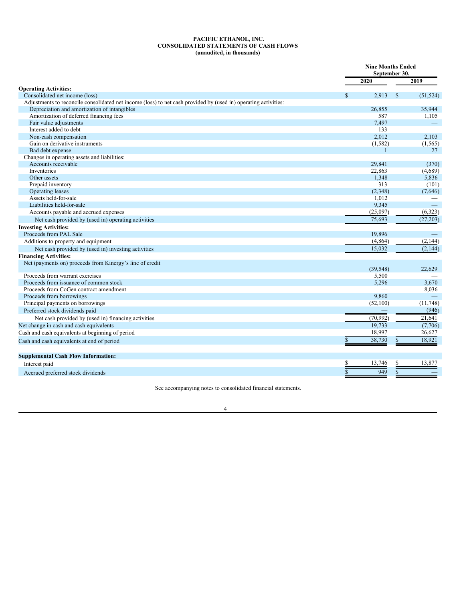## <span id="page-5-0"></span>**PACIFIC ETHANOL, INC. CONSOLIDATED STATEMENTS OF CASH FLOWS (unaudited, in thousands)**

| 2020<br>2019<br><b>Operating Activities:</b><br>Consolidated net income (loss)<br>2.913<br><sup>S</sup><br>(51, 524)<br>S<br>Adjustments to reconcile consolidated net income (loss) to net cash provided by (used in) operating activities:<br>Depreciation and amortization of intangibles<br>35.944<br>26,855<br>Amortization of deferred financing fees<br>587<br>1,105<br>Fair value adjustments<br>7,497<br>Interest added to debt<br>133<br>2.012<br>Non-cash compensation<br>2,103<br>Gain on derivative instruments<br>(1, 582)<br>(1, 565)<br>Bad debt expense<br>27<br>1<br>Changes in operating assets and liabilities:<br>Accounts receivable<br>29,841<br>(370)<br>Inventories<br>22,863<br>1.348<br>Other assets<br>5,836<br>Prepaid inventory<br>313<br>(101)<br>Operating leases<br>(2,348)<br>(7,646)<br>Assets held-for-sale<br>1,012<br>Liabilities held-for-sale<br>9,345<br>(6,323)<br>(25,097)<br>Accounts payable and accrued expenses<br>75,693<br>(27, 203)<br>Net cash provided by (used in) operating activities<br><b>Investing Activities:</b><br>Proceeds from PAL Sale<br>19.896<br>Additions to property and equipment<br>(4,864)<br>(2,144)<br>15,032<br>(2,144)<br>Net cash provided by (used in) investing activities<br><b>Financing Activities:</b><br>Net (payments on) proceeds from Kinergy's line of credit<br>(39, 548)<br>22,629<br>Proceeds from warrant exercises<br>5,500<br>Proceeds from issuance of common stock<br>5,296<br>3,670<br>Proceeds from CoGen contract amendment<br>8,036<br>Proceeds from borrowings<br>9.860<br>Principal payments on borrowings<br>(52,100)<br>(11,748)<br>(946)<br>Preferred stock dividends paid<br>(70,992)<br>21,641<br>Net cash provided by (used in) financing activities<br>19,733<br>Net change in cash and cash equivalents<br>(7,706)<br>18,997<br>26,627<br>Cash and cash equivalents at beginning of period<br>38,730<br>$\mathbb{S}$<br>18,921<br>Cash and cash equivalents at end of period<br><b>Supplemental Cash Flow Information:</b><br>S<br>13,877<br>13,746<br>\$<br>Interest paid |                                   |   | <b>Nine Months Ended</b><br>September 30, |             |  |
|------------------------------------------------------------------------------------------------------------------------------------------------------------------------------------------------------------------------------------------------------------------------------------------------------------------------------------------------------------------------------------------------------------------------------------------------------------------------------------------------------------------------------------------------------------------------------------------------------------------------------------------------------------------------------------------------------------------------------------------------------------------------------------------------------------------------------------------------------------------------------------------------------------------------------------------------------------------------------------------------------------------------------------------------------------------------------------------------------------------------------------------------------------------------------------------------------------------------------------------------------------------------------------------------------------------------------------------------------------------------------------------------------------------------------------------------------------------------------------------------------------------------------------------------------------------------------------------------------------------------------------------------------------------------------------------------------------------------------------------------------------------------------------------------------------------------------------------------------------------------------------------------------------------------------------------------------------------------------------------------------------------------------------------------------------------------------------------|-----------------------------------|---|-------------------------------------------|-------------|--|
|                                                                                                                                                                                                                                                                                                                                                                                                                                                                                                                                                                                                                                                                                                                                                                                                                                                                                                                                                                                                                                                                                                                                                                                                                                                                                                                                                                                                                                                                                                                                                                                                                                                                                                                                                                                                                                                                                                                                                                                                                                                                                          |                                   |   |                                           |             |  |
|                                                                                                                                                                                                                                                                                                                                                                                                                                                                                                                                                                                                                                                                                                                                                                                                                                                                                                                                                                                                                                                                                                                                                                                                                                                                                                                                                                                                                                                                                                                                                                                                                                                                                                                                                                                                                                                                                                                                                                                                                                                                                          |                                   |   |                                           |             |  |
|                                                                                                                                                                                                                                                                                                                                                                                                                                                                                                                                                                                                                                                                                                                                                                                                                                                                                                                                                                                                                                                                                                                                                                                                                                                                                                                                                                                                                                                                                                                                                                                                                                                                                                                                                                                                                                                                                                                                                                                                                                                                                          |                                   |   |                                           |             |  |
|                                                                                                                                                                                                                                                                                                                                                                                                                                                                                                                                                                                                                                                                                                                                                                                                                                                                                                                                                                                                                                                                                                                                                                                                                                                                                                                                                                                                                                                                                                                                                                                                                                                                                                                                                                                                                                                                                                                                                                                                                                                                                          |                                   |   |                                           |             |  |
|                                                                                                                                                                                                                                                                                                                                                                                                                                                                                                                                                                                                                                                                                                                                                                                                                                                                                                                                                                                                                                                                                                                                                                                                                                                                                                                                                                                                                                                                                                                                                                                                                                                                                                                                                                                                                                                                                                                                                                                                                                                                                          |                                   |   |                                           |             |  |
| (4,689)                                                                                                                                                                                                                                                                                                                                                                                                                                                                                                                                                                                                                                                                                                                                                                                                                                                                                                                                                                                                                                                                                                                                                                                                                                                                                                                                                                                                                                                                                                                                                                                                                                                                                                                                                                                                                                                                                                                                                                                                                                                                                  |                                   |   |                                           |             |  |
|                                                                                                                                                                                                                                                                                                                                                                                                                                                                                                                                                                                                                                                                                                                                                                                                                                                                                                                                                                                                                                                                                                                                                                                                                                                                                                                                                                                                                                                                                                                                                                                                                                                                                                                                                                                                                                                                                                                                                                                                                                                                                          |                                   |   |                                           |             |  |
|                                                                                                                                                                                                                                                                                                                                                                                                                                                                                                                                                                                                                                                                                                                                                                                                                                                                                                                                                                                                                                                                                                                                                                                                                                                                                                                                                                                                                                                                                                                                                                                                                                                                                                                                                                                                                                                                                                                                                                                                                                                                                          |                                   |   |                                           |             |  |
|                                                                                                                                                                                                                                                                                                                                                                                                                                                                                                                                                                                                                                                                                                                                                                                                                                                                                                                                                                                                                                                                                                                                                                                                                                                                                                                                                                                                                                                                                                                                                                                                                                                                                                                                                                                                                                                                                                                                                                                                                                                                                          |                                   |   |                                           |             |  |
|                                                                                                                                                                                                                                                                                                                                                                                                                                                                                                                                                                                                                                                                                                                                                                                                                                                                                                                                                                                                                                                                                                                                                                                                                                                                                                                                                                                                                                                                                                                                                                                                                                                                                                                                                                                                                                                                                                                                                                                                                                                                                          |                                   |   |                                           |             |  |
|                                                                                                                                                                                                                                                                                                                                                                                                                                                                                                                                                                                                                                                                                                                                                                                                                                                                                                                                                                                                                                                                                                                                                                                                                                                                                                                                                                                                                                                                                                                                                                                                                                                                                                                                                                                                                                                                                                                                                                                                                                                                                          |                                   |   |                                           |             |  |
|                                                                                                                                                                                                                                                                                                                                                                                                                                                                                                                                                                                                                                                                                                                                                                                                                                                                                                                                                                                                                                                                                                                                                                                                                                                                                                                                                                                                                                                                                                                                                                                                                                                                                                                                                                                                                                                                                                                                                                                                                                                                                          |                                   |   |                                           |             |  |
|                                                                                                                                                                                                                                                                                                                                                                                                                                                                                                                                                                                                                                                                                                                                                                                                                                                                                                                                                                                                                                                                                                                                                                                                                                                                                                                                                                                                                                                                                                                                                                                                                                                                                                                                                                                                                                                                                                                                                                                                                                                                                          |                                   |   |                                           |             |  |
|                                                                                                                                                                                                                                                                                                                                                                                                                                                                                                                                                                                                                                                                                                                                                                                                                                                                                                                                                                                                                                                                                                                                                                                                                                                                                                                                                                                                                                                                                                                                                                                                                                                                                                                                                                                                                                                                                                                                                                                                                                                                                          |                                   |   |                                           |             |  |
|                                                                                                                                                                                                                                                                                                                                                                                                                                                                                                                                                                                                                                                                                                                                                                                                                                                                                                                                                                                                                                                                                                                                                                                                                                                                                                                                                                                                                                                                                                                                                                                                                                                                                                                                                                                                                                                                                                                                                                                                                                                                                          |                                   |   |                                           |             |  |
|                                                                                                                                                                                                                                                                                                                                                                                                                                                                                                                                                                                                                                                                                                                                                                                                                                                                                                                                                                                                                                                                                                                                                                                                                                                                                                                                                                                                                                                                                                                                                                                                                                                                                                                                                                                                                                                                                                                                                                                                                                                                                          |                                   |   |                                           |             |  |
|                                                                                                                                                                                                                                                                                                                                                                                                                                                                                                                                                                                                                                                                                                                                                                                                                                                                                                                                                                                                                                                                                                                                                                                                                                                                                                                                                                                                                                                                                                                                                                                                                                                                                                                                                                                                                                                                                                                                                                                                                                                                                          |                                   |   |                                           |             |  |
|                                                                                                                                                                                                                                                                                                                                                                                                                                                                                                                                                                                                                                                                                                                                                                                                                                                                                                                                                                                                                                                                                                                                                                                                                                                                                                                                                                                                                                                                                                                                                                                                                                                                                                                                                                                                                                                                                                                                                                                                                                                                                          |                                   |   |                                           |             |  |
|                                                                                                                                                                                                                                                                                                                                                                                                                                                                                                                                                                                                                                                                                                                                                                                                                                                                                                                                                                                                                                                                                                                                                                                                                                                                                                                                                                                                                                                                                                                                                                                                                                                                                                                                                                                                                                                                                                                                                                                                                                                                                          |                                   |   |                                           |             |  |
|                                                                                                                                                                                                                                                                                                                                                                                                                                                                                                                                                                                                                                                                                                                                                                                                                                                                                                                                                                                                                                                                                                                                                                                                                                                                                                                                                                                                                                                                                                                                                                                                                                                                                                                                                                                                                                                                                                                                                                                                                                                                                          |                                   |   |                                           |             |  |
|                                                                                                                                                                                                                                                                                                                                                                                                                                                                                                                                                                                                                                                                                                                                                                                                                                                                                                                                                                                                                                                                                                                                                                                                                                                                                                                                                                                                                                                                                                                                                                                                                                                                                                                                                                                                                                                                                                                                                                                                                                                                                          |                                   |   |                                           |             |  |
|                                                                                                                                                                                                                                                                                                                                                                                                                                                                                                                                                                                                                                                                                                                                                                                                                                                                                                                                                                                                                                                                                                                                                                                                                                                                                                                                                                                                                                                                                                                                                                                                                                                                                                                                                                                                                                                                                                                                                                                                                                                                                          |                                   |   |                                           |             |  |
|                                                                                                                                                                                                                                                                                                                                                                                                                                                                                                                                                                                                                                                                                                                                                                                                                                                                                                                                                                                                                                                                                                                                                                                                                                                                                                                                                                                                                                                                                                                                                                                                                                                                                                                                                                                                                                                                                                                                                                                                                                                                                          |                                   |   |                                           |             |  |
|                                                                                                                                                                                                                                                                                                                                                                                                                                                                                                                                                                                                                                                                                                                                                                                                                                                                                                                                                                                                                                                                                                                                                                                                                                                                                                                                                                                                                                                                                                                                                                                                                                                                                                                                                                                                                                                                                                                                                                                                                                                                                          |                                   |   |                                           |             |  |
|                                                                                                                                                                                                                                                                                                                                                                                                                                                                                                                                                                                                                                                                                                                                                                                                                                                                                                                                                                                                                                                                                                                                                                                                                                                                                                                                                                                                                                                                                                                                                                                                                                                                                                                                                                                                                                                                                                                                                                                                                                                                                          |                                   |   |                                           |             |  |
|                                                                                                                                                                                                                                                                                                                                                                                                                                                                                                                                                                                                                                                                                                                                                                                                                                                                                                                                                                                                                                                                                                                                                                                                                                                                                                                                                                                                                                                                                                                                                                                                                                                                                                                                                                                                                                                                                                                                                                                                                                                                                          |                                   |   |                                           |             |  |
|                                                                                                                                                                                                                                                                                                                                                                                                                                                                                                                                                                                                                                                                                                                                                                                                                                                                                                                                                                                                                                                                                                                                                                                                                                                                                                                                                                                                                                                                                                                                                                                                                                                                                                                                                                                                                                                                                                                                                                                                                                                                                          |                                   |   |                                           |             |  |
|                                                                                                                                                                                                                                                                                                                                                                                                                                                                                                                                                                                                                                                                                                                                                                                                                                                                                                                                                                                                                                                                                                                                                                                                                                                                                                                                                                                                                                                                                                                                                                                                                                                                                                                                                                                                                                                                                                                                                                                                                                                                                          |                                   |   |                                           |             |  |
|                                                                                                                                                                                                                                                                                                                                                                                                                                                                                                                                                                                                                                                                                                                                                                                                                                                                                                                                                                                                                                                                                                                                                                                                                                                                                                                                                                                                                                                                                                                                                                                                                                                                                                                                                                                                                                                                                                                                                                                                                                                                                          |                                   |   |                                           |             |  |
|                                                                                                                                                                                                                                                                                                                                                                                                                                                                                                                                                                                                                                                                                                                                                                                                                                                                                                                                                                                                                                                                                                                                                                                                                                                                                                                                                                                                                                                                                                                                                                                                                                                                                                                                                                                                                                                                                                                                                                                                                                                                                          |                                   |   |                                           |             |  |
|                                                                                                                                                                                                                                                                                                                                                                                                                                                                                                                                                                                                                                                                                                                                                                                                                                                                                                                                                                                                                                                                                                                                                                                                                                                                                                                                                                                                                                                                                                                                                                                                                                                                                                                                                                                                                                                                                                                                                                                                                                                                                          |                                   |   |                                           |             |  |
|                                                                                                                                                                                                                                                                                                                                                                                                                                                                                                                                                                                                                                                                                                                                                                                                                                                                                                                                                                                                                                                                                                                                                                                                                                                                                                                                                                                                                                                                                                                                                                                                                                                                                                                                                                                                                                                                                                                                                                                                                                                                                          |                                   |   |                                           |             |  |
|                                                                                                                                                                                                                                                                                                                                                                                                                                                                                                                                                                                                                                                                                                                                                                                                                                                                                                                                                                                                                                                                                                                                                                                                                                                                                                                                                                                                                                                                                                                                                                                                                                                                                                                                                                                                                                                                                                                                                                                                                                                                                          |                                   |   |                                           |             |  |
|                                                                                                                                                                                                                                                                                                                                                                                                                                                                                                                                                                                                                                                                                                                                                                                                                                                                                                                                                                                                                                                                                                                                                                                                                                                                                                                                                                                                                                                                                                                                                                                                                                                                                                                                                                                                                                                                                                                                                                                                                                                                                          |                                   |   |                                           |             |  |
|                                                                                                                                                                                                                                                                                                                                                                                                                                                                                                                                                                                                                                                                                                                                                                                                                                                                                                                                                                                                                                                                                                                                                                                                                                                                                                                                                                                                                                                                                                                                                                                                                                                                                                                                                                                                                                                                                                                                                                                                                                                                                          |                                   |   |                                           |             |  |
|                                                                                                                                                                                                                                                                                                                                                                                                                                                                                                                                                                                                                                                                                                                                                                                                                                                                                                                                                                                                                                                                                                                                                                                                                                                                                                                                                                                                                                                                                                                                                                                                                                                                                                                                                                                                                                                                                                                                                                                                                                                                                          |                                   |   |                                           |             |  |
|                                                                                                                                                                                                                                                                                                                                                                                                                                                                                                                                                                                                                                                                                                                                                                                                                                                                                                                                                                                                                                                                                                                                                                                                                                                                                                                                                                                                                                                                                                                                                                                                                                                                                                                                                                                                                                                                                                                                                                                                                                                                                          |                                   |   |                                           |             |  |
|                                                                                                                                                                                                                                                                                                                                                                                                                                                                                                                                                                                                                                                                                                                                                                                                                                                                                                                                                                                                                                                                                                                                                                                                                                                                                                                                                                                                                                                                                                                                                                                                                                                                                                                                                                                                                                                                                                                                                                                                                                                                                          |                                   |   |                                           |             |  |
|                                                                                                                                                                                                                                                                                                                                                                                                                                                                                                                                                                                                                                                                                                                                                                                                                                                                                                                                                                                                                                                                                                                                                                                                                                                                                                                                                                                                                                                                                                                                                                                                                                                                                                                                                                                                                                                                                                                                                                                                                                                                                          |                                   |   |                                           |             |  |
|                                                                                                                                                                                                                                                                                                                                                                                                                                                                                                                                                                                                                                                                                                                                                                                                                                                                                                                                                                                                                                                                                                                                                                                                                                                                                                                                                                                                                                                                                                                                                                                                                                                                                                                                                                                                                                                                                                                                                                                                                                                                                          |                                   |   |                                           |             |  |
|                                                                                                                                                                                                                                                                                                                                                                                                                                                                                                                                                                                                                                                                                                                                                                                                                                                                                                                                                                                                                                                                                                                                                                                                                                                                                                                                                                                                                                                                                                                                                                                                                                                                                                                                                                                                                                                                                                                                                                                                                                                                                          | Accrued preferred stock dividends | S | 949                                       | $\mathbf S$ |  |

See accompanying notes to consolidated financial statements.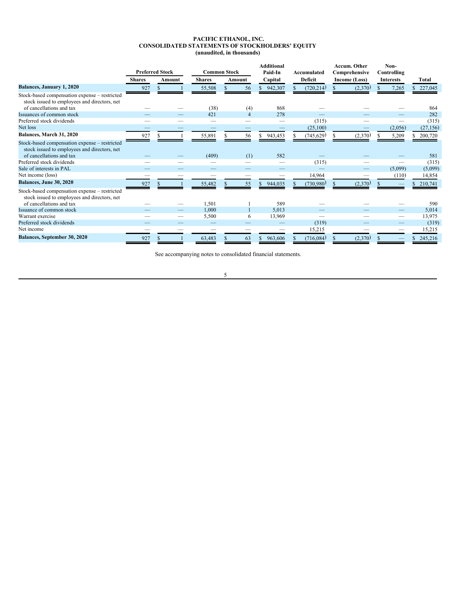#### <span id="page-6-0"></span>**PACIFIC ETHANOL, INC. CONSOLIDATED STATEMENTS OF STOCKHOLDERS' EQUITY (unaudited, in thousands)**

|                                                                                                                           |               | <b>Preferred Stock</b> |               | <b>Common Stock</b> | <b>Additional</b><br>Paid-In | Accumulated    | <b>Accum. Other</b><br>Comprehensive | Non-<br>Controlling |           |
|---------------------------------------------------------------------------------------------------------------------------|---------------|------------------------|---------------|---------------------|------------------------------|----------------|--------------------------------------|---------------------|-----------|
|                                                                                                                           | <b>Shares</b> | Amount                 | <b>Shares</b> | Amount              | Capital                      | <b>Deficit</b> | Income (Loss)                        | <b>Interests</b>    | Total     |
| Balances, January 1, 2020                                                                                                 | 927           |                        | 55,508        | 56                  | 942,307<br>S.                | (720, 214)     | (2,370)                              | 7,265               | 227,045   |
| Stock-based compensation expense – restricted<br>stock issued to employees and directors, net                             |               |                        |               |                     |                              |                |                                      |                     |           |
| of cancellations and tax                                                                                                  |               |                        | (38)          | (4)                 | 868                          |                |                                      |                     | 864       |
| Issuances of common stock                                                                                                 |               |                        | 421           | $\overline{4}$      | 278                          |                |                                      |                     | 282       |
| Preferred stock dividends                                                                                                 |               |                        |               |                     |                              | (315)          |                                      |                     | (315)     |
| Net loss                                                                                                                  |               |                        |               |                     |                              | (25,100)       |                                      | (2,056)             | (27, 156) |
| Balances, March 31, 2020                                                                                                  | 927           | S                      | 55,891        | 56                  | 943,453<br>S.                | (745, 629)     | (2,370)                              | 5,209               | 200,720   |
| Stock-based compensation expense – restricted<br>stock issued to employees and directors, net<br>of cancellations and tax |               |                        | (409)         | (1)                 | 582                          |                |                                      |                     | 581       |
| Preferred stock dividends                                                                                                 |               |                        |               |                     |                              | (315)          |                                      |                     | (315)     |
| Sale of interests in PAL                                                                                                  |               |                        |               |                     |                              |                |                                      | (5,099)             | (5,099)   |
| Net income (loss)                                                                                                         |               |                        |               |                     |                              | 14,964         |                                      | (110)               | 14,854    |
| Balances, June 30, 2020                                                                                                   | 927           |                        | 55,482        | 55                  | 944,035                      | (730,980)      | (2,370)                              |                     | 210,741   |
| Stock-based compensation expense – restricted<br>stock issued to employees and directors, net                             |               |                        |               |                     |                              |                |                                      |                     |           |
| of cancellations and tax                                                                                                  |               |                        | 1,501         |                     | 589                          |                |                                      |                     | 590       |
| Issuance of common stock                                                                                                  |               |                        | 1,000         |                     | 5.013                        |                |                                      |                     | 5,014     |
| Warrant exercise                                                                                                          |               |                        | 5,500         | 6                   | 13,969                       |                |                                      | $\qquad \qquad$     | 13,975    |
| Preferred stock dividends                                                                                                 |               |                        |               |                     |                              | (319)          |                                      |                     | (319)     |
| Net income                                                                                                                |               |                        |               |                     |                              | 15,215         |                                      |                     | 15,215    |
| Balances, September 30, 2020                                                                                              | 927           |                        | 63,483        | 63                  | 963,606                      | (716,084)      | (2,370)                              |                     | 245,216   |

See accompanying notes to consolidated financial statements.

5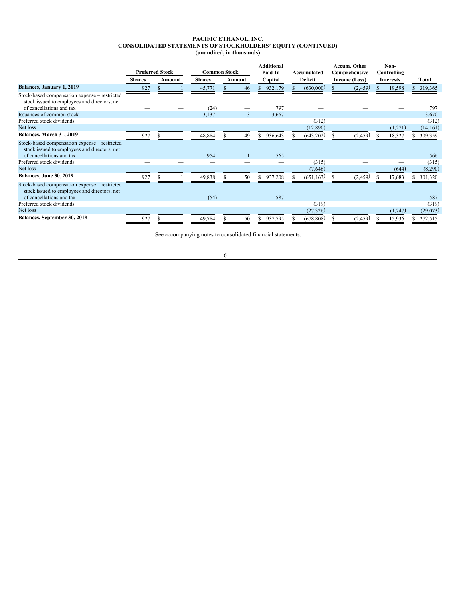#### **PACIFIC ETHANOL, INC. CONSOLIDATED STATEMENTS OF STOCKHOLDERS' EQUITY (CONTINUED) (unaudited, in thousands)**

|                                                                                               |               | <b>Preferred Stock</b> |               | <b>Common Stock</b> | <b>Additional</b><br>Paid-In | Accumulated | Accum. Other<br>Comprehensive | Non-<br>Controlling |           |
|-----------------------------------------------------------------------------------------------|---------------|------------------------|---------------|---------------------|------------------------------|-------------|-------------------------------|---------------------|-----------|
|                                                                                               | <b>Shares</b> | Amount                 | <b>Shares</b> | Amount              | Capital                      | Deficit     | Income (Loss)                 | <b>Interests</b>    | Total     |
| Balances, January 1, 2019                                                                     | 927           |                        | 45,771        | 46                  | 932,179<br>S.                | (630,000)   | (2, 459)                      | 19,598              | 319,365   |
| Stock-based compensation expense – restricted<br>stock issued to employees and directors, net |               |                        |               |                     |                              |             |                               |                     |           |
| of cancellations and tax                                                                      |               |                        | (24)          |                     | 797                          |             |                               |                     | 797       |
| Issuances of common stock                                                                     |               |                        | 3,137         | 3                   | 3,667                        |             |                               |                     | 3,670     |
| Preferred stock dividends                                                                     |               |                        |               |                     |                              | (312)       |                               |                     | (312)     |
| Net loss                                                                                      |               |                        |               |                     |                              | (12,890)    |                               | (1,271)             | (14, 161) |
| Balances, March 31, 2019                                                                      | 927           |                        | 48,884        | 49                  | \$936,643                    | (643,202)   | (2,459)                       | 18,327              | 309,359   |
| Stock-based compensation expense - restricted<br>stock issued to employees and directors, net |               |                        |               |                     |                              |             |                               |                     |           |
| of cancellations and tax                                                                      |               |                        | 954           |                     | 565                          |             |                               |                     | 566       |
| Preferred stock dividends                                                                     |               |                        |               |                     |                              | (315)       |                               |                     | (315)     |
| Net loss                                                                                      |               |                        |               |                     |                              | (7,646)     |                               | (644)               | (8,290)   |
| Balances, June 30, 2019                                                                       | 927           |                        | 49,838        | 50                  | 937,208                      | (651, 163)  | (2, 459)                      | 17,683              | 301,320   |
| Stock-based compensation expense – restricted<br>stock issued to employees and directors, net |               |                        |               |                     |                              |             |                               |                     |           |
| of cancellations and tax                                                                      |               |                        | (54)          |                     | 587                          |             |                               |                     | 587       |
| Preferred stock dividends                                                                     |               |                        |               |                     |                              | (319)       |                               |                     | (319)     |
| Net loss                                                                                      |               |                        |               |                     |                              | (27, 326)   |                               | (1,747)             | (29,073)  |
| Balances, September 30, 2019                                                                  | 927           |                        | 49,784        | 50                  | 937,795                      | (678, 808)  | (2, 459)                      | 15,936              | 272,515   |

See accompanying notes to consolidated financial statements.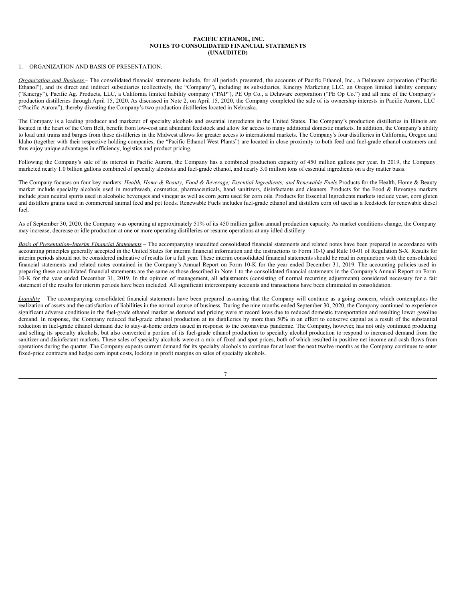#### <span id="page-8-0"></span>**PACIFIC ETHANOL, INC. NOTES TO CONSOLIDATED FINANCIAL STATEMENTS (UNAUDITED)**

## 1. ORGANIZATION AND BASIS OF PRESENTATION.

*Organization and Business* – The consolidated financial statements include, for all periods presented, the accounts of Pacific Ethanol, Inc., a Delaware corporation ("Pacific Ethanol"), and its direct and indirect subsidiaries (collectively, the "Company"), including its subsidiaries, Kinergy Marketing LLC, an Oregon limited liability company ("Kinergy"), Pacific Ag. Products, LLC, a California limited liability company ("PAP"), PE Op Co., a Delaware corporation ("PE Op Co.") and all nine of the Company's production distilleries through April 15, 2020. As discussed in Note 2, on April 15, 2020, the Company completed the sale of its ownership interests in Pacific Aurora, LLC ("Pacific Aurora"), thereby divesting the Company's two production distilleries located in Nebraska.

The Company is a leading producer and marketer of specialty alcohols and essential ingredients in the United States. The Company's production distilleries in Illinois are located in the heart of the Corn Belt, benefit from low-cost and abundant feedstock and allow for access to many additional domestic markets. In addition, the Company's ability to load unit trains and barges from these distilleries in the Midwest allows for greater access to international markets. The Company's four distilleries in California, Oregon and Idaho (together with their respective holding companies, the "Pacific Ethanol West Plants") are located in close proximity to both feed and fuel-grade ethanol customers and thus enjoy unique advantages in efficiency, logistics and product pricing.

Following the Company's sale of its interest in Pacific Aurora, the Company has a combined production capacity of 450 million gallons per year. In 2019, the Company marketed nearly 1.0 billion gallons combined of specialty alcohols and fuel-grade ethanol, and nearly 3.0 million tons of essential ingredients on a dry matter basis.

The Company focuses on four key markets: Health, Home & Beauty; Food & Beverage; Essential Ingredients; and Renewable Fuels Products for the Health, Home & Beauty market include specialty alcohols used in mouthwash, cosmetics, pharmaceuticals, hand sanitizers, disinfectants and cleaners. Products for the Food & Beverage markets include grain neutral spirits used in alcoholic beverages and vinegar as well as corn germ used for corn oils. Products for Essential Ingredients markets include yeast, corn gluten and distillers grains used in commercial animal feed and pet foods. Renewable Fuels includes fuel-grade ethanol and distillers corn oil used as a feedstock for renewable diesel fuel.

As of September 30, 2020, the Company was operating at approximately 51% of its 450 million gallon annual production capacity. As market conditions change, the Company may increase, decrease or idle production at one or more operating distilleries or resume operations at any idled distillery.

*Basis of Presentation*–*Interim Financial Statements* – The accompanying unaudited consolidated financial statements and related notes have been prepared in accordance with accounting principles generally accepted in the United States for interim financial information and the instructions to Form 10-Q and Rule 10-01 of Regulation S-X. Results for interim periods should not be considered indicative of results for a full year. These interim consolidated financial statements should be read in conjunction with the consolidated financial statements and related notes contained in the Company's Annual Report on Form 10-K for the year ended December 31, 2019. The accounting policies used in preparing these consolidated financial statements are the same as those described in Note 1 to the consolidated financial statements in the Company's Annual Report on Form 10-K for the year ended December 31, 2019. In the opinion of management, all adjustments (consisting of normal recurring adjustments) considered necessary for a fair statement of the results for interim periods have been included. All significant intercompany accounts and transactions have been eliminated in consolidation.

*Liquidity* – The accompanying consolidated financial statements have been prepared assuming that the Company will continue as a going concern, which contemplates the realization of assets and the satisfaction of liabilities in the normal course of business. During the nine months ended September 30, 2020, the Company continued to experience significant adverse conditions in the fuel-grade ethanol market as demand and pricing were at record lows due to reduced domestic transportation and resulting lower gasoline demand. In response, the Company reduced fuel-grade ethanol production at its distilleries by more than 50% in an effort to conserve capital as a result of the substantial reduction in fuel-grade ethanol demand due to stay-at-home orders issued in response to the coronavirus pandemic. The Company, however, has not only continued producing and selling its specialty alcohols, but also converted a portion of its fuel-grade ethanol production to specialty alcohol production to respond to increased demand from the sanitizer and disinfectant markets. These sales of specialty alcohols were at a mix of fixed and spot prices, both of which resulted in positive net income and cash flows from operations during the quarter. The Company expects current demand for its specialty alcohols to continue for at least the next twelve months as the Company continues to enter fixed-price contracts and hedge corn input costs, locking in profit margins on sales of specialty alcohols.

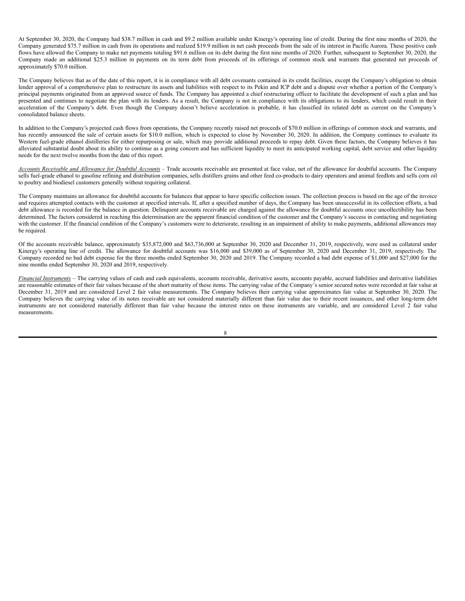At September 30, 2020, the Company had \$38.7 million in cash and \$9.2 million available under Kinergy's operating line of credit. During the first nine months of 2020, the Company generated \$75.7 million in cash from its operations and realized \$19.9 million in net cash proceeds from the sale of its interest in Pacific Aurora. These positive cash flows have allowed the Company to make net payments totaling \$91.6 million on its debt during the first nine months of 2020. Further, subsequent to September 30, 2020, the Company made an additional \$25.3 million in payments on its term debt from proceeds of its offerings of common stock and warrants that generated net proceeds of approximately \$70.0 million.

The Company believes that as of the date of this report, it is in compliance with all debt covenants contained in its credit facilities, except the Company's obligation to obtain lender approval of a comprehensive plan to restructure its assets and liabilities with respect to its Pekin and ICP debt and a dispute over whether a portion of the Company's principal payments originated from an approved source of funds. The Company has appointed a chief restructuring officer to facilitate the development of such a plan and has presented and continues to negotiate the plan with its lenders. As a result, the Company is not in compliance with its obligations to its lenders, which could result in their acceleration of the Company's debt. Even though the Company doesn't believe acceleration is probable, it has classified its related debt as current on the Company's consolidated balance sheets.

In addition to the Company's projected cash flows from operations, the Company recently raised net proceeds of \$70.0 million in offerings of common stock and warrants, and has recently announced the sale of certain assets for \$10.0 million, which is expected to close by November 30, 2020. In addition, the Company continues to evaluate its Western fuel-grade ethanol distilleries for either repurposing or sale, which may provide additional proceeds to repay debt. Given these factors, the Company believes it has alleviated substantial doubt about its ability to continue as a going concern and has sufficient liquidity to meet its anticipated working capital, debt service and other liquidity needs for the next twelve months from the date of this report.

*Accounts Receivable and Allowance for Doubtful Accounts* – Trade accounts receivable are presented at face value, net of the allowance for doubtful accounts. The Company sells fuel-grade ethanol to gasoline refining and distribution companies, sells distillers grains and other feed co-products to dairy operators and animal feedlots and sells corn oil to poultry and biodiesel customers generally without requiring collateral.

The Company maintains an allowance for doubtful accounts for balances that appear to have specific collection issues. The collection process is based on the age of the invoice and requires attempted contacts with the customer at specified intervals. If, after a specified number of days, the Company has been unsuccessful in its collection efforts, a bad debt allowance is recorded for the balance in question. Delinquent accounts receivable are charged against the allowance for doubtful accounts once uncollectibility has been determined. The factors considered in reaching this determination are the apparent financial condition of the customer and the Company's success in contacting and negotiating with the customer. If the financial condition of the Company's customers were to deteriorate, resulting in an impairment of ability to make payments, additional allowances may be required.

Of the accounts receivable balance, approximately \$35,872,000 and \$63,736,000 at September 30, 2020 and December 31, 2019, respectively, were used as collateral under Kinergy's operating line of credit. The allowance for doubtful accounts was \$16,000 and \$39,000 as of September 30, 2020 and December 31, 2019, respectively. The Company recorded no bad debt expense for the three months ended September 30, 2020 and 2019. The Company recorded a bad debt expense of \$1,000 and \$27,000 for the nine months ended September 30, 2020 and 2019, respectively.

*Financial Instruments* – The carrying values of cash and cash equivalents, accounts receivable, derivative assets, accounts payable, accrued liabilities and derivative liabilities are reasonable estimates of their fair values because of the short maturity of these items. The carrying value of the Company's senior secured notes were recorded at fair value at December 31, 2019 and are considered Level 2 fair value measurements. The Company believes their carrying value approximates fair value at September 30, 2020. The Company believes the carrying value of its notes receivable are not considered materially different than fair value due to their recent issuances, and other long-term debt instruments are not considered materially different than fair value because the interest rates on these instruments are variable, and are considered Level 2 fair value measurements.

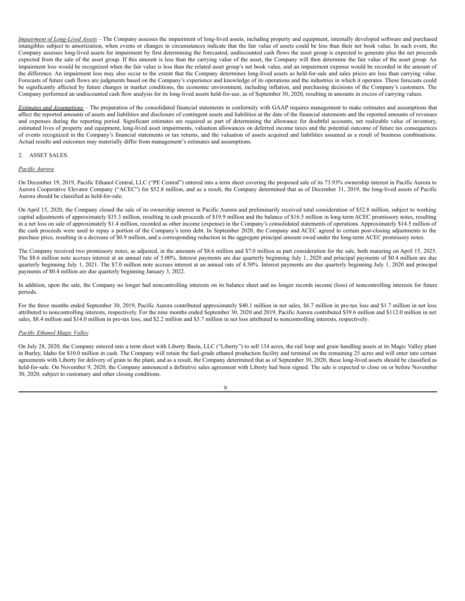*Impairment of Long-Lived Assets* – The Company assesses the impairment of long-lived assets, including property and equipment, internally developed software and purchased intangibles subject to amortization, when events or changes in circumstances indicate that the fair value of assets could be less than their net book value. In such event, the Company assesses long-lived assets for impairment by first determining the forecasted, undiscounted cash flows the asset group is expected to generate plus the net proceeds expected from the sale of the asset group. If this amount is less than the carrying value of the asset, the Company will then determine the fair value of the asset group. An impairment loss would be recognized when the fair value is less than the related asset group's net book value, and an impairment expense would be recorded in the amount of the difference. An impairment loss may also occur to the extent that the Company determines long-lived assets as held-for-sale and sales prices are less than carrying value. Forecasts of future cash flows are judgments based on the Company's experience and knowledge of its operations and the industries in which it operates. These forecasts could be significantly affected by future changes in market conditions, the economic environment, including inflation, and purchasing decisions of the Company's customers. The Company performed an undiscounted cash flow analysis for its long-lived assets held-for-use, as of September 30, 2020, resulting in amounts in excess of carrying values.

*Estimates and Assumptions* – The preparation of the consolidated financial statements in conformity with GAAP requires management to make estimates and assumptions that affect the reported amounts of assets and liabilities and disclosure of contingent assets and liabilities at the date of the financial statements and the reported amounts of revenues and expenses during the reporting period. Significant estimates are required as part of determining the allowance for doubtful accounts, net realizable value of inventory, estimated lives of property and equipment, long-lived asset impairments, valuation allowances on deferred income taxes and the potential outcome of future tax consequences of events recognized in the Company's financial statements or tax returns, and the valuation of assets acquired and liabilities assumed as a result of business combinations. Actual results and outcomes may materially differ from management's estimates and assumptions.

## 2. ASSET SALES.

## *Pacific Aurora*

On December 19, 2019, Pacific Ethanol Central, LLC ("PE Central") entered into a term sheet covering the proposed sale of its 73.93% ownership interest in Pacific Aurora to Aurora Cooperative Elevator Company ("ACEC") for \$52.8 million, and as a result, the Company determined that as of December 31, 2019, the long-lived assets of Pacific Aurora should be classified as held-for-sale.

On April 15, 2020, the Company closed the sale of its ownership interest in Pacific Aurora and preliminarily received total consideration of \$52.8 million, subject to working capital adjustments of approximately \$35.3 million, resulting in cash proceeds of \$19.9 million and the balance of \$16.5 million in long-term ACEC promissory notes, resulting in a net loss on sale of approximately \$1.4 million, recorded as other income (expense) in the Company's consolidated statements of operations. Approximately \$14.5 million of the cash proceeds were used to repay a portion of the Company's term debt. In September 2020, the Company and ACEC agreed to certain post-closing adjustments to the purchase price, resulting in a decrease of \$0.9 million, and a corresponding reduction in the aggregate principal amount owed under the long-term ACEC promissory notes.

The Company received two promissory notes, as adjusted, in the amounts of \$8.6 million and \$7.0 million as part consideration for the sale, both maturing on April 15, 2025. The \$8.6 million note accrues interest at an annual rate of 5.00%. Interest payments are due quarterly beginning July 1, 2020 and principal payments of \$0.4 million are due quarterly beginning July 1, 2021. The \$7.0 million note accrues interest at an annual rate of 4.50%. Interest payments are due quarterly beginning July 1, 2020 and principal payments of \$0.4 million are due quarterly beginning January 3, 2022.

In addition, upon the sale, the Company no longer had noncontrolling interests on its balance sheet and no longer records income (loss) of noncontrolling interests for future periods.

For the three months ended September 30, 2019, Pacific Aurora contributed approximately \$40.1 million in net sales, \$6.7 million in pre-tax loss and \$1.7 million in net loss attributed to noncontrolling interests, respectively. For the nine months ended September 30, 2020 and 2019, Pacific Aurora contributed \$39.6 million and \$112.0 million in net sales, \$8.4 million and \$14.0 million in pre-tax loss, and \$2.2 million and \$3.7 million in net loss attributed to noncontrolling interests, respectively.

## *Pacific Ethanol Magic Valley*

On July 28, 2020, the Company entered into a term sheet with Liberty Basin, LLC ("Liberty") to sell 134 acres, the rail loop and grain handling assets at its Magic Valley plant in Burley, Idaho for \$10.0 million in cash. The Company will retain the fuel-grade ethanol production facility and terminal on the remaining 25 acres and will enter into certain agreements with Liberty for delivery of grain to the plant, and as a result, the Company determined that as of September 30, 2020, these long-lived assets should be classified as held-for-sale. On November 9, 2020, the Company announced a definitive sales agreement with Liberty had been signed. The sale is expected to close on or before November 30, 2020, subject to customary and other closing conditions.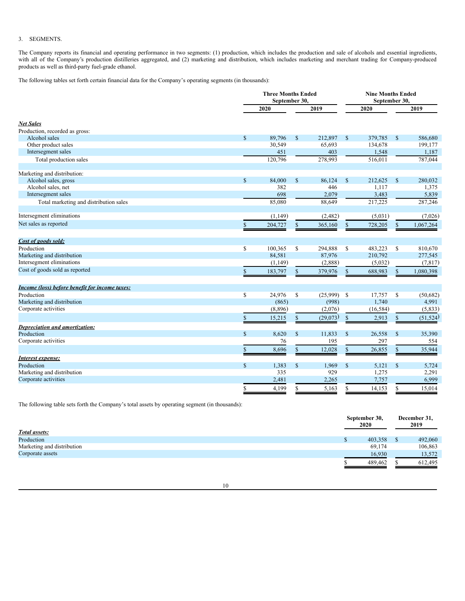# 3. SEGMENTS.

The Company reports its financial and operating performance in two segments: (1) production, which includes the production and sale of alcohols and essential ingredients, with all of the Company's production distilleries aggregated, and (2) marketing and distribution, which includes marketing and merchant trading for Company-produced products as well as third-party fuel-grade ethanol.

The following tables set forth certain financial data for the Company's operating segments (in thousands):

|                                                |               | <b>Three Months Ended</b><br>September 30, |               |          |               | <b>Nine Months Ended</b><br>September 30, |               |           |
|------------------------------------------------|---------------|--------------------------------------------|---------------|----------|---------------|-------------------------------------------|---------------|-----------|
|                                                |               | 2020                                       |               | 2019     |               | 2020                                      |               | 2019      |
| <b>Net Sales</b>                               |               |                                            |               |          |               |                                           |               |           |
| Production, recorded as gross:                 |               |                                            |               |          |               |                                           |               |           |
| Alcohol sales                                  | $\mathbb{S}$  | 89,796                                     | $\mathsf{\$}$ | 212,897  | \$            | 379,785                                   | $\mathbb{S}$  | 586,680   |
| Other product sales                            |               | 30,549                                     |               | 65,693   |               | 134,678                                   |               | 199,177   |
| Intersegment sales                             |               | 451                                        |               | 403      |               | 1,548                                     |               | 1,187     |
| Total production sales                         |               | 120,796                                    |               | 278,993  |               | 516,011                                   |               | 787,044   |
| Marketing and distribution:                    |               |                                            |               |          |               |                                           |               |           |
| Alcohol sales, gross                           | $\mathbb{S}$  | 84,000                                     | \$            | 86,124   | $\mathsf{\$}$ | 212,625                                   | $\mathbb{S}$  | 280,032   |
| Alcohol sales, net                             |               | 382                                        |               | 446      |               | 1,117                                     |               | 1,375     |
| Intersegment sales                             |               | 698                                        |               | 2,079    |               | 3,483                                     |               | 5,839     |
| Total marketing and distribution sales         |               | 85,080                                     |               | 88,649   |               | 217,225                                   |               | 287,246   |
| Intersegment eliminations                      |               | (1, 149)                                   |               | (2, 482) |               | (5,031)                                   |               | (7,026)   |
| Net sales as reported                          |               | 204,727                                    | \$            | 365,160  | \$            | 728,205                                   | \$            | 1,067,264 |
| Cost of goods sold:                            |               |                                            |               |          |               |                                           |               |           |
| Production                                     | \$            | 100,365                                    | \$            | 294,888  | \$            | 483,223                                   | \$            | 810,670   |
| Marketing and distribution                     |               | 84,581                                     |               | 87,976   |               | 210,792                                   |               | 277,545   |
| Intersegment eliminations                      |               | (1, 149)                                   |               | (2,888)  |               | (5,032)                                   |               | (7, 817)  |
| Cost of goods sold as reported                 | \$            | 183,797                                    | \$            | 379,976  | \$            | 688,983                                   | \$            | 1,080,398 |
|                                                |               |                                            |               |          |               |                                           |               |           |
| Income (loss) before benefit for income taxes: |               |                                            |               |          |               |                                           |               |           |
| Production                                     | \$            | 24,976                                     | \$            | (25,999) | $\mathbb{S}$  | 17,757                                    | \$            | (50,682)  |
| Marketing and distribution                     |               | (865)                                      |               | (998)    |               | 1,740                                     |               | 4,991     |
| Corporate activities                           |               | (8,896)                                    |               | (2,076)  |               | (16, 584)                                 |               | (5,833)   |
|                                                | $\mathcal{S}$ | 15,215                                     | $\mathbb{S}$  | (29,073) | $\mathbf S$   | 2,913                                     | \$            | (51, 524) |
| Depreciation and amortization:                 |               |                                            |               |          |               |                                           |               |           |
| Production                                     | $\mathbb{S}$  | 8,620                                      | $\mathsf{\$}$ | 11,833   | $\mathsf{\$}$ | 26,558                                    | $\mathsf{\$}$ | 35,390    |
| Corporate activities                           |               | 76                                         |               | 195      |               | 297                                       |               | 554       |
|                                                |               | 8,696                                      | \$            | 12,028   | $\$$          | 26,855                                    | \$            | 35,944    |
| Interest expense:                              |               |                                            |               |          |               |                                           |               |           |
| Production                                     | $\mathbb{S}$  | 1,383                                      | $\mathsf{\$}$ | 1,969    | $\$$          | 5,121                                     | \$            | 5,724     |
| Marketing and distribution                     |               | 335                                        |               | 929      |               | 1,275                                     |               | 2,291     |
| Corporate activities                           |               | 2,481                                      |               | 2,265    |               | 7,757                                     |               | 6,999     |
|                                                | \$            | 4,199                                      | <sup>\$</sup> | 5.163    | \$            | 14,153                                    | $\mathbb{S}$  | 15,014    |

The following table sets forth the Company's total assets by operating segment (in thousands):

| <b>Total assets:</b>       |   | September 30,<br>2020 |   | December 31,<br>2019 |
|----------------------------|---|-----------------------|---|----------------------|
| Production                 | D | 403,358               | S | 492,060              |
| Marketing and distribution |   | 69,174                |   | 106,863              |
| Corporate assets           |   | 16.930                |   | 13.572               |
|                            |   | 489,462               |   | 612,495              |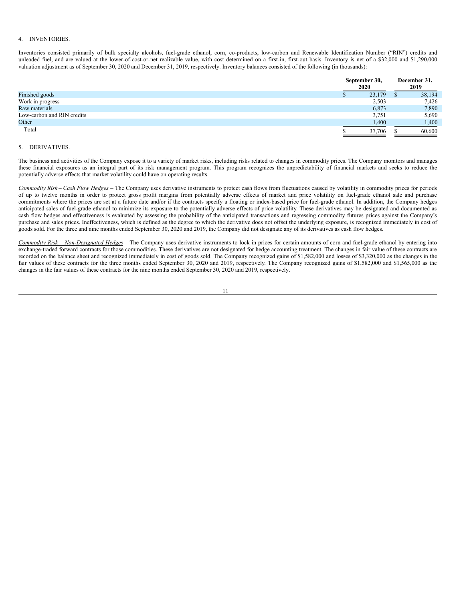## 4. INVENTORIES.

Inventories consisted primarily of bulk specialty alcohols, fuel-grade ethanol, corn, co-products, low-carbon and Renewable Identification Number ("RIN") credits and unleaded fuel, and are valued at the lower-of-cost-or-net realizable value, with cost determined on a first-in, first-out basis. Inventory is net of a \$32,000 and \$1,290,000 valuation adjustment as of September 30, 2020 and December 31, 2019, respectively. Inventory balances consisted of the following (in thousands):

|                            | September 30,<br>2020 | December 31,<br>2019 |        |
|----------------------------|-----------------------|----------------------|--------|
| Finished goods             |                       | 23,179               | 38,194 |
| Work in progress           |                       | 2,503                | 7,426  |
| Raw materials              |                       | 6,873                | 7,890  |
| Low-carbon and RIN credits |                       | 3,751                | 5,690  |
| Other                      |                       | 1,400                | 1,400  |
| Total                      |                       | 37,706               | 60,600 |

#### 5. DERIVATIVES.

The business and activities of the Company expose it to a variety of market risks, including risks related to changes in commodity prices. The Company monitors and manages these financial exposures as an integral part of its risk management program. This program recognizes the unpredictability of financial markets and seeks to reduce the potentially adverse effects that market volatility could have on operating results.

*Commodity Risk* – *Cash Flow Hedges* – The Company uses derivative instruments to protect cash flows from fluctuations caused by volatility in commodity prices for periods of up to twelve months in order to protect gross profit margins from potentially adverse effects of market and price volatility on fuel-grade ethanol sale and purchase commitments where the prices are set at a future date and/or if the contracts specify a floating or index-based price for fuel-grade ethanol. In addition, the Company hedges anticipated sales of fuel-grade ethanol to minimize its exposure to the potentially adverse effects of price volatility. These derivatives may be designated and documented as cash flow hedges and effectiveness is evaluated by assessing the probability of the anticipated transactions and regressing commodity futures prices against the Company's purchase and sales prices. Ineffectiveness, which is defined as the degree to which the derivative does not offset the underlying exposure, is recognized immediately in cost of goods sold. For the three and nine months ended September 30, 2020 and 2019, the Company did not designate any of its derivatives as cash flow hedges.

*Commodity Risk – Non-Designated Hedges* – The Company uses derivative instruments to lock in prices for certain amounts of corn and fuel-grade ethanol by entering into exchange-traded forward contracts for those commodities. These derivatives are not designated for hedge accounting treatment. The changes in fair value of these contracts are recorded on the balance sheet and recognized immediately in cost of goods sold. The Company recognized gains of \$1,582,000 and losses of \$3,320,000 as the changes in the fair values of these contracts for the three months ended September 30, 2020 and 2019, respectively. The Company recognized gains of \$1,582,000 and \$1,565,000 as the changes in the fair values of these contracts for the nine months ended September 30, 2020 and 2019, respectively.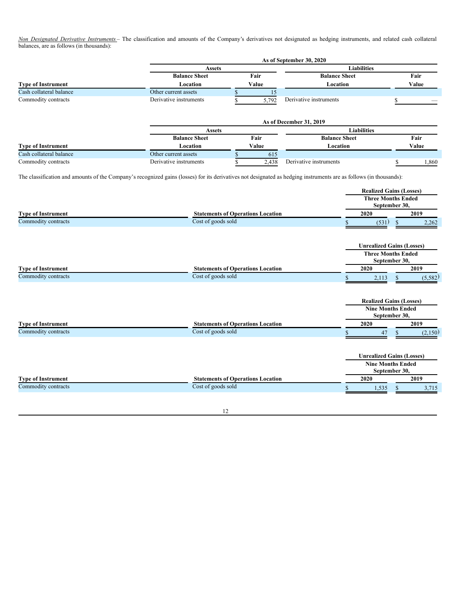*Non Designated Derivative Instruments* – The classification and amounts of the Company's derivatives not designated as hedging instruments, and related cash collateral balances, are as follows (in thousands):

|                           |                        | As of September 30, 2020     |       |                        |  |                          |  |  |  |  |
|---------------------------|------------------------|------------------------------|-------|------------------------|--|--------------------------|--|--|--|--|
|                           | Assets                 |                              |       | <b>Liabilities</b>     |  |                          |  |  |  |  |
|                           | <b>Balance Sheet</b>   | Fair<br><b>Balance Sheet</b> |       |                        |  | Fair                     |  |  |  |  |
| <b>Type of Instrument</b> | Location               |                              | Value | Location               |  | Value                    |  |  |  |  |
| Cash collateral balance   | Other current assets   |                              |       |                        |  |                          |  |  |  |  |
| Commodity contracts       | Derivative instruments |                              | 5.792 | Derivative instruments |  | $\overline{\phantom{a}}$ |  |  |  |  |

|                           |                        |       | As of December 31, 2019 |      |       |  |  |  |  |  |
|---------------------------|------------------------|-------|-------------------------|------|-------|--|--|--|--|--|
|                           | Assets                 |       | <b>Liabilities</b>      |      |       |  |  |  |  |  |
|                           | <b>Balance Sheet</b>   | Fair  | <b>Balance Sheet</b>    | Fair |       |  |  |  |  |  |
| <b>Type of Instrument</b> | Location               | Value | Location                |      | Value |  |  |  |  |  |
| Cash collateral balance   | Other current assets   | 615   |                         |      |       |  |  |  |  |  |
| Commodity contracts       | Derivative instruments | 2.438 | Derivative instruments  |      | .860  |  |  |  |  |  |

The classification and amounts of the Company's recognized gains (losses) for its derivatives not designated as hedging instruments are as follows (in thousands):

|                           |                                          |      | <b>Realized Gains (Losses)</b>                                              |                                            |  |  |  |  |
|---------------------------|------------------------------------------|------|-----------------------------------------------------------------------------|--------------------------------------------|--|--|--|--|
|                           |                                          |      |                                                                             | <b>Three Months Ended</b><br>September 30, |  |  |  |  |
| <b>Type of Instrument</b> | <b>Statements of Operations Location</b> | 2020 |                                                                             | 2019                                       |  |  |  |  |
| Commodity contracts       | Cost of goods sold                       | Ъ    | (531)                                                                       | 2,262                                      |  |  |  |  |
|                           |                                          |      | <b>Unrealized Gains (Losses)</b><br><b>Three Months Ended</b>               |                                            |  |  |  |  |
|                           |                                          |      | September 30,                                                               |                                            |  |  |  |  |
| <b>Type of Instrument</b> | <b>Statements of Operations Location</b> | 2020 |                                                                             | 2019                                       |  |  |  |  |
| Commodity contracts       | Cost of goods sold                       | \$   | 2,113<br><sup>\$</sup>                                                      | (5,582)                                    |  |  |  |  |
|                           |                                          |      | <b>Realized Gains (Losses)</b><br><b>Nine Months Ended</b><br>September 30, |                                            |  |  |  |  |
| <b>Type of Instrument</b> | <b>Statements of Operations Location</b> | 2020 |                                                                             | 2019                                       |  |  |  |  |
| Commodity contracts       | Cost of goods sold                       |      | 47                                                                          | (2,150)                                    |  |  |  |  |
|                           |                                          |      | <b>Unrealized Gains (Losses)</b>                                            |                                            |  |  |  |  |
|                           |                                          |      | <b>Nine Months Ended</b><br>September 30,                                   |                                            |  |  |  |  |
| <b>Type of Instrument</b> | <b>Statements of Operations Location</b> | 2020 |                                                                             | 2019                                       |  |  |  |  |
| Commodity contracts       | Cost of goods sold                       |      | 1,535<br>S                                                                  | 3,715                                      |  |  |  |  |
|                           |                                          |      |                                                                             |                                            |  |  |  |  |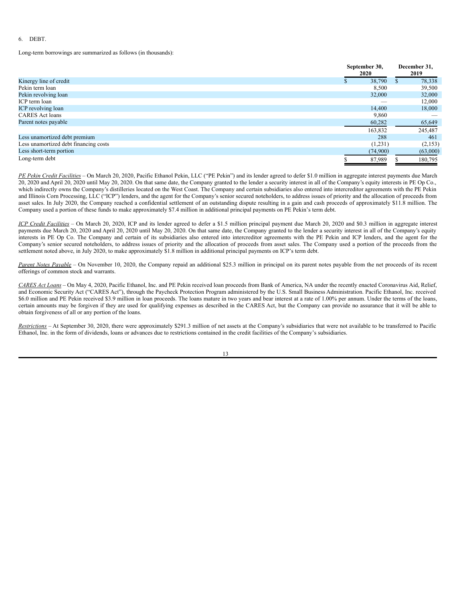# 6. DEBT.

Long-term borrowings are summarized as follows (in thousands):

|                                       | September 30,<br>2020 |          |  | December 31,<br>2019 |  |  |
|---------------------------------------|-----------------------|----------|--|----------------------|--|--|
| Kinergy line of credit                |                       | 38,790   |  | 78,338               |  |  |
| Pekin term loan                       |                       | 8,500    |  | 39,500               |  |  |
| Pekin revolving loan                  |                       | 32,000   |  | 32,000               |  |  |
| ICP term loan                         |                       |          |  | 12,000               |  |  |
| ICP revolving loan                    |                       | 14.400   |  | 18,000               |  |  |
| <b>CARES</b> Act loans                |                       | 9,860    |  |                      |  |  |
| Parent notes payable                  |                       | 60,282   |  | 65,649               |  |  |
|                                       |                       | 163,832  |  | 245,487              |  |  |
| Less unamortized debt premium         |                       | 288      |  | 461                  |  |  |
| Less unamortized debt financing costs |                       | (1,231)  |  | (2,153)              |  |  |
| Less short-term portion               |                       | (74,900) |  | (63,000)             |  |  |
| Long-term debt                        |                       | 87,989   |  | 180,795              |  |  |

*PE Pekin Credit Facilities* – On March 20, 2020, Pacific Ethanol Pekin, LLC ("PE Pekin") and its lender agreed to defer \$1.0 million in aggregate interest payments due March 20, 2020 and April 20, 2020 until May 20, 2020. On that same date, the Company granted to the lender a security interest in all of the Company's equity interests in PE Op Co., which indirectly owns the Company's distilleries located on the West Coast. The Company and certain subsidiaries also entered into intercreditor agreements with the PE Pekin and Illinois Corn Processing, LLC ("ICP") lenders, and the agent for the Company's senior secured noteholders, to address issues of priority and the allocation of proceeds from asset sales. In July 2020, the Company reached a confidential settlement of an outstanding dispute resulting in a gain and cash proceeds of approximately \$11.8 million. The Company used a portion of these funds to make approximately \$7.4 million in additional principal payments on PE Pekin's term debt.

*ICP Credit Facilities* – On March 20, 2020, ICP and its lender agreed to defer a \$1.5 million principal payment due March 20, 2020 and \$0.3 million in aggregate interest payments due March 20, 2020 and April 20, 2020 until May 20, 2020. On that same date, the Company granted to the lender a security interest in all of the Company's equity interests in PE Op Co. The Company and certain of its subsidiaries also entered into intercreditor agreements with the PE Pekin and ICP lenders, and the agent for the Company's senior secured noteholders, to address issues of priority and the allocation of proceeds from asset sales. The Company used a portion of the proceeds from the settlement noted above, in July 2020, to make approximately \$1.8 million in additional principal payments on ICP's term debt.

*Parent Notes Payable* – On November 10, 2020, the Company repaid an additional \$25.3 million in principal on its parent notes payable from the net proceeds of its recent offerings of common stock and warrants.

*CARES Act Loans* – On May 4, 2020, Pacific Ethanol, Inc. and PE Pekin received loan proceeds from Bank of America, NA under the recently enacted Coronavirus Aid, Relief, and Economic Security Act ("CARES Act"), through the Paycheck Protection Program administered by the U.S. Small Business Administration. Pacific Ethanol, Inc. received \$6.0 million and PE Pekin received \$3.9 million in loan proceeds. The loans mature in two years and bear interest at a rate of 1.00% per annum. Under the terms of the loans, certain amounts may be forgiven if they are used for qualifying expenses as described in the CARES Act, but the Company can provide no assurance that it will be able to obtain forgiveness of all or any portion of the loans.

*Restrictions* – At September 30, 2020, there were approximately \$291.3 million of net assets at the Company's subsidiaries that were not available to be transferred to Pacific Ethanol, Inc. in the form of dividends, loans or advances due to restrictions contained in the credit facilities of the Company's subsidiaries.

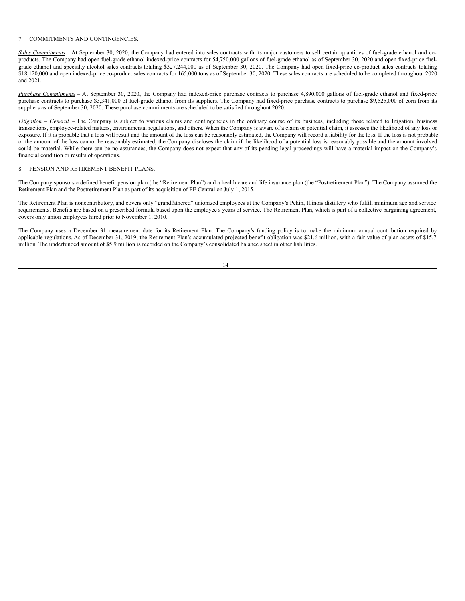## 7. COMMITMENTS AND CONTINGENCIES.

*Sales Commitments* – At September 30, 2020, the Company had entered into sales contracts with its major customers to sell certain quantities of fuel-grade ethanol and coproducts. The Company had open fuel-grade ethanol indexed-price contracts for 54,750,000 gallons of fuel-grade ethanol as of September 30, 2020 and open fixed-price fuelgrade ethanol and specialty alcohol sales contracts totaling  $\frac{227,244,000}{8}$  as of September 30, 2020. The Company had open fixed-price co-product sales contracts totaling \$18,120,000 and open indexed-price co-product sales contracts for 165,000 tons as of September 30, 2020. These sales contracts are scheduled to be completed throughout 2020 and 2021.

*Purchase Commitments* – At September 30, 2020, the Company had indexed-price purchase contracts to purchase 4,890,000 gallons of fuel-grade ethanol and fixed-price purchase contracts to purchase \$3,341,000 of fuel-grade ethanol from its suppliers. The Company had fixed-price purchase contracts to purchase \$9,525,000 of corn from its suppliers as of September 30, 2020. These purchase commitments are scheduled to be satisfied throughout 2020.

*Litigation – General –* The Company is subject to various claims and contingencies in the ordinary course of its business, including those related to litigation, business transactions, employee-related matters, environmental regulations, and others. When the Company is aware of a claim or potential claim, it assesses the likelihood of any loss or exposure. If it is probable that a loss will result and the amount of the loss can be reasonably estimated, the Company will record a liability for the loss. If the loss is not probable or the amount of the loss cannot be reasonably estimated, the Company discloses the claim if the likelihood of a potential loss is reasonably possible and the amount involved could be material. While there can be no assurances, the Company does not expect that any of its pending legal proceedings will have a material impact on the Company's financial condition or results of operations.

#### 8. PENSION AND RETIREMENT BENEFIT PLANS.

The Company sponsors a defined benefit pension plan (the "Retirement Plan") and a health care and life insurance plan (the "Postretirement Plan"). The Company assumed the Retirement Plan and the Postretirement Plan as part of its acquisition of PE Central on July 1, 2015.

The Retirement Plan is noncontributory, and covers only "grandfathered" unionized employees at the Company's Pekin, Illinois distillery who fulfill minimum age and service requirements. Benefits are based on a prescribed formula based upon the employee's years of service. The Retirement Plan, which is part of a collective bargaining agreement, covers only union employees hired prior to November 1, 2010.

The Company uses a December 31 measurement date for its Retirement Plan. The Company's funding policy is to make the minimum annual contribution required by applicable regulations. As of December 31, 2019, the Retirement Plan's accumulated projected benefit obligation was \$21.6 million, with a fair value of plan assets of \$15.7 million. The underfunded amount of \$5.9 million is recorded on the Company's consolidated balance sheet in other liabilities.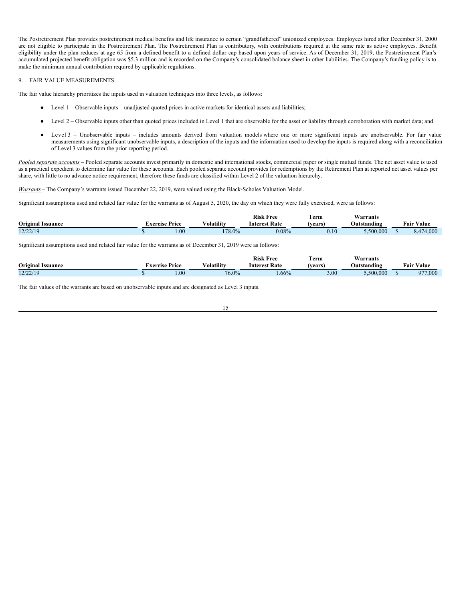The Postretirement Plan provides postretirement medical benefits and life insurance to certain "grandfathered" unionized employees. Employees hired after December 31, 2000 are not eligible to participate in the Postretirement Plan. The Postretirement Plan is contributory, with contributions required at the same rate as active employees. Benefit eligibility under the plan reduces at age 65 from a defined benefit to a defined dollar cap based upon years of service. As of December 31, 2019, the Postretirement Plan's accumulated projected benefit obligation was \$5.3 million and is recorded on the Company's consolidated balance sheet in other liabilities. The Company's funding policy is to make the minimum annual contribution required by applicable regulations.

## 9. FAIR VALUE MEASUREMENTS.

The fair value hierarchy prioritizes the inputs used in valuation techniques into three levels, as follows:

- Level 1 Observable inputs unadjusted quoted prices in active markets for identical assets and liabilities;
- Level 2 Observable inputs other than quoted prices included in Level 1 that are observable for the asset or liability through corroboration with market data; and
- Level 3 Unobservable inputs includes amounts derived from valuation models where one or more significant inputs are unobservable. For fair value measurements using significant unobservable inputs, a description of the inputs and the information used to develop the inputs is required along with a reconciliation of Level 3 values from the prior reporting period.

*Pooled separate accounts* – Pooled separate accounts invest primarily in domestic and international stocks, commercial paper or single mutual funds. The net asset value is used as a practical expedient to determine fair value for these accounts. Each pooled separate account provides for redemptions by the Retirement Plan at reported net asset values per share, with little to no advance notice requirement, therefore these funds are classified within Level 2 of the valuation hierarchy.

*Warrants* – The Company's warrants issued December 22, 2019, were valued using the Black-Scholes Valuation Model.

Significant assumptions used and related fair value for the warrants as of August 5, 2020, the day on which they were fully exercised, were as follows:

|                          |                          |                        | <b>Risk</b><br>Free  | $\sim$<br>l'erm | Warrants    |                      |
|--------------------------|--------------------------|------------------------|----------------------|-----------------|-------------|----------------------|
| <b>Original Issuance</b> | Price<br><b>Exercise</b> | <sup>7</sup> olatilitv | <b>Interest Rate</b> | <b>(vears)</b>  | Outstanding | Value<br>- -<br>Fair |
| 12/22/19                 |                          | $178.0\%$<br>1.00      | $0.08\%$             | 0.10            | .500.000    | $+00c$<br>.          |

Significant assumptions used and related fair value for the warrants as of December 31, 2019 were as follows:

|                          |                            |                                        | <b>Risk</b><br>Free          | $\sim$<br>l'erm | Warrants        |            |
|--------------------------|----------------------------|----------------------------------------|------------------------------|-----------------|-----------------|------------|
| <b>Original Issuance</b> | e Price<br>xercise<br>2A J | $\mathbf{r}$<br><sup>7</sup> olatilitv | <sup>+</sup> Rate<br>Interes | 'vears.         | <br>Outstanding | Thir Value |
| 12/22/10<br>14/21        |                            | 00.1                                   | $4.66\%$<br>$76.0\%$         | 3.00            | 500<br>0.000    | 977,000    |

The fair values of the warrants are based on unobservable inputs and are designated as Level 3 inputs.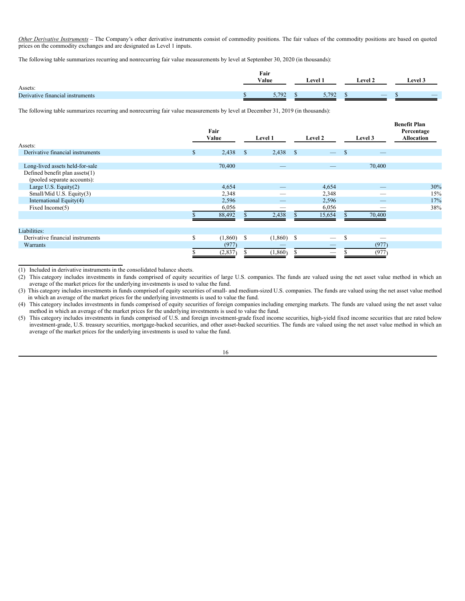*Other Derivative Instruments* – The Company's other derivative instruments consist of commodity positions. The fair values of the commodity positions are based on quoted prices on the commodity exchanges and are designated as Level 1 inputs.

The following table summarizes recurring and nonrecurring fair value measurements by level at September 30, 2020 (in thousands):

|  |                       |               |                           | <b>Level</b> 2     |     | Level 3 |                          |
|--|-----------------------|---------------|---------------------------|--------------------|-----|---------|--------------------------|
|  |                       |               |                           |                    |     |         |                          |
|  | ാറ<br>, , ,<br>$\sim$ |               | .792<br>$\sim$ . $\prime$ |                    | $-$ |         | $\overline{\phantom{a}}$ |
|  |                       | Fair<br>Value |                           | Level <sup>*</sup> |     |         |                          |

The following table summarizes recurring and nonrecurring fair value measurements by level at December 31, 2019 (in thousands):

|                                                               |    | Fair<br>Value |     | <b>Level 2</b><br>Level 1 |              |                          | Level 3 | <b>Benefit Plan</b><br>Percentage<br><b>Allocation</b> |
|---------------------------------------------------------------|----|---------------|-----|---------------------------|--------------|--------------------------|---------|--------------------------------------------------------|
| Assets:                                                       |    |               |     |                           |              |                          |         |                                                        |
| Derivative financial instruments                              | S. | 2,438         | - S | 2,438                     | $\mathbf{s}$ | $\overline{\phantom{m}}$ | \$      |                                                        |
| Long-lived assets held-for-sale                               |    | 70,400        |     |                           |              |                          | 70,400  |                                                        |
| Defined benefit plan assets(1)<br>(pooled separate accounts): |    |               |     |                           |              |                          |         |                                                        |
| Large U.S. Equity $(2)$                                       |    | 4,654         |     |                           |              | 4,654                    |         | 30%                                                    |
| Small/Mid U.S. Equity(3)                                      |    | 2,348         |     | _                         |              | 2,348                    |         | 15%                                                    |
| International Equity(4)                                       |    | 2,596         |     |                           |              | 2,596                    |         | 17%                                                    |
| Fixed Income(5)                                               |    | 6,056         |     |                           |              | 6,056                    |         | 38%                                                    |
|                                                               |    | 88,492        |     | 2,438                     |              | 15,654                   | 70,400  |                                                        |
| Liabilities:                                                  |    |               |     |                           |              |                          |         |                                                        |
| Derivative financial instruments                              | S. | $(1,860)$ \$  |     | $(1,860)$ \$              |              | $\overline{\phantom{m}}$ | \$      |                                                        |
| Warrants                                                      |    | (977)         |     |                           |              |                          | (977)   |                                                        |
|                                                               |    | (2,837)       |     | (1,860)                   |              |                          | (977)   |                                                        |

(1) Included in derivative instruments in the consolidated balance sheets.

(2) This category includes investments in funds comprised of equity securities of large U.S. companies. The funds are valued using the net asset value method in which an average of the market prices for the underlying investments is used to value the fund.

(3) This category includes investments in funds comprised of equity securities of small- and medium-sized U.S. companies. The funds are valued using the net asset value method in which an average of the market prices for the underlying investments is used to value the fund.

(4) This category includes investments in funds comprised of equity securities of foreign companies including emerging markets. The funds are valued using the net asset value method in which an average of the market prices for the underlying investments is used to value the fund.

(5) This category includes investments in funds comprised of U.S. and foreign investment-grade fixed income securities, high-yield fixed income securities that are rated below investment-grade, U.S. treasury securities, mortgage-backed securities, and other asset-backed securities. The funds are valued using the net asset value method in which an average of the market prices for the underlying investments is used to value the fund.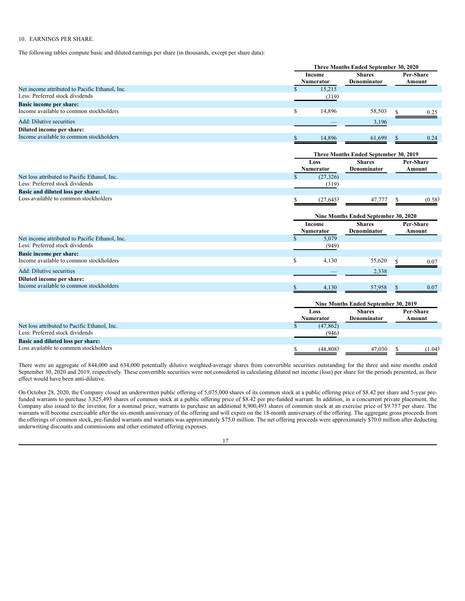# 10. EARNINGS PER SHARE.

The following tables compute basic and diluted earnings per share (in thousands, except per share data):

|                                                |   | Three Months Ended September 30, 2020                             |                                            |                       |  |  |
|------------------------------------------------|---|-------------------------------------------------------------------|--------------------------------------------|-----------------------|--|--|
|                                                |   | <b>Shares</b><br>Income<br><b>Denominator</b><br><b>Numerator</b> |                                            | Per-Share<br>Amount   |  |  |
| Net income attributed to Pacific Ethanol, Inc. |   | 15,215                                                            |                                            |                       |  |  |
| Less: Preferred stock dividends                |   | (319)                                                             |                                            |                       |  |  |
| <b>Basic income per share:</b>                 |   |                                                                   |                                            |                       |  |  |
| Income available to common stockholders        | ъ | 14,896                                                            | 58,503                                     | 0.25                  |  |  |
| Add: Dilutive securities                       |   |                                                                   | 3,196                                      |                       |  |  |
| Diluted income per share:                      |   |                                                                   |                                            |                       |  |  |
| Income available to common stockholders        |   | 14,896                                                            | 61,699                                     | 0.24                  |  |  |
|                                                |   |                                                                   | Three Months Ended September 30, 2019      |                       |  |  |
|                                                |   | Loss<br>$\blacksquare$                                            | <b>Shares</b><br>$\mathbf{r}$ $\mathbf{r}$ | Per-Share<br>$\cdots$ |  |  |

|                                              | Numerator |          | Denominator | Amount |
|----------------------------------------------|-----------|----------|-------------|--------|
| Net loss attributed to Pacific Ethanol. Inc. |           | (27.326) |             |        |
| Less: Preferred stock dividends              |           | (319)    |             |        |
| <b>Basic and diluted loss per share:</b>     |           |          |             |        |
| Loss available to common stockholders        |           | (27,645) | 47.777      | (0.58) |

|                                                | Nine Months Ended September 30, 2020 |               |  |           |  |  |
|------------------------------------------------|--------------------------------------|---------------|--|-----------|--|--|
|                                                | Income                               | <b>Shares</b> |  | Per-Share |  |  |
|                                                | <b>Numerator</b>                     | Denominator   |  | Amount    |  |  |
| Net income attributed to Pacific Ethanol, Inc. | 5,079                                |               |  |           |  |  |
| Less: Preferred stock dividends                | (949)                                |               |  |           |  |  |
| <b>Basic income per share:</b>                 |                                      |               |  |           |  |  |
| Income available to common stockholders        | 4,130                                | 55,620        |  | 0.07      |  |  |
| Add: Dilutive securities                       |                                      | 2,338         |  |           |  |  |
| Diluted income per share:                      |                                      |               |  |           |  |  |
| Income available to common stockholders        | 4.130                                | 57,958        |  | 0.07      |  |  |
|                                                |                                      |               |  |           |  |  |

|                                              |                          | Nine Months Ended September 30, 2019 |                              |  |                     |
|----------------------------------------------|--------------------------|--------------------------------------|------------------------------|--|---------------------|
|                                              | Loss<br><b>Numerator</b> |                                      | <b>Shares</b><br>Denominator |  | Per-Share<br>Amount |
| Net loss attributed to Pacific Ethanol, Inc. |                          | (47, 862)                            |                              |  |                     |
| Less: Preferred stock dividends              |                          | (946)                                |                              |  |                     |
| <b>Basic and diluted loss per share:</b>     |                          |                                      |                              |  |                     |
| Loss available to common stockholders        |                          | (48, 808)                            | 47.030                       |  | (1.04)              |

There were an aggregate of 844,000 and 634,000 potentially dilutive weighted-average shares from convertible securities outstanding for the three and nine months ended September 30, 2020 and 2019, respectively. These convertible securities were not considered in calculating diluted net income (loss) per share for the periods presented, as their effect would have been anti-dilutive.

On October 28, 2020, the Company closed an underwritten public offering of 5,075,000 shares of its common stock at a public offering price of \$8.42 per share and 5-year prefunded warrants to purchase 3,825,493 shares of common stock at a public offering price of \$8.42 per pre-funded warrant. In addition, in a concurrent private placement, the Company also issued to the investor, for a nominal price, warrants to purchase an additional 8,900,493 shares of common stock at an exercise price of \$9.757 per share. The warrants will become exercisable after the six-month anniversary of the offering and will expire on the 18-month anniversary of the offering. The aggregate gross proceeds from the offerings of common stock, pre-funded warrants and warrants was approximately \$75.0 million. The net offering proceeds were approximately \$70.0 million after deducting underwriting discounts and commissions and other estimated offering expenses.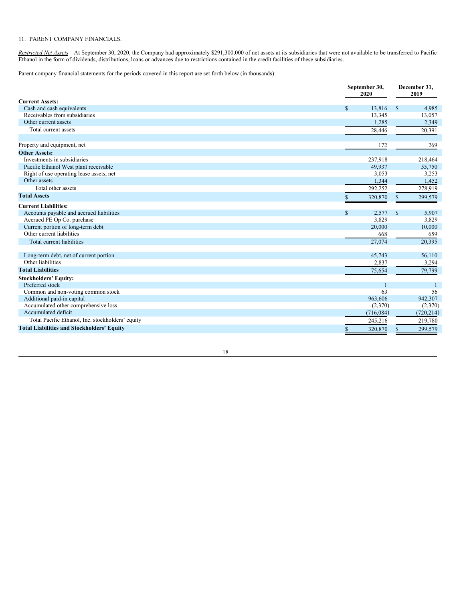## 11. PARENT COMPANY FINANCIALS.

*Restricted Net Assets* – At September 30, 2020, the Company had approximately \$291,300,000 of net assets at its subsidiaries that were not available to be transferred to Pacific Ethanol in the form of dividends, distributions, loans or advances due to restrictions contained in the credit facilities of these subsidiaries.

Parent company financial statements for the periods covered in this report are set forth below (in thousands):

|                                                   | September 30,<br>2020  | December 31,<br>2019  |  |  |
|---------------------------------------------------|------------------------|-----------------------|--|--|
| <b>Current Assets:</b>                            |                        |                       |  |  |
| Cash and cash equivalents                         | $\mathbb{S}$<br>13,816 | <sup>S</sup><br>4,985 |  |  |
| Receivables from subsidiaries                     | 13,345                 | 13,057                |  |  |
| Other current assets                              | 1,285                  | 2,349                 |  |  |
| Total current assets                              | 28,446                 | 20,391                |  |  |
| Property and equipment, net                       | 172                    | 269                   |  |  |
| <b>Other Assets:</b>                              |                        |                       |  |  |
| Investments in subsidiaries                       | 237,918                | 218,464               |  |  |
| Pacific Ethanol West plant receivable             | 49,937                 | 55,750                |  |  |
| Right of use operating lease assets, net          | 3,053                  | 3,253                 |  |  |
| Other assets                                      | 1,344                  | 1,452                 |  |  |
| Total other assets                                | 292,252                | 278,919               |  |  |
| <b>Total Assets</b>                               | 320,870                | 299,579               |  |  |
| <b>Current Liabilities:</b>                       |                        |                       |  |  |
| Accounts payable and accrued liabilities          | \$<br>2,577            | $\mathbb{S}$<br>5,907 |  |  |
| Accrued PE Op Co. purchase                        | 3,829                  | 3,829                 |  |  |
| Current portion of long-term debt                 | 20,000                 | 10,000                |  |  |
| Other current liabilities                         | 668                    | 659                   |  |  |
| Total current liabilities                         | 27,074                 | 20,395                |  |  |
| Long-term debt, net of current portion            | 45,743                 | 56,110                |  |  |
| Other liabilities                                 | 2,837                  | 3,294                 |  |  |
| <b>Total Liabilities</b>                          | 75,654                 | 79,799                |  |  |
| <b>Stockholders' Equity:</b>                      |                        |                       |  |  |
| Preferred stock                                   |                        |                       |  |  |
| Common and non-voting common stock                | 63                     | 56                    |  |  |
| Additional paid-in capital                        | 963,606                | 942,307               |  |  |
| Accumulated other comprehensive loss              | (2,370)                | (2,370)               |  |  |
| Accumulated deficit                               | (716,084)              | (720, 214)            |  |  |
| Total Pacific Ethanol, Inc. stockholders' equity  | 245,216                | 219,780               |  |  |
| <b>Total Liabilities and Stockholders' Equity</b> | 320,870<br>S           | 299,579<br>\$         |  |  |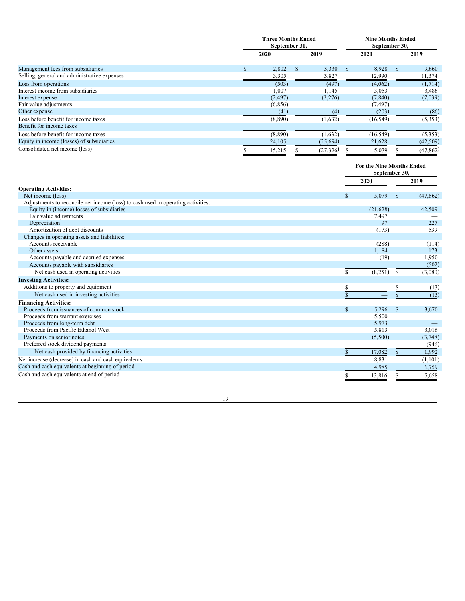|                                              |   | <b>Three Months Ended</b><br>September 30, |               |           |    |           |      | <b>Nine Months Ended</b><br>September 30, |
|----------------------------------------------|---|--------------------------------------------|---------------|-----------|----|-----------|------|-------------------------------------------|
|                                              |   | 2020                                       |               | 2019      |    | 2020      | 2019 |                                           |
| Management fees from subsidiaries            | S | 2,802                                      | <sup>\$</sup> | 3,330     | -S | 8,928     | - \$ | 9,660                                     |
| Selling, general and administrative expenses |   | 3,305                                      |               | 3,827     |    | 12,990    |      | 11,374                                    |
| Loss from operations                         |   | (503)                                      |               | (497)     |    | (4,062)   |      | (1,714)                                   |
| Interest income from subsidiaries            |   | 1,007                                      |               | 1,145     |    | 3,053     |      | 3,486                                     |
| Interest expense                             |   | (2, 497)                                   |               | (2,276)   |    | (7, 840)  |      | (7,039)                                   |
| Fair value adjustments                       |   | (6,856)                                    |               |           |    | (7, 497)  |      |                                           |
| Other expense                                |   | (41)                                       |               | (4)       |    | (203)     |      | (86)                                      |
| Loss before benefit for income taxes         |   | (8,890)                                    |               | (1,632)   |    | (16, 549) |      | (5,353)                                   |
| Benefit for income taxes                     |   |                                            |               |           |    |           |      |                                           |
| Loss before benefit for income taxes         |   | (8,890)                                    |               | (1,632)   |    | (16, 549) |      | (5,353)                                   |
| Equity in income (losses) of subsidiaries    |   | 24,105                                     |               | (25,694)  |    | 21,628    |      | (42,509)                                  |
| Consolidated net income (loss)               |   | 15,215                                     |               | (27, 326) |    | 5,079     |      | (47, 862)                                 |

|                                                                                  |             | <b>For the Nine Months Ended</b><br>September 30, |           |  |  |  |
|----------------------------------------------------------------------------------|-------------|---------------------------------------------------|-----------|--|--|--|
|                                                                                  | 2020        |                                                   | 2019      |  |  |  |
| <b>Operating Activities:</b>                                                     |             |                                                   |           |  |  |  |
| Net income (loss)                                                                | \$<br>5,079 | $\mathcal{S}$                                     | (47, 862) |  |  |  |
| Adjustments to reconcile net income (loss) to cash used in operating activities: |             |                                                   |           |  |  |  |
| Equity in (income) losses of subsidiaries                                        | (21, 628)   |                                                   | 42,509    |  |  |  |
| Fair value adjustments                                                           | 7,497       |                                                   |           |  |  |  |
| Depreciation                                                                     |             | 97                                                | 227       |  |  |  |
| Amortization of debt discounts                                                   | (173)       |                                                   | 539       |  |  |  |
| Changes in operating assets and liabilities:                                     |             |                                                   |           |  |  |  |
| Accounts receivable                                                              | (288)       |                                                   | (114)     |  |  |  |
| Other assets                                                                     | 1,184       |                                                   | 173       |  |  |  |
| Accounts payable and accrued expenses                                            |             | (19)                                              | 1,950     |  |  |  |
| Accounts payable with subsidiaries                                               |             |                                                   | (502)     |  |  |  |
| Net cash used in operating activities                                            | (8,251)     | \$                                                | (3,080)   |  |  |  |
| <b>Investing Activities:</b>                                                     |             |                                                   |           |  |  |  |
| Additions to property and equipment                                              | S           | \$                                                | (13)      |  |  |  |
| Net cash used in investing activities                                            |             | \$                                                | (13)      |  |  |  |
| <b>Financing Activities:</b>                                                     |             |                                                   |           |  |  |  |
| Proceeds from issuances of common stock                                          | \$<br>5,296 | $\mathbb{S}$                                      | 3,670     |  |  |  |
| Proceeds from warrant exercises                                                  | 5,500       |                                                   |           |  |  |  |
| Proceeds from long-term debt                                                     | 5,973       |                                                   |           |  |  |  |
| Proceeds from Pacific Ethanol West                                               | 5,813       |                                                   | 3,016     |  |  |  |
| Payments on senior notes                                                         | (5,500)     |                                                   | (3,748)   |  |  |  |
| Preferred stock dividend payments                                                |             |                                                   | (946)     |  |  |  |
| Net cash provided by financing activities                                        | 17,082      | \$                                                | 1,992     |  |  |  |
| Net increase (decrease) in cash and cash equivalents                             | 8,831       |                                                   | (1,101)   |  |  |  |
| Cash and cash equivalents at beginning of period                                 | 4,985       |                                                   | 6,759     |  |  |  |
| Cash and cash equivalents at end of period                                       | 13,816      | S                                                 | 5,658     |  |  |  |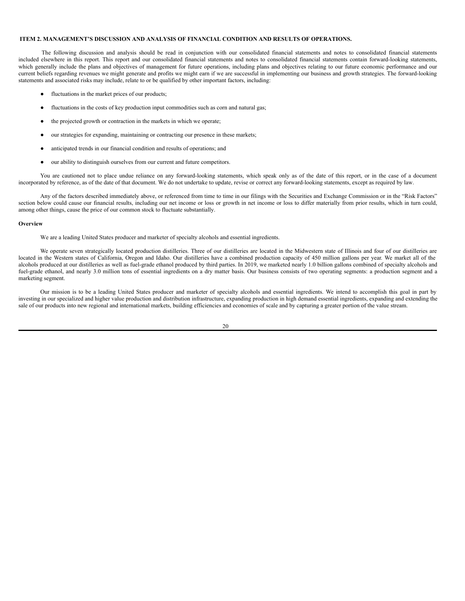## <span id="page-21-0"></span>**ITEM 2. MANAGEMENT'S DISCUSSION AND ANALYSIS OF FINANCIAL CONDITION AND RESULTS OF OPERATIONS.**

The following discussion and analysis should be read in conjunction with our consolidated financial statements and notes to consolidated financial statements included elsewhere in this report. This report and our consolidated financial statements and notes to consolidated financial statements contain forward-looking statements, which generally include the plans and objectives of management for future operations, including plans and objectives relating to our future economic performance and our current beliefs regarding revenues we might generate and profits we might earn if we are successful in implementing our business and growth strategies. The forward-looking statements and associated risks may include, relate to or be qualified by other important factors, including:

- fluctuations in the market prices of our products;
- fluctuations in the costs of key production input commodities such as corn and natural gas;
- the projected growth or contraction in the markets in which we operate;
- our strategies for expanding, maintaining or contracting our presence in these markets;
- anticipated trends in our financial condition and results of operations; and
- our ability to distinguish ourselves from our current and future competitors.

You are cautioned not to place undue reliance on any forward-looking statements, which speak only as of the date of this report, or in the case of a document incorporated by reference, as of the date of that document. We do not undertake to update, revise or correct any forward-looking statements, except as required by law.

Any of the factors described immediately above, or referenced from time to time in our filings with the Securities and Exchange Commission or in the "Risk Factors" section below could cause our financial results, including our net income or loss or growth in net income or loss to differ materially from prior results, which in turn could, among other things, cause the price of our common stock to fluctuate substantially.

#### **Overview**

We are a leading United States producer and marketer of specialty alcohols and essential ingredients.

We operate seven strategically located production distilleries. Three of our distilleries are located in the Midwestern state of Illinois and four of our distilleries are located in the Western states of California, Oregon and Idaho. Our distilleries have a combined production capacity of 450 million gallons per year. We market all of the alcohols produced at our distilleries as well as fuel-grade ethanol produced by third parties. In 2019, we marketed nearly 1.0 billion gallons combined of specialty alcohols and fuel-grade ethanol, and nearly 3.0 million tons of essential ingredients on a dry matter basis. Our business consists of two operating segments: a production segment and a marketing segment.

Our mission is to be a leading United States producer and marketer of specialty alcohols and essential ingredients. We intend to accomplish this goal in part by investing in our specialized and higher value production and distribution infrastructure, expanding production in high demand essential ingredients, expanding and extending the sale of our products into new regional and international markets, building efficiencies and economies of scale and by capturing a greater portion of the value stream.

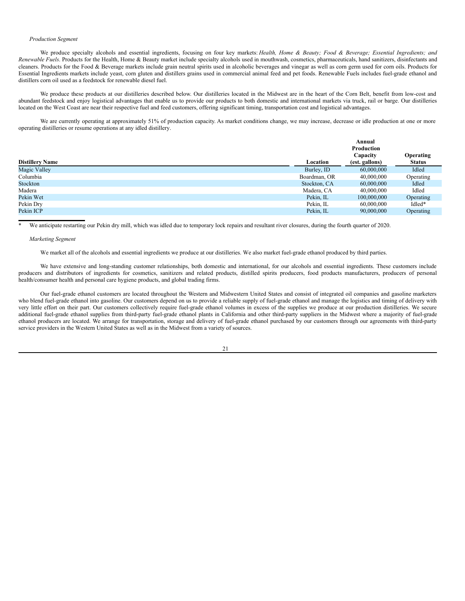#### *Production Segment*

We produce specialty alcohols and essential ingredients, focusing on four key markets: *Health, Home & Beauty; Food & Beverage; Essential Ingredients; and Renewable Fuels*. Products for the Health, Home & Beauty market include specialty alcohols used in mouthwash, cosmetics, pharmaceuticals, hand sanitizers, disinfectants and cleaners. Products for the Food & Beverage markets include grain neutral spirits used in alcoholic beverages and vinegar as well as corn germ used for corn oils. Products for Essential Ingredients markets include yeast, corn gluten and distillers grains used in commercial animal feed and pet foods. Renewable Fuels includes fuel-grade ethanol and distillers corn oil used as a feedstock for renewable diesel fuel.

We produce these products at our distilleries described below. Our distilleries located in the Midwest are in the heart of the Corn Belt, benefit from low-cost and abundant feedstock and enjoy logistical advantages that enable us to provide our products to both domestic and international markets via truck, rail or barge. Our distilleries located on the West Coast are near their respective fuel and feed customers, offering significant timing, transportation cost and logistical advantages.

We are currently operating at approximately 51% of production capacity. As market conditions change, we may increase, decrease or idle production at one or more operating distilleries or resume operations at any idled distillery.

|                        |              | Annual         |               |
|------------------------|--------------|----------------|---------------|
|                        |              | Production     |               |
|                        |              | Capacity       | Operating     |
| <b>Distillery Name</b> | Location     | (est. gallons) | <b>Status</b> |
| Magic Valley           | Burley, ID   | 60,000,000     | Idled         |
| Columbia               | Boardman, OR | 40,000,000     | Operating     |
| Stockton               | Stockton, CA | 60,000,000     | Idled         |
| Madera                 | Madera, CA   | 40,000,000     | Idled         |
| Pekin Wet              | Pekin, IL    | 100,000,000    | Operating     |
| Pekin Dry              | Pekin, IL    | 60,000,000     | Idled*        |
| Pekin ICP              | Pekin, IL    | 90,000,000     | Operating     |

We anticipate restarting our Pekin dry mill, which was idled due to temporary lock repairs and resultant river closures, during the fourth quarter of 2020.

*Marketing Segment*

We market all of the alcohols and essential ingredients we produce at our distilleries. We also market fuel-grade ethanol produced by third parties.

We have extensive and long-standing customer relationships, both domestic and international, for our alcohols and essential ingredients. These customers include producers and distributors of ingredients for cosmetics, sanitizers and related products, distilled spirits producers, food products manufacturers, producers of personal health/consumer health and personal care hygiene products, and global trading firms.

Our fuel-grade ethanol customers are located throughout the Western and Midwestern United States and consist of integrated oil companies and gasoline marketers who blend fuel-grade ethanol into gasoline. Our customers depend on us to provide a reliable supply of fuel-grade ethanol and manage the logistics and timing of delivery with very little effort on their part. Our customers collectively require fuel-grade ethanol volumes in excess of the supplies we produce at our production distilleries. We secure additional fuel-grade ethanol supplies from third-party fuel-grade ethanol plants in California and other third-party suppliers in the Midwest where a majority of fuel-grade ethanol producers are located. We arrange for transportation, storage and delivery of fuel-grade ethanol purchased by our customers through our agreements with third-party service providers in the Western United States as well as in the Midwest from a variety of sources.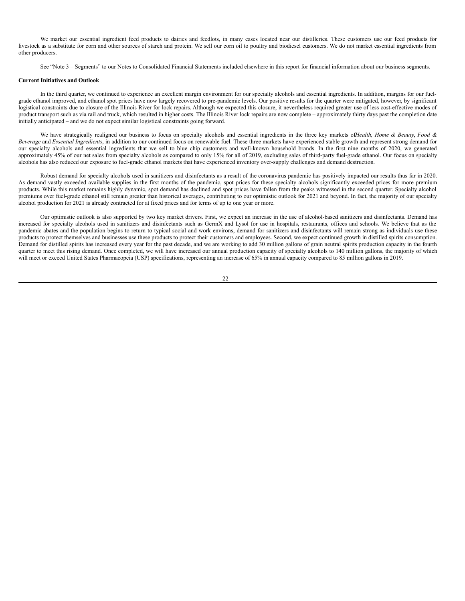We market our essential ingredient feed products to dairies and feedlots, in many cases located near our distilleries. These customers use our feed products for livestock as a substitute for corn and other sources of starch and protein. We sell our corn oil to poultry and biodiesel customers. We do not market essential ingredients from other producers.

See "Note 3 – Segments" to our Notes to Consolidated Financial Statements included elsewhere in this report for financial information about our business segments.

## **Current Initiatives and Outlook**

In the third quarter, we continued to experience an excellent margin environment for our specialty alcohols and essential ingredients. In addition, margins for our fuelgrade ethanol improved, and ethanol spot prices have now largely recovered to pre-pandemic levels. Our positive results for the quarter were mitigated, however, by significant logistical constraints due to closure of the Illinois River for lock repairs. Although we expected this closure, it nevertheless required greater use of less cost-effective modes of product transport such as via rail and truck, which resulted in higher costs. The Illinois River lock repairs are now complete – approximately thirty days past the completion date initially anticipated – and we do not expect similar logistical constraints going forward.

We have strategically realigned our business to focus on specialty alcohols and essential ingredients in the three key markets of*Health, Home & Beauty*, *Food & Beverage* and *Essential Ingredients*, in addition to our continued focus on renewable fuel. These three markets have experienced stable growth and represent strong demand for our specialty alcohols and essential ingredients that we sell to blue chip customers and well-known household brands. In the first nine months of 2020, we generated approximately 45% of our net sales from specialty alcohols as compared to only 15% for all of 2019, excluding sales of third-party fuel-grade ethanol. Our focus on specialty alcohols has also reduced our exposure to fuel-grade ethanol markets that have experienced inventory over-supply challenges and demand destruction.

Robust demand for specialty alcohols used in sanitizers and disinfectants as a result of the coronavirus pandemic has positively impacted our results thus far in 2020. As demand vastly exceeded available supplies in the first months of the pandemic, spot prices for these specialty alcohols significantly exceeded prices for more premium products. While this market remains highly dynamic, spot demand has declined and spot prices have fallen from the peaks witnessed in the second quarter. Specialty alcohol premiums over fuel-grade ethanol still remain greater than historical averages, contributing to our optimistic outlook for 2021 and beyond. In fact, the majority of our specialty alcohol production for 2021 is already contracted for at fixed prices and for terms of up to one year or more.

Our optimistic outlook is also supported by two key market drivers. First, we expect an increase in the use of alcohol-based sanitizers and disinfectants. Demand has increased for specialty alcohols used in sanitizers and disinfectants such as GermX and Lysol for use in hospitals, restaurants, offices and schools. We believe that as the pandemic abates and the population begins to return to typical social and work environs, demand for sanitizers and disinfectants will remain strong as individuals use these products to protect themselves and businesses use these products to protect their customers and employees. Second, we expect continued growth in distilled spirits consumption. Demand for distilled spirits has increased every year for the past decade, and we are working to add 30 million gallons of grain neutral spirits production capacity in the fourth quarter to meet this rising demand. Once completed, we will have increased our annual production capacity of specialty alcohols to 140 million gallons, the majority of which will meet or exceed United States Pharmacopeia (USP) specifications, representing an increase of 65% in annual capacity compared to 85 million gallons in 2019.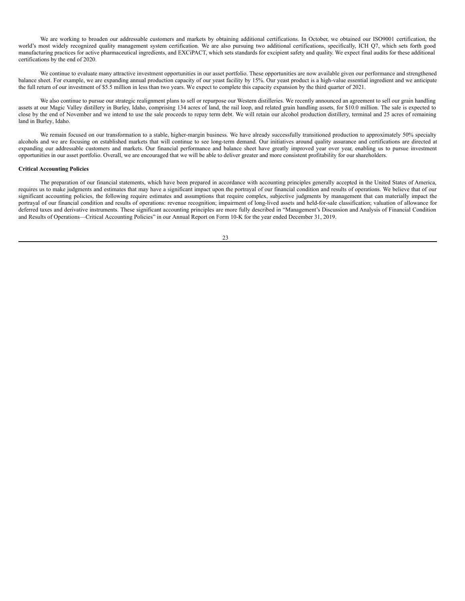We are working to broaden our addressable customers and markets by obtaining additional certifications. In October, we obtained our ISO9001 certification, the world's most widely recognized quality management system certification. We are also pursuing two additional certifications, specifically, ICH Q7, which sets forth good manufacturing practices for active pharmaceutical ingredients, and EXCiPACT, which sets standards for excipient safety and quality. We expect final audits for these additional certifications by the end of 2020.

We continue to evaluate many attractive investment opportunities in our asset portfolio. These opportunities are now available given our performance and strengthened balance sheet. For example, we are expanding annual production capacity of our yeast facility by 15%. Our yeast product is a high-value essential ingredient and we anticipate the full return of our investment of \$5.5 million in less than two years. We expect to complete this capacity expansion by the third quarter of 2021.

We also continue to pursue our strategic realignment plans to sell or repurpose our Western distilleries. We recently announced an agreement to sell our grain handling assets at our Magic Valley distillery in Burley, Idaho, comprising 134 acres of land, the rail loop, and related grain handling assets, for \$10.0 million. The sale is expected to close by the end of November and we intend to use the sale proceeds to repay term debt. We will retain our alcohol production distillery, terminal and 25 acres of remaining land in Burley, Idaho.

We remain focused on our transformation to a stable, higher-margin business. We have already successfully transitioned production to approximately 50% specialty alcohols and we are focusing on established markets that will continue to see long-term demand. Our initiatives around quality assurance and certifications are directed at expanding our addressable customers and markets. Our financial performance and balance sheet have greatly improved year over year, enabling us to pursue investment opportunities in our asset portfolio. Overall, we are encouraged that we will be able to deliver greater and more consistent profitability for our shareholders.

## **Critical Accounting Policies**

The preparation of our financial statements, which have been prepared in accordance with accounting principles generally accepted in the United States of America, requires us to make judgments and estimates that may have a significant impact upon the portrayal of our financial condition and results of operations. We believe that of our significant accounting policies, the following require estimates and assumptions that require complex, subjective judgments by management that can materially impact the portrayal of our financial condition and results of operations: revenue recognition; impairment of long-lived assets and held-for-sale classification; valuation of allowance for deferred taxes and derivative instruments. These significant accounting principles are more fully described in "Management's Discussion and Analysis of Financial Condition and Results of Operations—Critical Accounting Policies" in our Annual Report on Form 10-K for the year ended December 31, 2019.

| ł  |        |
|----|--------|
| ×, |        |
|    | I<br>I |
|    | ×<br>v |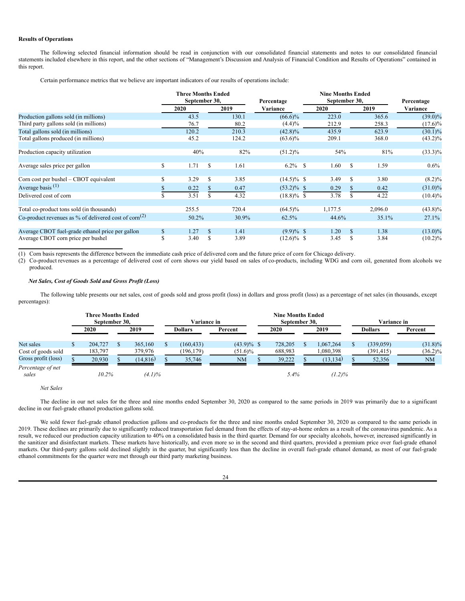## **Results of Operations**

The following selected financial information should be read in conjunction with our consolidated financial statements and notes to our consolidated financial statements included elsewhere in this report, and the other sections of "Management's Discussion and Analysis of Financial Condition and Results of Operations" contained in this report.

Certain performance metrics that we believe are important indicators of our results of operations include:

|                                                                   |    | <b>Three Months Ended</b><br>September 30, |               | Percentage | <b>Nine Months Ended</b><br>September 30, | Percentage |         |               |          |            |
|-------------------------------------------------------------------|----|--------------------------------------------|---------------|------------|-------------------------------------------|------------|---------|---------------|----------|------------|
|                                                                   |    | 2020                                       |               | 2019       | Variance                                  |            | 2020    |               | 2019     | Variance   |
| Production gallons sold (in millions)                             |    | 43.5                                       |               | 130.1      | $(66.6)\%$                                |            | 223.0   |               | 365.6    | $(39.0)\%$ |
| Third party gallons sold (in millions)                            |    | 76.7                                       |               | 80.2       | (4.4)%                                    |            | 212.9   |               | 258.3    | $(17.6)\%$ |
| Total gallons sold (in millions)                                  |    | 120.2                                      |               | 210.3      | $(42.8)\%$                                |            | 435.9   |               | 623.9    | $(30.1)\%$ |
| Total gallons produced (in millions)                              |    | 45.2                                       |               | 124.2      | $(63.6)\%$                                |            | 209.1   |               | 368.0    | $(43.2)\%$ |
| Production capacity utilization                                   |    | 40%                                        |               | 82%        | $(51.2)\%$                                |            | 54%     |               | 81%      | $(33.3)\%$ |
| Average sales price per gallon                                    | \$ | 1.71                                       | <sup>\$</sup> | 1.61       | $6.2\%$ \$                                |            | 1.60    | <sup>\$</sup> | 1.59     | 0.6%       |
| Corn cost per bushel – CBOT equivalent                            | S  | 3.29                                       | \$            | 3.85       | $(14.5)\%$ \$                             |            | 3.49    | \$            | 3.80     | $(8.2)\%$  |
| Average basis $(1)$                                               |    | 0.22                                       |               | 0.47       | $(53.2)\%$ \$                             |            | 0.29    |               | 0.42     | $(31.0)\%$ |
| Delivered cost of corn                                            |    | 3.51                                       |               | 4.32       | $(18.8)\%$ \$                             |            | 3.78    |               | 4.22     | $(10.4)\%$ |
| Total co-product tons sold (in thousands)                         |    | 255.5                                      |               | 720.4      | $(64.5)\%$                                |            | 1,177.5 |               | 2,096.0  | $(43.8)\%$ |
| Co-product revenues as % of delivered cost of corn <sup>(2)</sup> |    | 50.2%                                      |               | 30.9%      | 62.5%                                     |            | 44.6%   |               | $35.1\%$ | $27.1\%$   |
| Average CBOT fuel-grade ethanol price per gallon                  | S  | 1.27                                       | <sup>\$</sup> | 1.41       | $(9.9)\%$ \$                              |            | 1.20    | $\mathcal{S}$ | 1.38     | $(13.0)\%$ |
| Average CBOT corn price per bushel                                | S  | 3.40                                       | S             | 3.89       | $(12.6)\%$ \$                             |            | 3.45    | \$            | 3.84     | $(10.2)\%$ |

(1) Corn basis represents the difference between the immediate cash price of delivered corn and the future price of corn for Chicago delivery.

(2) Co-product revenues as a percentage of delivered cost of corn shows our yield based on sales of co-products, including WDG and corn oil, generated from alcohols we produced.

## *Net Sales, Cost of Goods Sold and Gross Profit (Loss)*

The following table presents our net sales, cost of goods sold and gross profit (loss) in dollars and gross profit (loss) as a percentage of net sales (in thousands, except percentages):

|                            | <b>Three Months Ended</b><br>September 30, |           | <b>Nine Months Ended</b><br>Variance in<br>September 30, |               |  |         |  |           |  | Variance in    |            |  |  |
|----------------------------|--------------------------------------------|-----------|----------------------------------------------------------|---------------|--|---------|--|-----------|--|----------------|------------|--|--|
|                            | 2020                                       | 2019      | <b>Dollars</b>                                           | Percent       |  | 2020    |  | 2019      |  | <b>Dollars</b> | Percent    |  |  |
| Net sales                  | 204,727                                    | 365,160   | (160.433)                                                | $(43.9)\%$ \$ |  | 728,205 |  | 1.067.264 |  | (339,059)      | $(31.8)\%$ |  |  |
| Cost of goods sold         | 183,797                                    | 379,976   | (196, 179)                                               | $(51.6)\%$    |  | 688,983 |  | 1,080,398 |  | (391, 415)     | $(36.2)\%$ |  |  |
| Gross profit (loss)        | 20,930                                     | (14, 816) | 35,746                                                   | <b>NM</b>     |  | 39,222  |  | (13, 134) |  | 52,356         | <b>NM</b>  |  |  |
| Percentage of net<br>sales | $10.2\%$                                   | $(4.1)\%$ |                                                          |               |  | 5.4%    |  | $(1.2)\%$ |  |                |            |  |  |

*Net Sales*

The decline in our net sales for the three and nine months ended September 30, 2020 as compared to the same periods in 2019 was primarily due to a significant decline in our fuel-grade ethanol production gallons sold.

We sold fewer fuel-grade ethanol production gallons and co-products for the three and nine months ended September 30, 2020 as compared to the same periods in 2019. These declines are primarily due to significantly reduced transportation fuel demand from the effects of stay-at-home orders as a result of the coronavirus pandemic. As a result, we reduced our production capacity utilization to 40% on a consolidated basis in the third quarter. Demand for our specialty alcohols, however, increased significantly in the sanitizer and disinfectant markets. These markets have historically, and even more so in the second and third quarters, provided a premium price over fuel-grade ethanol markets. Our third-party gallons sold declined slightly in the quarter, but significantly less than the decline in overall fuel-grade ethanol demand, as most of our fuel-grade ethanol commitments for the quarter were met through our third party marketing business.

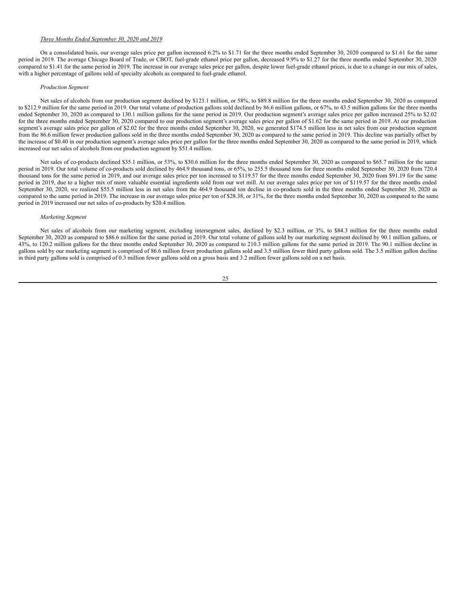#### *Three Months Ended September 30, 2020 and 2019*

On a consolidated basis, our average sales price per gallon increased 6.2% to \$1.71 for the three months ended September 30, 2020 compared to \$1.61 for the same period in 2019. The average Chicago Board of Trade, or CBOT, fuel-grade ethanol price per gallon, decreased 9.9% to \$1.27 for the three months ended September 30, 2020 compared to \$1.41 for the same period in 2019. The increase in our average sales price per gallon, despite lower fuel-grade ethanol prices, is due to a change in our mix of sales, with a higher percentage of gallons sold of specialty alcohols as compared to fuel-grade ethanol.

#### *Production Segment*

Net sales of alcohols from our production segment declined by \$123.1 million, or 58%, to \$89.8 million for the three months ended September 30, 2020 as compared to \$212.9 million for the same period in 2019. Our total volume of production gallons sold declined by 86.6 million gallons, or 67%, to 43.5 million gallons for the three months ended September 30, 2020 as compared to 130.1 million gallons for the same period in 2019. Our production segment's average sales price per gallon increased 25% to \$2.02 for the three months ended September 30, 2020 compared to our production segment's average sales price per gallon of \$1.62 for the same period in 2019. At our production segment's average sales price per gallon of \$2.02 for the three months ended September 30, 2020, we generated \$174.5 million less in net sales from our production segment from the 86.6 million fewer production gallons sold in the three months ended September 30, 2020 as compared to the same period in 2019. This decline was partially offset by the increase of \$0.40 in our production segment's average sales price per gallon for the three months ended September 30, 2020 as compared to the same period in 2019, which increased our net sales of alcohols from our production segment by \$51.4 million.

Net sales of co-products declined \$35.1 million, or 53%, to \$30.6 million for the three months ended September 30, 2020 as compared to \$65.7 million for the same period in 2019. Our total volume of co-products sold declined by 464.9 thousand tons, or 65%, to 255.5 thousand tons for three months ended September 30, 2020 from 720.4 thousand tons for the same period in 2019, and our average sales price per ton increased to \$119.57 for the three months ended September 30, 2020 from \$91.19 for the same period in 2019, due to a higher mix of more valuable essential ingredients sold from our wet mill. At our average sales price per ton of \$119.57 for the three months ended September 30, 2020, we realized \$55.5 million less in net sales from the 464.9 thousand ton decline in co-products sold in the three months ended September 30, 2020 as compared to the same period in 2019. The increase in our average sales price per ton of \$28.38, or 31%, for the three months ended September 30, 2020 as compared to the same period in 2019 increased our net sales of co-products by \$20.4 million.

## *Marketing Segment*

Net sales of alcohols from our marketing segment, excluding intersegment sales, declined by \$2.3 million, or 3%, to \$84.3 million for the three months ended September 30, 2020 as compared to \$86.6 million for the same period in 2019. Our total volume of gallons sold by our marketing segment declined by 90.1 million gallons, or 43%, to 120.2 million gallons for the three months ended September 30, 2020 as compared to 210.3 million gallons for the same period in 2019. The 90.1 million decline in gallons sold by our marketing segment is comprised of 86.6 million fewer production gallons sold and 3.5 million fewer third party gallons sold. The 3.5 million gallon decline in third party gallons sold is comprised of 0.3 million fewer gallons sold on a gross basis and 3.2 million fewer gallons sold on a net basis.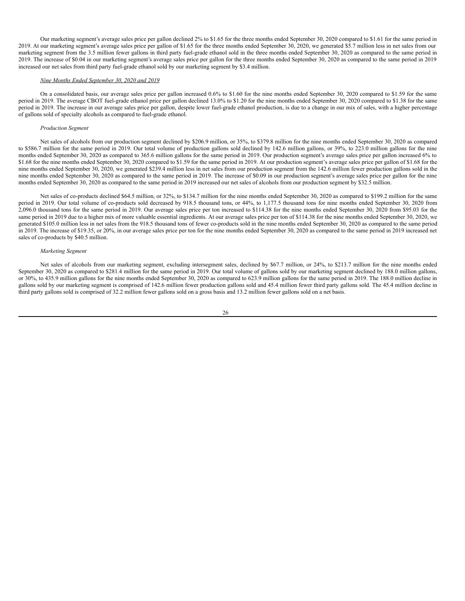Our marketing segment's average sales price per gallon declined 2% to \$1.65 for the three months ended September 30, 2020 compared to \$1.61 for the same period in 2019. At our marketing segment's average sales price per gallon of \$1.65 for the three months ended September 30, 2020, we generated \$5.7 million less in net sales from our marketing segment from the 3.5 million fewer gallons in third party fuel-grade ethanol sold in the three months ended September 30, 2020 as compared to the same period in 2019. The increase of \$0.04 in our marketing segment's average sales price per gallon for the three months ended September 30, 2020 as compared to the same period in 2019 increased our net sales from third party fuel-grade ethanol sold by our marketing segment by \$3.4 million.

## *Nine Months Ended September 30, 2020 and 2019*

On a consolidated basis, our average sales price per gallon increased 0.6% to \$1.60 for the nine months ended September 30, 2020 compared to \$1.59 for the same period in 2019. The average CBOT fuel-grade ethanol price per gallon declined 13.0% to \$1.20 for the nine months ended September 30, 2020 compared to \$1.38 for the same period in 2019. The increase in our average sales price per gallon, despite lower fuel-grade ethanol production, is due to a change in our mix of sales, with a higher percentage of gallons sold of specialty alcohols as compared to fuel-grade ethanol.

#### *Production Segment*

Net sales of alcohols from our production segment declined by \$206.9 million, or 35%, to \$379.8 million for the nine months ended September 30, 2020 as compared to \$586.7 million for the same period in 2019. Our total volume of production gallons sold declined by 142.6 million gallons, or 39%, to 223.0 million gallons for the nine months ended September 30, 2020 as compared to 365.6 million gallons for the same period in 2019. Our production segment's average sales price per gallon increased 6% to \$1.68 for the nine months ended September 30, 2020 compared to \$1.59 for the same period in 2019. At our production segment's average sales price per gallon of \$1.68 for the nine months ended September 30, 2020, we generated \$239.4 million less in net sales from our production segment from the 142.6 million fewer production gallons sold in the nine months ended September 30, 2020 as compared to the same period in 2019. The increase of \$0.09 in our production segment's average sales price per gallon for the nine months ended September 30, 2020 as compared to the same period in 2019 increased our net sales of alcohols from our production segment by \$32.5 million.

Net sales of co-products declined \$64.5 million, or 32%, to \$134.7 million for the nine months ended September 30, 2020 as compared to \$199.2 million for the same period in 2019. Our total volume of co-products sold decreased by 918.5 thousand tons, or 44%, to 1,177.5 thousand tons for nine months ended September 30, 2020 from 2,096.0 thousand tons for the same period in 2019. Our average sales price per ton increased to \$114.38 for the nine months ended September 30, 2020 from \$95.03 for the same period in 2019 due to a higher mix of more valuable essential ingredients. At our average sales price per ton of \$114.38 for the nine months ended September 30, 2020, we generated \$105.0 million less in net sales from the 918.5 thousand tons of fewer co-products sold in the nine months ended September 30, 2020 as compared to the same period in 2019. The increase of \$19.35, or 20%, in our average sales price per ton for the nine months ended September 30, 2020 as compared to the same period in 2019 increased net sales of co-products by \$40.5 million.

#### *Marketing Segment*

Net sales of alcohols from our marketing segment, excluding intersegment sales, declined by \$67.7 million, or 24%, to \$213.7 million for the nine months ended September 30, 2020 as compared to \$281.4 million for the same period in 2019. Our total volume of gallons sold by our marketing segment declined by 188.0 million gallons, or 30%, to 435.9 million gallons for the nine months ended September 30, 2020 as compared to 623.9 million gallons for the same period in 2019. The 188.0 million decline in gallons sold by our marketing segment is comprised of 142.6 million fewer production gallons sold and 45.4 million fewer third party gallons sold. The 45.4 million decline in third party gallons sold is comprised of 32.2 million fewer gallons sold on a gross basis and 13.2 million fewer gallons sold on a net basis.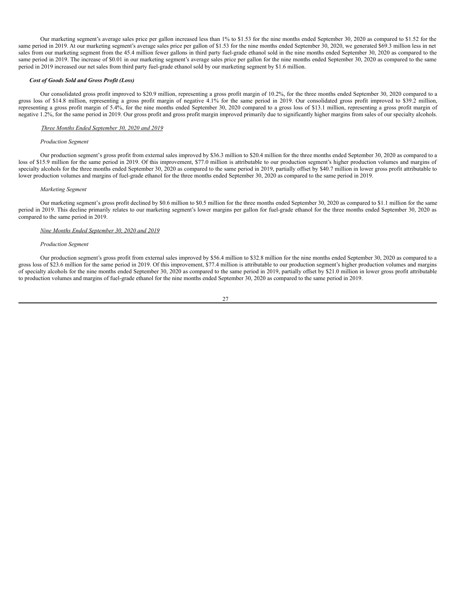Our marketing segment's average sales price per gallon increased less than 1% to \$1.53 for the nine months ended September 30, 2020 as compared to \$1.52 for the same period in 2019. At our marketing segment's average sales price per gallon of \$1.53 for the nine months ended September 30, 2020, we generated \$69.3 million less in net sales from our marketing segment from the 45.4 million fewer gallons in third party fuel-grade ethanol sold in the nine months ended September 30, 2020 as compared to the same period in 2019. The increase of \$0.01 in our marketing segment's average sales price per gallon for the nine months ended September 30, 2020 as compared to the same period in 2019 increased our net sales from third party fuel-grade ethanol sold by our marketing segment by \$1.6 million.

## *Cost of Goods Sold and Gross Profit (Loss)*

Our consolidated gross profit improved to \$20.9 million, representing a gross profit margin of 10.2%, for the three months ended September 30, 2020 compared to a gross loss of \$14.8 million, representing a gross profit margin of negative 4.1% for the same period in 2019. Our consolidated gross profit improved to \$39.2 million, representing a gross profit margin of 5.4%, for the nine months ended September 30, 2020 compared to a gross loss of \$13.1 million, representing a gross profit margin of negative 1.2%, for the same period in 2019. Our gross profit and gross profit margin improved primarily due to significantly higher margins from sales of our specialty alcohols.

#### *Three Months Ended September 30, 2020 and 2019*

#### *Production Segment*

Our production segment's gross profit from external sales improved by \$36.3 million to \$20.4 million for the three months ended September 30, 2020 as compared to a loss of \$15.9 million for the same period in 2019. Of this improvement, \$77.0 million is attributable to our production segment's higher production volumes and margins of specialty alcohols for the three months ended September 30, 2020 as compared to the same period in 2019, partially offset by \$40.7 million in lower gross profit attributable to lower production volumes and margins of fuel-grade ethanol for the three months ended September 30, 2020 as compared to the same period in 2019.

#### *Marketing Segment*

Our marketing segment's gross profit declined by \$0.6 million to \$0.5 million for the three months ended September 30, 2020 as compared to \$1.1 million for the same period in 2019. This decline primarily relates to our marketing segment's lower margins per gallon for fuel-grade ethanol for the three months ended September 30, 2020 as compared to the same period in 2019.

## *Nine Months Ended September 30, 2020 and 2019*

#### *Production Segment*

Our production segment's gross profit from external sales improved by \$56.4 million to \$32.8 million for the nine months ended September 30, 2020 as compared to a gross loss of \$23.6 million for the same period in 2019. Of this improvement, \$77.4 million is attributable to our production segment's higher production volumes and margins of specialty alcohols for the nine months ended September 30, 2020 as compared to the same period in 2019, partially offset by \$21.0 million in lower gross profit attributable to production volumes and margins of fuel-grade ethanol for the nine months ended September 30, 2020 as compared to the same period in 2019.

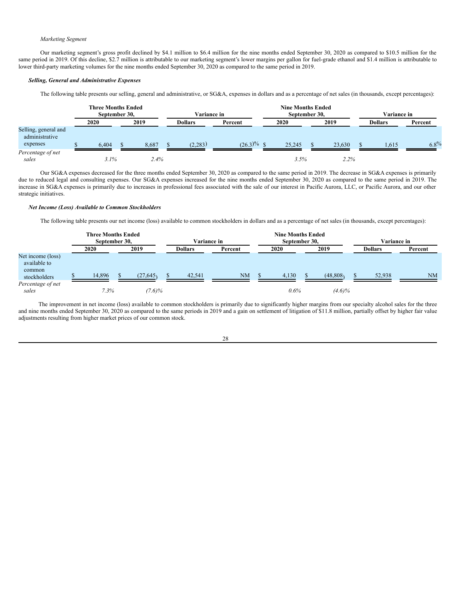#### *Marketing Segment*

Our marketing segment's gross profit declined by \$4.1 million to \$6.4 million for the nine months ended September 30, 2020 as compared to \$10.5 million for the same period in 2019. Of this decline, \$2.7 million is attributable to our marketing segment's lower margins per gallon for fuel-grade ethanol and \$1.4 million is attributable to lower third-party marketing volumes for the nine months ended September 30, 2020 as compared to the same period in 2019.

## *Selling, General and Administrative Expenses*

The following table presents our selling, general and administrative, or SG&A, expenses in dollars and as a percentage of net sales (in thousands, except percentages):

|                                                    | <b>Three Months Ended</b><br>September 30, |  |       |  |                | <b>Nine Months Ended</b><br>Variance in<br>September 30, |  |        |  |        |  | <b>Variance in</b> |         |  |  |
|----------------------------------------------------|--------------------------------------------|--|-------|--|----------------|----------------------------------------------------------|--|--------|--|--------|--|--------------------|---------|--|--|
|                                                    | 2020                                       |  | 2019  |  | <b>Dollars</b> | Percent                                                  |  | 2020   |  | 2019   |  | <b>Dollars</b>     | Percent |  |  |
| Selling, general and<br>administrative<br>expenses | 6,404                                      |  | 8,687 |  | (2, 283)       | $(26.3) \%$ \$                                           |  | 25,245 |  | 23,630 |  | 1,615              | $6.8\%$ |  |  |
|                                                    |                                            |  |       |  |                |                                                          |  |        |  |        |  |                    |         |  |  |
| Percentage of net<br>sales                         | 3.1%                                       |  | 2.4%  |  |                |                                                          |  | 3.5%   |  | 2.2%   |  |                    |         |  |  |

Our SG&A expenses decreased for the three months ended September 30, 2020 as compared to the same period in 2019. The decrease in SG&A expenses is primarily due to reduced legal and consulting expenses. Our SG&A expenses increased for the nine months ended September 30, 2020 as compared to the same period in 2019. The increase in SG&A expenses is primarily due to increases in professional fees associated with the sale of our interest in Pacific Aurora, LLC, or Pacific Aurora, and our other strategic initiatives.

#### *Net Income (Loss) Available to Common Stockholders*

The following table presents our net income (loss) available to common stockholders in dollars and as a percentage of net sales (in thousands, except percentages):

|                                                             | <b>Three Months Ended</b><br>September 30, |        |  |           | <b>Nine Months Ended</b><br>September 30,<br>Variance in |           |  |       |           | Variance in    |           |  |
|-------------------------------------------------------------|--------------------------------------------|--------|--|-----------|----------------------------------------------------------|-----------|--|-------|-----------|----------------|-----------|--|
|                                                             |                                            | 2020   |  | 2019      | Dollars                                                  | Percent   |  | 2020  | 2019      | <b>Dollars</b> | Percent   |  |
| Net income (loss)<br>available to<br>common<br>stockholders |                                            | 14,896 |  | (27,645)  | 42,541                                                   | <b>NM</b> |  | 4,130 | (48, 808) | 52,938         | <b>NM</b> |  |
| Percentage of net<br>sales                                  |                                            | 7.3%   |  | $(7.6)\%$ |                                                          |           |  | 0.6%  | $(4.6)\%$ |                |           |  |

The improvement in net income (loss) available to common stockholders is primarily due to significantly higher margins from our specialty alcohol sales for the three and nine months ended September 30, 2020 as compared to the same periods in 2019 and a gain on settlement of litigation of \$11.8 million, partially offset by higher fair value adjustments resulting from higher market prices of our common stock.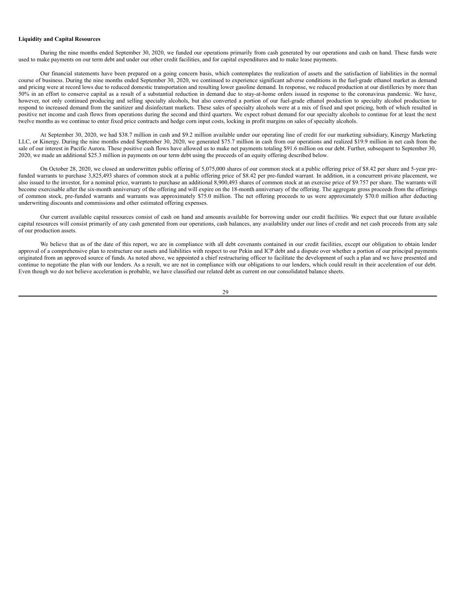## **Liquidity and Capital Resources**

During the nine months ended September 30, 2020, we funded our operations primarily from cash generated by our operations and cash on hand. These funds were used to make payments on our term debt and under our other credit facilities, and for capital expenditures and to make lease payments.

Our financial statements have been prepared on a going concern basis, which contemplates the realization of assets and the satisfaction of liabilities in the normal course of business. During the nine months ended September 30, 2020, we continued to experience significant adverse conditions in the fuel-grade ethanol market as demand and pricing were at record lows due to reduced domestic transportation and resulting lower gasoline demand. In response, we reduced production at our distilleries by more than 50% in an effort to conserve capital as a result of a substantial reduction in demand due to stay-at-home orders issued in response to the coronavirus pandemic. We have, however, not only continued producing and selling specialty alcohols, but also converted a portion of our fuel-grade ethanol production to specialty alcohol production to respond to increased demand from the sanitizer and disinfectant markets. These sales of specialty alcohols were at a mix of fixed and spot pricing, both of which resulted in positive net income and cash flows from operations during the second and third quarters. We expect robust demand for our specialty alcohols to continue for at least the next twelve months as we continue to enter fixed price contracts and hedge corn input costs, locking in profit margins on sales of specialty alcohols.

At September 30, 2020, we had \$38.7 million in cash and \$9.2 million available under our operating line of credit for our marketing subsidiary, Kinergy Marketing LLC, or Kinergy. During the nine months ended September 30, 2020, we generated \$75.7 million in cash from our operations and realized \$19.9 million in net cash from the sale of our interest in Pacific Aurora. These positive cash flows have allowed us to make net payments totaling \$91.6 million on our debt. Further, subsequent to September 30, 2020, we made an additional \$25.3 million in payments on our term debt using the proceeds of an equity offering described below.

On October 28, 2020, we closed an underwritten public offering of 5,075,000 shares of our common stock at a public offering price of \$8.42 per share and 5-year prefunded warrants to purchase 3,825,493 shares of common stock at a public offering price of \$8.42 per pre-funded warrant. In addition, in a concurrent private placement, we also issued to the investor, for a nominal price, warrants to purchase an additional 8,900,493 shares of common stock at an exercise price of \$9.757 per share. The warrants will become exercisable after the six-month anniversary of the offering and will expire on the 18-month anniversary of the offering. The aggregate gross proceeds from the offerings of common stock, pre-funded warrants and warrants was approximately \$75.0 million. The net offering proceeds to us were approximately \$70.0 million after deducting underwriting discounts and commissions and other estimated offering expenses.

Our current available capital resources consist of cash on hand and amounts available for borrowing under our credit facilities. We expect that our future available capital resources will consist primarily of any cash generated from our operations, cash balances, any availability under our lines of credit and net cash proceeds from any sale of our production assets.

We believe that as of the date of this report, we are in compliance with all debt covenants contained in our credit facilities, except our obligation to obtain lender approval of a comprehensive plan to restructure our assets and liabilities with respect to our Pekin and ICP debt and a dispute over whether a portion of our principal payments originated from an approved source of funds. As noted above, we appointed a chief restructuring officer to facilitate the development of such a plan and we have presented and continue to negotiate the plan with our lenders. As a result, we are not in compliance with our obligations to our lenders, which could result in their acceleration of our debt. Even though we do not believe acceleration is probable, we have classified our related debt as current on our consolidated balance sheets.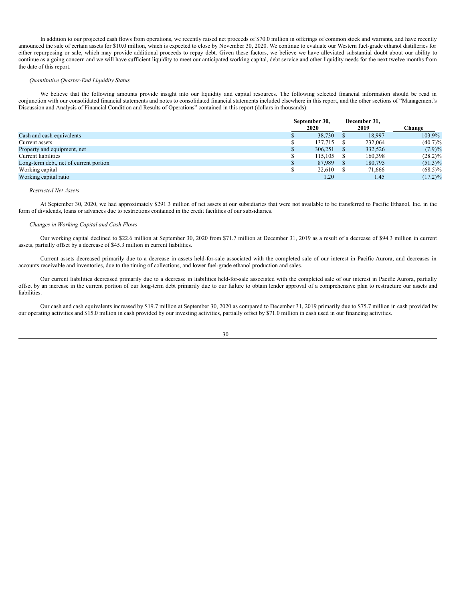In addition to our projected cash flows from operations, we recently raised net proceeds of \$70.0 million in offerings of common stock and warrants, and have recently announced the sale of certain assets for \$10.0 million, which is expected to close by November 30, 2020. We continue to evaluate our Western fuel-grade ethanol distilleries for either repurposing or sale, which may provide additional proceeds to repay debt. Given these factors, we believe we have alleviated substantial doubt about our ability to continue as a going concern and we will have sufficient liquidity to meet our anticipated working capital, debt service and other liquidity needs for the next twelve months from the date of this report.

## *Quantitative Quarter-End Liquidity Status*

We believe that the following amounts provide insight into our liquidity and capital resources. The following selected financial information should be read in conjunction with our consolidated financial statements and notes to consolidated financial statements included elsewhere in this report, and the other sections of "Management's Discussion and Analysis of Financial Condition and Results of Operations" contained in this report (dollars in thousands):

|                                        | September 30. |         |  | December 31, |            |
|----------------------------------------|---------------|---------|--|--------------|------------|
|                                        |               | 2020    |  | 2019         | Change     |
| Cash and cash equivalents              |               | 38,730  |  | 18.997       | 103.9%     |
| Current assets                         |               | 137.715 |  | 232,064      | $(40.7)\%$ |
| Property and equipment, net            | <sup>S</sup>  | 306,251 |  | 332,526      | $(7.9)\%$  |
| Current liabilities                    |               | 115,105 |  | 160,398      | $(28.2)\%$ |
| Long-term debt, net of current portion |               | 87,989  |  | 180,795      | $(51.3)\%$ |
| Working capital                        |               | 22.610  |  | 71,666       | $(68.5)\%$ |
| Working capital ratio                  |               | 1.20    |  | 1.45         | $(17.2)\%$ |

#### *Restricted Net Assets*

At September 30, 2020, we had approximately \$291.3 million of net assets at our subsidiaries that were not available to be transferred to Pacific Ethanol, Inc. in the form of dividends, loans or advances due to restrictions contained in the credit facilities of our subsidiaries.

## *Changes in Working Capital and Cash Flows*

Our working capital declined to \$22.6 million at September 30, 2020 from \$71.7 million at December 31, 2019 as a result of a decrease of \$94.3 million in current assets, partially offset by a decrease of \$45.3 million in current liabilities.

Current assets decreased primarily due to a decrease in assets held-for-sale associated with the completed sale of our interest in Pacific Aurora, and decreases in accounts receivable and inventories, due to the timing of collections, and lower fuel-grade ethanol production and sales.

Our current liabilities decreased primarily due to a decrease in liabilities held-for-sale associated with the completed sale of our interest in Pacific Aurora, partially offset by an increase in the current portion of our long-term debt primarily due to our failure to obtain lender approval of a comprehensive plan to restructure our assets and liabilities.

Our cash and cash equivalents increased by \$19.7 million at September 30, 2020 as compared to December 31, 2019 primarily due to \$75.7 million in cash provided by our operating activities and \$15.0 million in cash provided by our investing activities, partially offset by \$71.0 million in cash used in our financing activities.

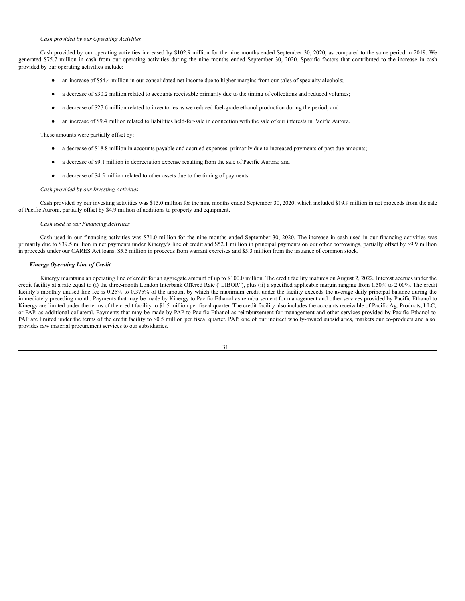#### *Cash provided by our Operating Activities*

Cash provided by our operating activities increased by \$102.9 million for the nine months ended September 30, 2020, as compared to the same period in 2019. We generated \$75.7 million in cash from our operating activities during the nine months ended September 30, 2020. Specific factors that contributed to the increase in cash provided by our operating activities include:

- an increase of \$54.4 million in our consolidated net income due to higher margins from our sales of specialty alcohols;
- a decrease of \$30.2 million related to accounts receivable primarily due to the timing of collections and reduced volumes;
- a decrease of \$27.6 million related to inventories as we reduced fuel-grade ethanol production during the period; and
- an increase of \$9.4 million related to liabilities held-for-sale in connection with the sale of our interests in Pacific Aurora.

These amounts were partially offset by:

- a decrease of \$18.8 million in accounts payable and accrued expenses, primarily due to increased payments of past due amounts;
- a decrease of \$9.1 million in depreciation expense resulting from the sale of Pacific Aurora; and
- a decrease of \$4.5 million related to other assets due to the timing of payments.

#### *Cash provided by our Investing Activities*

Cash provided by our investing activities was \$15.0 million for the nine months ended September 30, 2020, which included \$19.9 million in net proceeds from the sale of Pacific Aurora, partially offset by \$4.9 million of additions to property and equipment.

#### *Cash used in our Financing Activities*

Cash used in our financing activities was \$71.0 million for the nine months ended September 30, 2020. The increase in cash used in our financing activities was primarily due to \$39.5 million in net payments under Kinergy's line of credit and \$52.1 million in principal payments on our other borrowings, partially offset by \$9.9 million in proceeds under our CARES Act loans, \$5.5 million in proceeds from warrant exercises and \$5.3 million from the issuance of common stock.

#### *Kinergy Operating Line of Credit*

Kinergy maintains an operating line of credit for an aggregate amount of up to \$100.0 million. The credit facility matures on August 2, 2022. Interest accrues under the credit facility at a rate equal to (i) the three-month London Interbank Offered Rate ("LIBOR"), plus (ii) a specified applicable margin ranging from 1.50% to 2.00%. The credit facility's monthly unused line fee is 0.25% to 0.375% of the amount by which the maximum credit under the facility exceeds the average daily principal balance during the immediately preceding month. Payments that may be made by Kinergy to Pacific Ethanol as reimbursement for management and other services provided by Pacific Ethanol to Kinergy are limited under the terms of the credit facility to \$1.5 million per fiscal quarter. The credit facility also includes the accounts receivable of Pacific Ag. Products, LLC, or PAP, as additional collateral. Payments that may be made by PAP to Pacific Ethanol as reimbursement for management and other services provided by Pacific Ethanol to PAP are limited under the terms of the credit facility to \$0.5 million per fiscal quarter. PAP, one of our indirect wholly-owned subsidiaries, markets our co-products and also provides raw material procurement services to our subsidiaries.

| I            |  |
|--------------|--|
| I<br>i<br>۰. |  |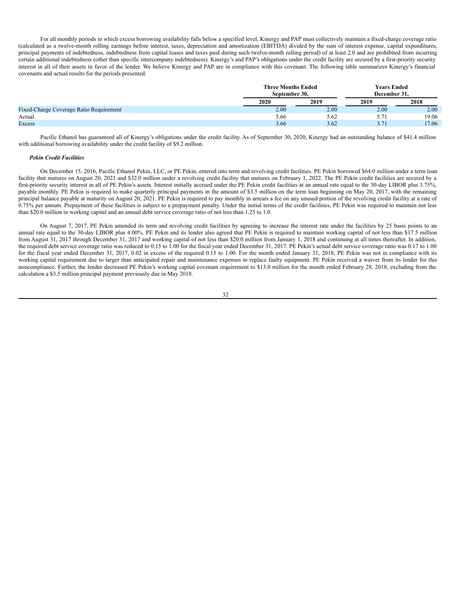For all monthly periods in which excess borrowing availability falls below a specified level, Kinergy and PAP must collectively maintain a fixed-charge coverage ratio (calculated as a twelve-month rolling earnings before interest, taxes, depreciation and amortization (EBITDA) divided by the sum of interest expense, capital expenditures, principal payments of indebtedness, indebtedness from capital leases and taxes paid during such twelve-month rolling period) of at least 2.0 and are prohibited from incurring certain additional indebtedness (other than specific intercompany indebtedness). Kinergy's and PAP's obligations under the credit facility are secured by a first-priority security interest in all of their assets in favor of the lender. We believe Kinergy and PAP are in compliance with this covenant. The following table summarizes Kinergy's financial covenants and actual results for the periods presented:

|                                                | <b>Three Months Ended</b> |      | <b>Years Ended</b> |       |  |
|------------------------------------------------|---------------------------|------|--------------------|-------|--|
|                                                | September 30.             |      | December 31.       |       |  |
|                                                | 2020                      | 2019 | 2019               | 2018  |  |
| <b>Fixed-Charge Coverage Ratio Requirement</b> | 2.00                      | 2.00 | 2.00               | 2.00  |  |
| Actual                                         | 5.66                      | 5.62 | 5.7                | 19.06 |  |
| Excess                                         | 3.66                      | 3.62 | 3.71               | 17.06 |  |

Pacific Ethanol has guaranteed all of Kinergy's obligations under the credit facility. As of September 30, 2020, Kinergy had an outstanding balance of \$41.4 million with additional borrowing availability under the credit facility of \$9.2 million.

#### *Pekin Credit Facilities*

On December 15, 2016, Pacific Ethanol Pekin, LLC, or PE Pekin, entered into term and revolving credit facilities. PE Pekin borrowed \$64.0 million under a term loan facility that matures on August 20, 2021 and \$32.0 million under a revolving credit facility that matures on February 1, 2022. The PE Pekin credit facilities are secured by a first-priority security interest in all of PE Pekin's assets. Interest initially accrued under the PE Pekin credit facilities at an annual rate equal to the 30-day LIBOR plus 3.75%, payable monthly. PE Pekin is required to make quarterly principal payments in the amount of \$3.5 million on the term loan beginning on May 20, 2017, with the remaining principal balance payable at maturity on August 20, 2021. PE Pekin is required to pay monthly in arrears a fee on any unused portion of the revolving credit facility at a rate of 0.75% per annum. Prepayment of these facilities is subject to a prepayment penalty. Under the initial terms of the credit facilities, PE Pekin was required to maintain not less than \$20.0 million in working capital and an annual debt service coverage ratio of not less than 1.25 to 1.0.

On August 7, 2017, PE Pekin amended its term and revolving credit facilities by agreeing to increase the interest rate under the facilities by 25 basis points to an annual rate equal to the 30-day LIBOR plus 4.00%. PE Pekin and its lender also agreed that PE Pekin is required to maintain working capital of not less than \$17.5 million from August 31, 2017 through December 31, 2017 and working capital of not less than \$20.0 million from January 1, 2018 and continuing at all times thereafter. In addition, the required debt service coverage ratio was reduced to 0.15 to 1.00 for the fiscal year ended December 31, 2017. PE Pekin's actual debt service coverage ratio was 0.17 to 1.00 for the fiscal year ended December 31, 2017, 0.02 in excess of the required 0.15 to 1.00. For the month ended January 31, 2018, PE Pekin was not in compliance with its working capital requirement due to larger than anticipated repair and maintenance expenses to replace faulty equipment. PE Pekin received a waiver from its lender for this noncompliance. Further, the lender decreased PE Pekin's working capital covenant requirement to \$13.0 million for the month ended February 28, 2018, excluding from the calculation a \$3.5 million principal payment previously due in May 2018.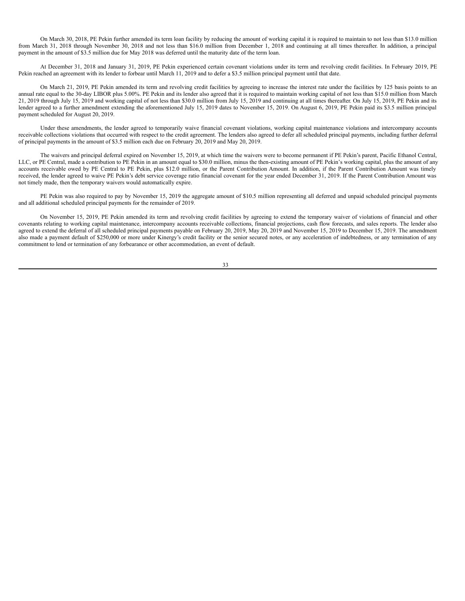On March 30, 2018, PE Pekin further amended its term loan facility by reducing the amount of working capital it is required to maintain to not less than \$13.0 million from March 31, 2018 through November 30, 2018 and not less than \$16.0 million from December 1, 2018 and continuing at all times thereafter. In addition, a principal payment in the amount of \$3.5 million due for May 2018 was deferred until the maturity date of the term loan.

At December 31, 2018 and January 31, 2019, PE Pekin experienced certain covenant violations under its term and revolving credit facilities. In February 2019, PE Pekin reached an agreement with its lender to forbear until March 11, 2019 and to defer a \$3.5 million principal payment until that date.

On March 21, 2019, PE Pekin amended its term and revolving credit facilities by agreeing to increase the interest rate under the facilities by 125 basis points to an annual rate equal to the 30-day LIBOR plus 5.00%. PE Pekin and its lender also agreed that it is required to maintain working capital of not less than \$15.0 million from March 21, 2019 through July 15, 2019 and working capital of not less than \$30.0 million from July 15, 2019 and continuing at all times thereafter. On July 15, 2019, PE Pekin and its lender agreed to a further amendment extending the aforementioned July 15, 2019 dates to November 15, 2019. On August 6, 2019, PE Pekin paid its \$3.5 million principal payment scheduled for August 20, 2019.

Under these amendments, the lender agreed to temporarily waive financial covenant violations, working capital maintenance violations and intercompany accounts receivable collections violations that occurred with respect to the credit agreement. The lenders also agreed to defer all scheduled principal payments, including further deferral of principal payments in the amount of \$3.5 million each due on February 20, 2019 and May 20, 2019.

The waivers and principal deferral expired on November 15, 2019, at which time the waivers were to become permanent if PE Pekin's parent, Pacific Ethanol Central, LLC, or PE Central, made a contribution to PE Pekin in an amount equal to \$30.0 million, minus the then-existing amount of PE Pekin's working capital, plus the amount of any accounts receivable owed by PE Central to PE Pekin, plus \$12.0 million, or the Parent Contribution Amount. In addition, if the Parent Contribution Amount was timely received, the lender agreed to waive PE Pekin's debt service coverage ratio financial covenant for the year ended December 31, 2019. If the Parent Contribution Amount was not timely made, then the temporary waivers would automatically expire.

PE Pekin was also required to pay by November 15, 2019 the aggregate amount of \$10.5 million representing all deferred and unpaid scheduled principal payments and all additional scheduled principal payments for the remainder of 2019.

On November 15, 2019, PE Pekin amended its term and revolving credit facilities by agreeing to extend the temporary waiver of violations of financial and other covenants relating to working capital maintenance, intercompany accounts receivable collections, financial projections, cash flow forecasts, and sales reports. The lender also agreed to extend the deferral of all scheduled principal payments payable on February 20, 2019, May 20, 2019 and November 15, 2019 to December 15, 2019. The amendment also made a payment default of \$250,000 or more under Kinergy's credit facility or the senior secured notes, or any acceleration of indebtedness, or any termination of any commitment to lend or termination of any forbearance or other accommodation, an event of default.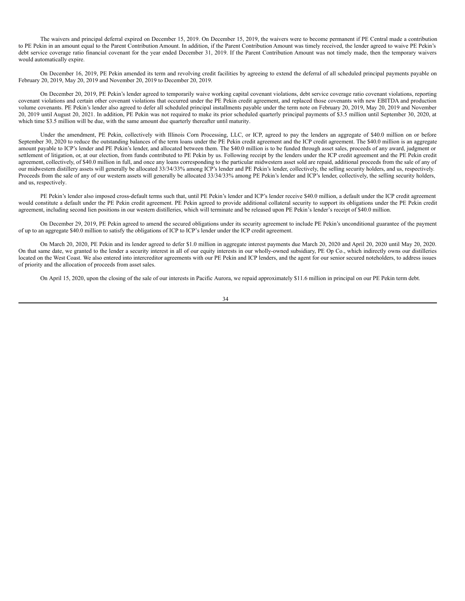The waivers and principal deferral expired on December 15, 2019. On December 15, 2019, the waivers were to become permanent if PE Central made a contribution to PE Pekin in an amount equal to the Parent Contribution Amount. In addition, if the Parent Contribution Amount was timely received, the lender agreed to waive PE Pekin's debt service coverage ratio financial covenant for the year ended December 31, 2019. If the Parent Contribution Amount was not timely made, then the temporary waivers would automatically expire.

On December 16, 2019, PE Pekin amended its term and revolving credit facilities by agreeing to extend the deferral of all scheduled principal payments payable on February 20, 2019, May 20, 2019 and November 20, 2019 to December 20, 2019.

On December 20, 2019, PE Pekin's lender agreed to temporarily waive working capital covenant violations, debt service coverage ratio covenant violations, reporting covenant violations and certain other covenant violations that occurred under the PE Pekin credit agreement, and replaced those covenants with new EBITDA and production volume covenants. PE Pekin's lender also agreed to defer all scheduled principal installments payable under the term note on February 20, 2019, May 20, 2019 and November 20, 2019 until August 20, 2021. In addition, PE Pekin was not required to make its prior scheduled quarterly principal payments of \$3.5 million until September 30, 2020, at which time \$3.5 million will be due, with the same amount due quarterly thereafter until maturity.

Under the amendment, PE Pekin, collectively with Illinois Corn Processing, LLC, or ICP, agreed to pay the lenders an aggregate of \$40.0 million on or before September 30, 2020 to reduce the outstanding balances of the term loans under the PE Pekin credit agreement and the ICP credit agreement. The \$40.0 million is an aggregate amount payable to ICP's lender and PE Pekin's lender, and allocated between them. The \$40.0 million is to be funded through asset sales, proceeds of any award, judgment or settlement of litigation, or, at our election, from funds contributed to PE Pekin by us. Following receipt by the lenders under the ICP credit agreement and the PE Pekin credit agreement, collectively, of \$40.0 million in full, and once any loans corresponding to the particular midwestern asset sold are repaid, additional proceeds from the sale of any of our midwestern distillery assets will generally be allocated 33/34/33% among ICP's lender and PE Pekin's lender, collectively, the selling security holders, and us, respectively. Proceeds from the sale of any of our western assets will generally be allocated 33/34/33% among PE Pekin's lender and ICP's lender, collectively, the selling security holders, and us, respectively.

PE Pekin's lender also imposed cross-default terms such that, until PE Pekin's lender and ICP's lender receive \$40.0 million, a default under the ICP credit agreement would constitute a default under the PE Pekin credit agreement. PE Pekin agreed to provide additional collateral security to support its obligations under the PE Pekin credit agreement, including second lien positions in our western distilleries, which will terminate and be released upon PE Pekin's lender's receipt of \$40.0 million.

On December 29, 2019, PE Pekin agreed to amend the secured obligations under its security agreement to include PE Pekin's unconditional guarantee of the payment of up to an aggregate \$40.0 million to satisfy the obligations of ICP to ICP's lender under the ICP credit agreement.

On March 20, 2020, PE Pekin and its lender agreed to defer \$1.0 million in aggregate interest payments due March 20, 2020 and April 20, 2020 until May 20, 2020. On that same date, we granted to the lender a security interest in all of our equity interests in our wholly-owned subsidiary, PE Op Co., which indirectly owns our distilleries located on the West Coast. We also entered into intercreditor agreements with our PE Pekin and ICP lenders, and the agent for our senior secured noteholders, to address issues of priority and the allocation of proceeds from asset sales.

On April 15, 2020, upon the closing of the sale of our interests in Pacific Aurora, we repaid approximately \$11.6 million in principal on our PE Pekin term debt.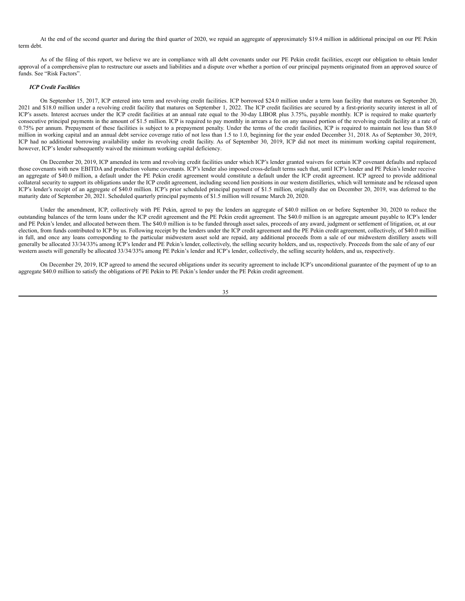At the end of the second quarter and during the third quarter of 2020, we repaid an aggregate of approximately \$19.4 million in additional principal on our PE Pekin term debt.

As of the filing of this report, we believe we are in compliance with all debt covenants under our PE Pekin credit facilities, except our obligation to obtain lender approval of a comprehensive plan to restructure our assets and liabilities and a dispute over whether a portion of our principal payments originated from an approved source of funds. See "Risk Factors".

## *ICP Credit Facilities*

On September 15, 2017, ICP entered into term and revolving credit facilities. ICP borrowed \$24.0 million under a term loan facility that matures on September 20, 2021 and \$18.0 million under a revolving credit facility that matures on September 1, 2022. The ICP credit facilities are secured by a first-priority security interest in all of ICP's assets. Interest accrues under the ICP credit facilities at an annual rate equal to the 30-day LIBOR plus 3.75%, payable monthly. ICP is required to make quarterly consecutive principal payments in the amount of \$1.5 million. ICP is required to pay monthly in arrears a fee on any unused portion of the revolving credit facility at a rate of 0.75% per annum. Prepayment of these facilities is subject to a prepayment penalty. Under the terms of the credit facilities, ICP is required to maintain not less than \$8.0 million in working capital and an annual debt service coverage ratio of not less than 1.5 to 1.0, beginning for the year ended December 31, 2018. As of September 30, 2019, ICP had no additional borrowing availability under its revolving credit facility. As of September 30, 2019, ICP did not meet its minimum working capital requirement, however, ICP's lender subsequently waived the minimum working capital deficiency.

On December 20, 2019, ICP amended its term and revolving credit facilities under which ICP's lender granted waivers for certain ICP covenant defaults and replaced those covenants with new EBITDA and production volume covenants. ICP's lender also imposed cross-default terms such that, until ICP's lender and PE Pekin's lender receive an aggregate of \$40.0 million, a default under the PE Pekin credit agreement would constitute a default under the ICP credit agreement. ICP agreed to provide additional collateral security to support its obligations under the ICP credit agreement, including second lien positions in our western distilleries, which will terminate and be released upon ICP's lender's receipt of an aggregate of \$40.0 million. ICP's prior scheduled principal payment of \$1.5 million, originally due on December 20, 2019, was deferred to the maturity date of September 20, 2021. Scheduled quarterly principal payments of \$1.5 million will resume March 20, 2020.

Under the amendment, ICP, collectively with PE Pekin, agreed to pay the lenders an aggregate of \$40.0 million on or before September 30, 2020 to reduce the outstanding balances of the term loans under the ICP credit agreement and the PE Pekin credit agreement. The \$40.0 million is an aggregate amount payable to ICP's lender and PE Pekin's lender, and allocated between them. The \$40.0 million is to be funded through asset sales, proceeds of any award, judgment or settlement of litigation, or, at our election, from funds contributed to ICP by us. Following receipt by the lenders under the ICP credit agreement and the PE Pekin credit agreement, collectively, of \$40.0 million in full, and once any loans corresponding to the particular midwestern asset sold are repaid, any additional proceeds from a sale of our midwestern distillery assets will generally be allocated 33/34/33% among ICP's lender and PE Pekin's lender, collectively, the selling security holders, and us, respectively. Proceeds from the sale of any of our western assets will generally be allocated 33/34/33% among PE Pekin's lender and ICP's lender, collectively, the selling security holders, and us, respectively.

On December 29, 2019, ICP agreed to amend the secured obligations under its security agreement to include ICP's unconditional guarantee of the payment of up to an aggregate \$40.0 million to satisfy the obligations of PE Pekin to PE Pekin's lender under the PE Pekin credit agreement.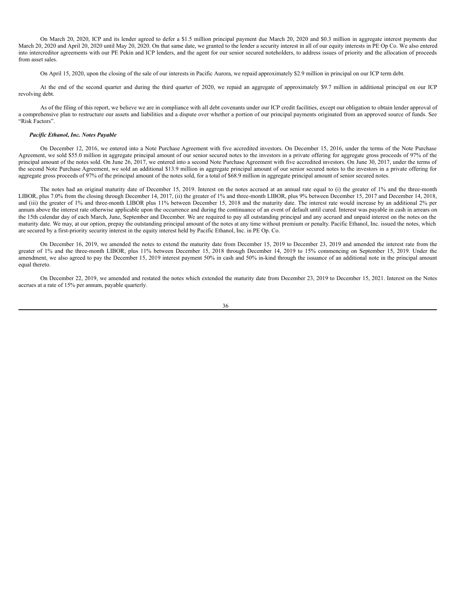On March 20, 2020, ICP and its lender agreed to defer a \$1.5 million principal payment due March 20, 2020 and \$0.3 million in aggregate interest payments due March 20, 2020 and April 20, 2020 until May 20, 2020. On that same date, we granted to the lender a security interest in all of our equity interests in PE Op Co. We also entered into intercreditor agreements with our PE Pekin and ICP lenders, and the agent for our senior secured noteholders, to address issues of priority and the allocation of proceeds from asset sales.

On April 15, 2020, upon the closing of the sale of our interests in Pacific Aurora, we repaid approximately \$2.9 million in principal on our ICP term debt.

At the end of the second quarter and during the third quarter of 2020, we repaid an aggregate of approximately \$9.7 million in additional principal on our ICP revolving debt.

As of the filing of this report, we believe we are in compliance with all debt covenants under our ICP credit facilities, except our obligation to obtain lender approval of a comprehensive plan to restructure our assets and liabilities and a dispute over whether a portion of our principal payments originated from an approved source of funds. See "Risk Factors".

## *Pacific Ethanol, Inc. Notes Payable*

On December 12, 2016, we entered into a Note Purchase Agreement with five accredited investors. On December 15, 2016, under the terms of the Note Purchase Agreement, we sold \$55.0 million in aggregate principal amount of our senior secured notes to the investors in a private offering for aggregate gross proceeds of 97% of the principal amount of the notes sold. On June 26, 2017, we entered into a second Note Purchase Agreement with five accredited investors. On June 30, 2017, under the terms of the second Note Purchase Agreement, we sold an additional \$13.9 million in aggregate principal amount of our senior secured notes to the investors in a private offering for aggregate gross proceeds of 97% of the principal amount of the notes sold, for a total of \$68.9 million in aggregate principal amount of senior secured notes.

The notes had an original maturity date of December 15, 2019. Interest on the notes accrued at an annual rate equal to (i) the greater of 1% and the three-month LIBOR, plus 7.0% from the closing through December 14, 2017, (ii) the greater of 1% and three-month LIBOR, plus 9% between December 15, 2017 and December 14, 2018, and (iii) the greater of 1% and three-month LIBOR plus 11% between December 15, 2018 and the maturity date. The interest rate would increase by an additional 2% per annum above the interest rate otherwise applicable upon the occurrence and during the continuance of an event of default until cured. Interest was payable in cash in arrears on the 15th calendar day of each March, June, September and December. We are required to pay all outstanding principal and any accrued and unpaid interest on the notes on the maturity date. We may, at our option, prepay the outstanding principal amount of the notes at any time without premium or penalty. Pacific Ethanol, Inc. issued the notes, which are secured by a first-priority security interest in the equity interest held by Pacific Ethanol, Inc. in PE Op. Co.

On December 16, 2019, we amended the notes to extend the maturity date from December 15, 2019 to December 23, 2019 and amended the interest rate from the greater of 1% and the three-month LIBOR, plus 11% between December 15, 2018 through December 14, 2019 to 15% commencing on September 15, 2019. Under the amendment, we also agreed to pay the December 15, 2019 interest payment 50% in cash and 50% in-kind through the issuance of an additional note in the principal amount equal thereto.

On December 22, 2019, we amended and restated the notes which extended the maturity date from December 23, 2019 to December 15, 2021. Interest on the Notes accrues at a rate of 15% per annum, payable quarterly.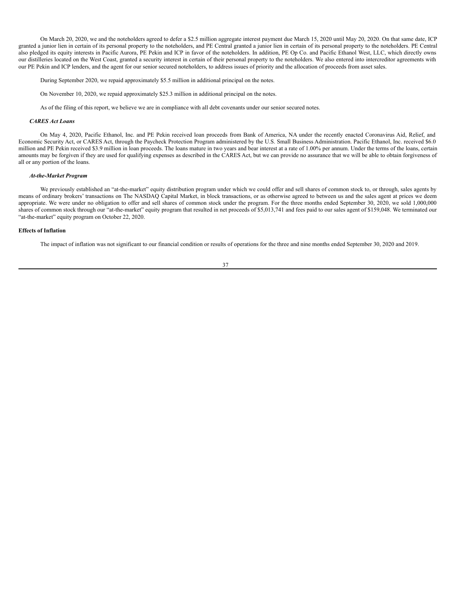On March 20, 2020, we and the noteholders agreed to defer a \$2.5 million aggregate interest payment due March 15, 2020 until May 20, 2020. On that same date, ICP granted a junior lien in certain of its personal property to the noteholders, and PE Central granted a junior lien in certain of its personal property to the noteholders. PE Central also pledged its equity interests in Pacific Aurora, PE Pekin and ICP in favor of the noteholders. In addition, PE Op Co. and Pacific Ethanol West, LLC, which directly owns our distilleries located on the West Coast, granted a security interest in certain of their personal property to the noteholders. We also entered into intercreditor agreements with our PE Pekin and ICP lenders, and the agent for our senior secured noteholders, to address issues of priority and the allocation of proceeds from asset sales.

During September 2020, we repaid approximately \$5.5 million in additional principal on the notes.

On November 10, 2020, we repaid approximately \$25.3 million in additional principal on the notes.

As of the filing of this report, we believe we are in compliance with all debt covenants under our senior secured notes.

#### *CARES Act Loans*

On May 4, 2020, Pacific Ethanol, Inc. and PE Pekin received loan proceeds from Bank of America, NA under the recently enacted Coronavirus Aid, Relief, and Economic Security Act, or CARES Act, through the Paycheck Protection Program administered by the U.S. Small Business Administration. Pacific Ethanol, Inc. received \$6.0 million and PE Pekin received \$3.9 million in loan proceeds. The loans mature in two years and bear interest at a rate of 1.00% per annum. Under the terms of the loans, certain amounts may be forgiven if they are used for qualifying expenses as described in the CARES Act, but we can provide no assurance that we will be able to obtain forgiveness of all or any portion of the loans.

#### *At-the-Market Program*

We previously established an "at-the-market" equity distribution program under which we could offer and sell shares of common stock to, or through, sales agents by means of ordinary brokers' transactions on The NASDAQ Capital Market, in block transactions, or as otherwise agreed to between us and the sales agent at prices we deem appropriate. We were under no obligation to offer and sell shares of common stock under the program. For the three months ended September 30, 2020, we sold 1,000,000 shares of common stock through our "at-the-market" equity program that resulted in net proceeds of \$5,013,741 and fees paid to our sales agent of \$159,048. We terminated our "at-the-market" equity program on October 22, 2020.

## **Effects of Inflation**

The impact of inflation was not significant to our financial condition or results of operations for the three and nine months ended September 30, 2020 and 2019.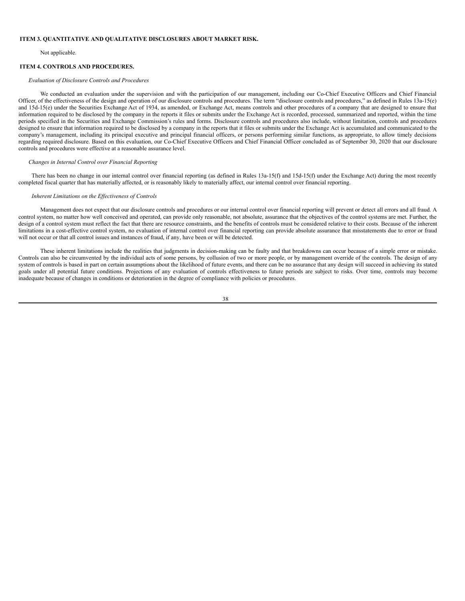#### <span id="page-39-0"></span>**ITEM 3. QUANTITATIVE AND QUALITATIVE DISCLOSURES ABOUT MARKET RISK.**

#### Not applicable.

## <span id="page-39-1"></span>**ITEM 4. CONTROLS AND PROCEDURES.**

## *Evaluation of Disclosure Controls and Procedures*

We conducted an evaluation under the supervision and with the participation of our management, including our Co-Chief Executive Officers and Chief Financial Officer, of the effectiveness of the design and operation of our disclosure controls and procedures. The term "disclosure controls and procedures," as defined in Rules 13a-15(e) and 15d-15(e) under the Securities Exchange Act of 1934, as amended, or Exchange Act, means controls and other procedures of a company that are designed to ensure that information required to be disclosed by the company in the reports it files or submits under the Exchange Act is recorded, processed, summarized and reported, within the time periods specified in the Securities and Exchange Commission's rules and forms. Disclosure controls and procedures also include, without limitation, controls and procedures designed to ensure that information required to be disclosed by a company in the reports that it files or submits under the Exchange Act is accumulated and communicated to the company's management, including its principal executive and principal financial officers, or persons performing similar functions, as appropriate, to allow timely decisions regarding required disclosure. Based on this evaluation, our Co-Chief Executive Officers and Chief Financial Officer concluded as of September 30, 2020 that our disclosure controls and procedures were effective at a reasonable assurance level.

## *Changes in Internal Control over Financial Reporting*

There has been no change in our internal control over financial reporting (as defined in Rules 13a-15(f) and 15d-15(f) under the Exchange Act) during the most recently completed fiscal quarter that has materially affected, or is reasonably likely to materially affect, our internal control over financial reporting.

### *Inherent Limitations on the Ef ectiveness of Controls*

Management does not expect that our disclosure controls and procedures or our internal control over financial reporting will prevent or detect all errors and all fraud. A control system, no matter how well conceived and operated, can provide only reasonable, not absolute, assurance that the objectives of the control systems are met. Further, the design of a control system must reflect the fact that there are resource constraints, and the benefits of controls must be considered relative to their costs. Because of the inherent limitations in a cost-effective control system, no evaluation of internal control over financial reporting can provide absolute assurance that misstatements due to error or fraud will not occur or that all control issues and instances of fraud, if any, have been or will be detected.

These inherent limitations include the realities that judgments in decision-making can be faulty and that breakdowns can occur because of a simple error or mistake. Controls can also be circumvented by the individual acts of some persons, by collusion of two or more people, or by management override of the controls. The design of any system of controls is based in part on certain assumptions about the likelihood of future events, and there can be no assurance that any design will succeed in achieving its stated goals under all potential future conditions. Projections of any evaluation of controls effectiveness to future periods are subject to risks. Over time, controls may become inadequate because of changes in conditions or deterioration in the degree of compliance with policies or procedures.

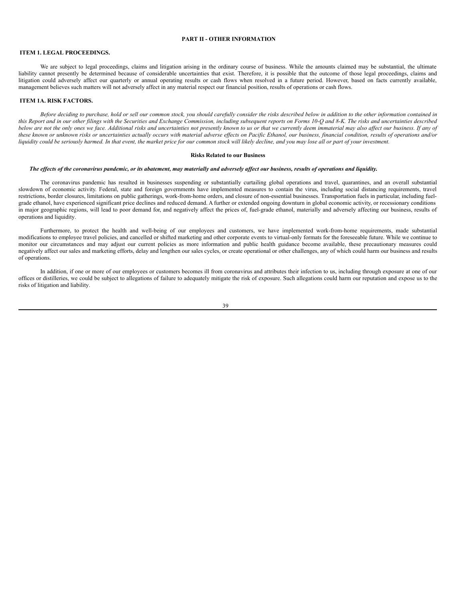## <span id="page-40-0"></span>**PART II - OTHER INFORMATION**

## <span id="page-40-1"></span>**ITEM 1. LEGAL PROCEEDINGS.**

We are subject to legal proceedings, claims and litigation arising in the ordinary course of business. While the amounts claimed may be substantial, the ultimate liability cannot presently be determined because of considerable uncertainties that exist. Therefore, it is possible that the outcome of those legal proceedings, claims and litigation could adversely affect our quarterly or annual operating results or cash flows when resolved in a future period. However, based on facts currently available, management believes such matters will not adversely affect in any material respect our financial position, results of operations or cash flows.

## <span id="page-40-2"></span>**ITEM 1A. RISK FACTORS.**

Before deciding to purchase, hold or sell our common stock, you should carefully consider the risks described below in addition to the other information contained in this Report and in our other filings with the Securities and Exchange Commission, including subsequent reports on Forms 10-O and 8-K. The risks and uncertainties described below are not the only ones we face. Additional risks and uncertainties not presently known to us or that we currently deem immaterial may also affect our business. If any of these known or unknown risks or uncertainties actually occurs with material adverse effects on Pacific Ethanol, our business, financial condition, results of operations and/or liquidity could be seriously harmed. In that event, the market price for our common stock will likely decline, and you may lose all or part of your investment.

## **Risks Related to our Business**

#### The effects of the coronavirus pandemic, or its abatement, may materially and adversely affect our business, results of operations and liquidity.

The coronavirus pandemic has resulted in businesses suspending or substantially curtailing global operations and travel, quarantines, and an overall substantial slowdown of economic activity. Federal, state and foreign governments have implemented measures to contain the virus, including social distancing requirements, travel restrictions, border closures, limitations on public gatherings, work-from-home orders, and closure of non-essential businesses. Transportation fuels in particular, including fuelgrade ethanol, have experienced significant price declines and reduced demand. A further or extended ongoing downturn in global economic activity, or recessionary conditions in major geographic regions, will lead to poor demand for, and negatively affect the prices of, fuel-grade ethanol, materially and adversely affecting our business, results of operations and liquidity.

Furthermore, to protect the health and well-being of our employees and customers, we have implemented work-from-home requirements, made substantial modifications to employee travel policies, and cancelled or shifted marketing and other corporate events to virtual-only formats for the foreseeable future. While we continue to monitor our circumstances and may adjust our current policies as more information and public health guidance become available, these precautionary measures could negatively affect our sales and marketing efforts, delay and lengthen our sales cycles, or create operational or other challenges, any of which could harm our business and results of operations.

In addition, if one or more of our employees or customers becomes ill from coronavirus and attributes their infection to us, including through exposure at one of our offices or distilleries, we could be subject to allegations of failure to adequately mitigate the risk of exposure. Such allegations could harm our reputation and expose us to the risks of litigation and liability.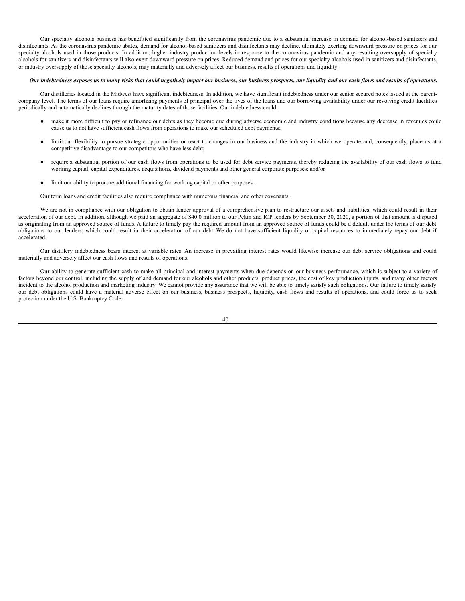Our specialty alcohols business has benefitted significantly from the coronavirus pandemic due to a substantial increase in demand for alcohol-based sanitizers and disinfectants. As the coronavirus pandemic abates, demand for alcohol-based sanitizers and disinfectants may decline, ultimately exerting downward pressure on prices for our specialty alcohols used in those products. In addition, higher industry production levels in response to the coronavirus pandemic and any resulting oversupply of specialty alcohols for sanitizers and disinfectants will also exert downward pressure on prices. Reduced demand and prices for our specialty alcohols used in sanitizers and disinfectants, or industry oversupply of those specialty alcohols, may materially and adversely affect our business, results of operations and liquidity.

## Our indebtedness exposes us to many risks that could negatively impact our business, our business prospects, our liquidity and our cash flows and results of operations.

Our distilleries located in the Midwest have significant indebtedness. In addition, we have significant indebtedness under our senior secured notes issued at the parentcompany level. The terms of our loans require amortizing payments of principal over the lives of the loans and our borrowing availability under our revolving credit facilities periodically and automatically declines through the maturity dates of those facilities. Our indebtedness could:

- make it more difficult to pay or refinance our debts as they become due during adverse economic and industry conditions because any decrease in revenues could cause us to not have sufficient cash flows from operations to make our scheduled debt payments;
- limit our flexibility to pursue strategic opportunities or react to changes in our business and the industry in which we operate and, consequently, place us at a competitive disadvantage to our competitors who have less debt;
- require a substantial portion of our cash flows from operations to be used for debt service payments, thereby reducing the availability of our cash flows to fund working capital, capital expenditures, acquisitions, dividend payments and other general corporate purposes; and/or
- limit our ability to procure additional financing for working capital or other purposes.

Our term loans and credit facilities also require compliance with numerous financial and other covenants.

We are not in compliance with our obligation to obtain lender approval of a comprehensive plan to restructure our assets and liabilities, which could result in their acceleration of our debt. In addition, although we paid an aggregate of  $$40.0$  million to our Pekin and ICP lenders by September 30, 2020, a portion of that amount is disputed as originating from an approved source of funds. A failure to timely pay the required amount from an approved source of funds could be a default under the terms of our debt obligations to our lenders, which could result in their acceleration of our debt. We do not have sufficient liquidity or capital resources to immediately repay our debt if accelerated.

Our distillery indebtedness bears interest at variable rates. An increase in prevailing interest rates would likewise increase our debt service obligations and could materially and adversely affect our cash flows and results of operations.

Our ability to generate sufficient cash to make all principal and interest payments when due depends on our business performance, which is subject to a variety of factors beyond our control, including the supply of and demand for our alcohols and other products, product prices, the cost of key production inputs, and many other factors incident to the alcohol production and marketing industry. We cannot provide any assurance that we will be able to timely satisfy such obligations. Our failure to timely satisfy our debt obligations could have a material adverse effect on our business, business prospects, liquidity, cash flows and results of operations, and could force us to seek protection under the U.S. Bankruptcy Code.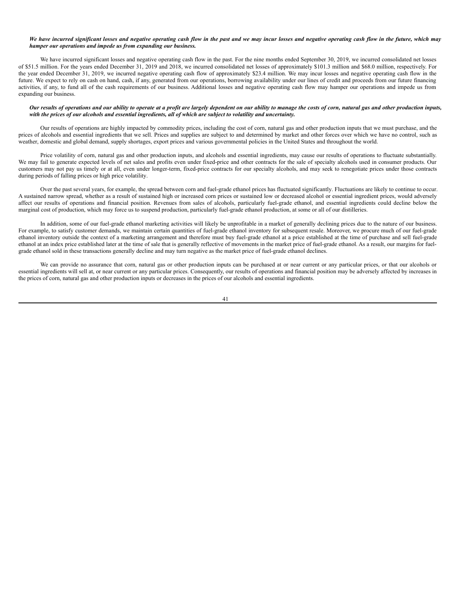#### We have incurred significant losses and negative operating cash flow in the past and we may incur losses and negative operating cash flow in the future, which may *hamper our operations and impede us from expanding our business.*

We have incurred significant losses and negative operating cash flow in the past. For the nine months ended September 30, 2019, we incurred consolidated net losses of \$51.5 million. For the years ended December 31, 2019 and 2018, we incurred consolidated net losses of approximately \$101.3 million and \$68.0 million, respectively. For the year ended December 31, 2019, we incurred negative operating cash flow of approximately \$23.4 million. We may incur losses and negative operating cash flow in the future. We expect to rely on cash on hand, cash, if any, generated from our operations, borrowing availability under our lines of credit and proceeds from our future financing activities, if any, to fund all of the cash requirements of our business. Additional losses and negative operating cash flow may hamper our operations and impede us from expanding our business.

## Our results of operations and our ability to operate at a profit are largely dependent on our ability to manage the costs of corn, natural gas and other production inputs, with the prices of our alcohols and essential ingredients, all of which are subject to volatility and uncertainty.

Our results of operations are highly impacted by commodity prices, including the cost of corn, natural gas and other production inputs that we must purchase, and the prices of alcohols and essential ingredients that we sell. Prices and supplies are subject to and determined by market and other forces over which we have no control, such as weather, domestic and global demand, supply shortages, export prices and various governmental policies in the United States and throughout the world.

Price volatility of corn, natural gas and other production inputs, and alcohols and essential ingredients, may cause our results of operations to fluctuate substantially. We may fail to generate expected levels of net sales and profits even under fixed-price and other contracts for the sale of specialty alcohols used in consumer products. Our customers may not pay us timely or at all, even under longer-term, fixed-price contracts for our specialty alcohols, and may seek to renegotiate prices under those contracts during periods of falling prices or high price volatility.

Over the past several years, for example, the spread between corn and fuel-grade ethanol prices has fluctuated significantly. Fluctuations are likely to continue to occur. A sustained narrow spread, whether as a result of sustained high or increased corn prices or sustained low or decreased alcohol or essential ingredient prices, would adversely affect our results of operations and financial position. Revenues from sales of alcohols, particularly fuel-grade ethanol, and essential ingredients could decline below the marginal cost of production, which may force us to suspend production, particularly fuel-grade ethanol production, at some or all of our distilleries.

In addition, some of our fuel-grade ethanol marketing activities will likely be unprofitable in a market of generally declining prices due to the nature of our business. For example, to satisfy customer demands, we maintain certain quantities of fuel-grade ethanol inventory for subsequent resale. Moreover, we procure much of our fuel-grade ethanol inventory outside the context of a marketing arrangement and therefore must buy fuel-grade ethanol at a price established at the time of purchase and sell fuel-grade ethanol at an index price established later at the time of sale that is generally reflective of movements in the market price of fuel-grade ethanol. As a result, our margins for fuelgrade ethanol sold in these transactions generally decline and may turn negative as the market price of fuel-grade ethanol declines.

We can provide no assurance that corn, natural gas or other production inputs can be purchased at or near current or any particular prices, or that our alcohols or essential ingredients will sell at, or near current or any particular prices. Consequently, our results of operations and financial position may be adversely affected by increases in the prices of corn, natural gas and other production inputs or decreases in the prices of our alcohols and essential ingredients.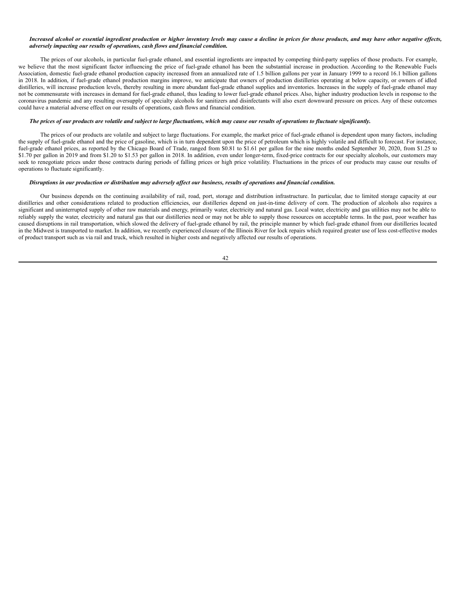#### Increased alcohol or essential ingredient production or higher inventory levels may cause a decline in prices for those products, and may have other negative effects, *adversely impacting our results of operations, cash flows and financial condition.*

The prices of our alcohols, in particular fuel-grade ethanol, and essential ingredients are impacted by competing third-party supplies of those products. For example, we believe that the most significant factor influencing the price of fuel-grade ethanol has been the substantial increase in production. According to the Renewable Fuels Association, domestic fuel-grade ethanol production capacity increased from an annualized rate of 1.5 billion gallons per year in January 1999 to a record 16.1 billion gallons in 2018. In addition, if fuel-grade ethanol production margins improve, we anticipate that owners of production distilleries operating at below capacity, or owners of idled distilleries, will increase production levels, thereby resulting in more abundant fuel-grade ethanol supplies and inventories. Increases in the supply of fuel-grade ethanol may not be commensurate with increases in demand for fuel-grade ethanol, thus leading to lower fuel-grade ethanol prices. Also, higher industry production levels in response to the coronavirus pandemic and any resulting oversupply of specialty alcohols for sanitizers and disinfectants will also exert downward pressure on prices. Any of these outcomes could have a material adverse effect on our results of operations, cash flows and financial condition.

## The prices of our products are volatile and subject to large fluctuations, which may cause our results of operations to fluctuate significantly.

The prices of our products are volatile and subject to large fluctuations. For example, the market price of fuel-grade ethanol is dependent upon many factors, including the supply of fuel-grade ethanol and the price of gasoline, which is in turn dependent upon the price of petroleum which is highly volatile and difficult to forecast. For instance, fuel-grade ethanol prices, as reported by the Chicago Board of Trade, ranged from \$0.81 to \$1.61 per gallon for the nine months ended September 30, 2020, from \$1.25 to \$1.70 per gallon in 2019 and from \$1.20 to \$1.53 per gallon in 2018. In addition, even under longer-term, fixed-price contracts for our specialty alcohols, our customers may seek to renegotiate prices under those contracts during periods of falling prices or high price volatility. Fluctuations in the prices of our products may cause our results of operations to fluctuate significantly.

## Disruptions in our production or distribution may adversely affect our business, results of operations and financial condition.

Our business depends on the continuing availability of rail, road, port, storage and distribution infrastructure. In particular, due to limited storage capacity at our distilleries and other considerations related to production efficiencies, our distilleries depend on just-in-time delivery of corn. The production of alcohols also requires a significant and uninterrupted supply of other raw materials and energy, primarily water, electricity and natural gas. Local water, electricity and gas utilities may not be able to reliably supply the water, electricity and natural gas that our distilleries need or may not be able to supply those resources on acceptable terms. In the past, poor weather has caused disruptions in rail transportation, which slowed the delivery of fuel-grade ethanol by rail, the principle manner by which fuel-grade ethanol from our distilleries located in the Midwest is transported to market. In addition, we recently experienced closure of the Illinois River for lock repairs which required greater use of less cost-effective modes of product transport such as via rail and truck, which resulted in higher costs and negatively affected our results of operations.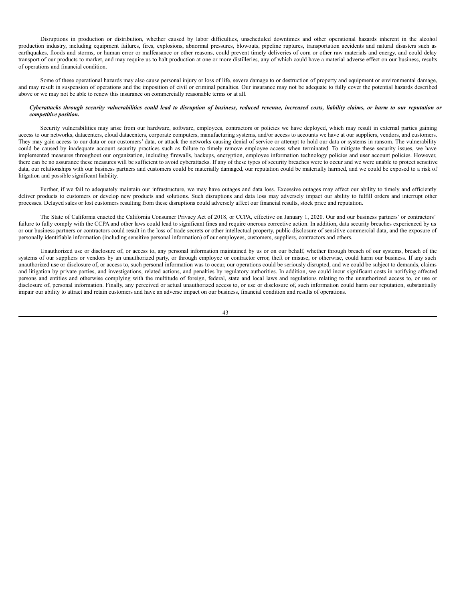Disruptions in production or distribution, whether caused by labor difficulties, unscheduled downtimes and other operational hazards inherent in the alcohol production industry, including equipment failures, fires, explosions, abnormal pressures, blowouts, pipeline ruptures, transportation accidents and natural disasters such as earthquakes, floods and storms, or human error or malfeasance or other reasons, could prevent timely deliveries of corn or other raw materials and energy, and could delay transport of our products to market, and may require us to halt production at one or more distilleries, any of which could have a material adverse effect on our business, results of operations and financial condition.

Some of these operational hazards may also cause personal injury or loss of life, severe damage to or destruction of property and equipment or environmental damage, and may result in suspension of operations and the imposition of civil or criminal penalties. Our insurance may not be adequate to fully cover the potential hazards described above or we may not be able to renew this insurance on commercially reasonable terms or at all.

## Cyberattacks through security vulnerabilities could lead to disruption of business, reduced revenue, increased costs, liability claims, or harm to our reputation or *competitive position.*

Security vulnerabilities may arise from our hardware, software, employees, contractors or policies we have deployed, which may result in external parties gaining access to our networks, datacenters, cloud datacenters, corporate computers, manufacturing systems, and/or access to accounts we have at our suppliers, vendors, and customers. They may gain access to our data or our customers' data, or attack the networks causing denial of service or attempt to hold our data or systems in ransom. The vulnerability could be caused by inadequate account security practices such as failure to timely remove employee access when terminated. To mitigate these security issues, we have implemented measures throughout our organization, including firewalls, backups, encryption, employee information technology policies and user account policies. However, there can be no assurance these measures will be sufficient to avoid cyberattacks. If any of these types of security breaches were to occur and we were unable to protect sensitive data, our relationships with our business partners and customers could be materially damaged, our reputation could be materially harmed, and we could be exposed to a risk of litigation and possible significant liability.

Further, if we fail to adequately maintain our infrastructure, we may have outages and data loss. Excessive outages may affect our ability to timely and efficiently deliver products to customers or develop new products and solutions. Such disruptions and data loss may adversely impact our ability to fulfill orders and interrupt other processes. Delayed sales or lost customers resulting from these disruptions could adversely affect our financial results, stock price and reputation.

The State of California enacted the California Consumer Privacy Act of 2018, or CCPA, effective on January 1, 2020. Our and our business partners' or contractors' failure to fully comply with the CCPA and other laws could lead to significant fines and require onerous corrective action. In addition, data security breaches experienced by us or our business partners or contractors could result in the loss of trade secrets or other intellectual property, public disclosure of sensitive commercial data, and the exposure of personally identifiable information (including sensitive personal information) of our employees, customers, suppliers, contractors and others.

Unauthorized use or disclosure of, or access to, any personal information maintained by us or on our behalf, whether through breach of our systems, breach of the systems of our suppliers or vendors by an unauthorized party, or through employee or contractor error, theft or misuse, or otherwise, could harm our business. If any such unauthorized use or disclosure of, or access to, such personal information was to occur, our operations could be seriously disrupted, and we could be subject to demands, claims and litigation by private parties, and investigations, related actions, and penalties by regulatory authorities. In addition, we could incur significant costs in notifying affected persons and entities and otherwise complying with the multitude of foreign, federal, state and local laws and regulations relating to the unauthorized access to, or use or disclosure of, personal information. Finally, any perceived or actual unauthorized access to, or use or disclosure of, such information could harm our reputation, substantially impair our ability to attract and retain customers and have an adverse impact on our business, financial condition and results of operations.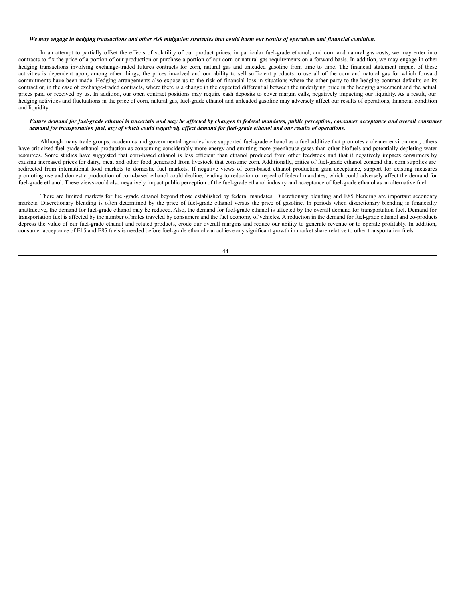#### We may engage in hedging transactions and other risk mitigation strategies that could harm our results of operations and financial condition.

In an attempt to partially offset the effects of volatility of our product prices, in particular fuel-grade ethanol, and corn and natural gas costs, we may enter into contracts to fix the price of a portion of our production or purchase a portion of our corn or natural gas requirements on a forward basis. In addition, we may engage in other hedging transactions involving exchange-traded futures contracts for corn, natural gas and unleaded gasoline from time to time. The financial statement impact of these activities is dependent upon, among other things, the prices involved and our ability to sell sufficient products to use all of the corn and natural gas for which forward commitments have been made. Hedging arrangements also expose us to the risk of financial loss in situations where the other party to the hedging contract defaults on its contract or, in the case of exchange-traded contracts, where there is a change in the expected differential between the underlying price in the hedging agreement and the actual prices paid or received by us. In addition, our open contract positions may require cash deposits to cover margin calls, negatively impacting our liquidity. As a result, our hedging activities and fluctuations in the price of corn, natural gas, fuel-grade ethanol and unleaded gasoline may adversely affect our results of operations, financial condition and liquidity.

#### Future demand for fuel-grade ethanol is uncertain and may be affected by changes to federal mandates, public perception, consumer acceptance and overall consumer demand for transportation fuel, any of which could negatively affect demand for fuel-grade ethanol and our results of operations.

Although many trade groups, academics and governmental agencies have supported fuel-grade ethanol as a fuel additive that promotes a cleaner environment, others have criticized fuel-grade ethanol production as consuming considerably more energy and emitting more greenhouse gases than other biofuels and potentially depleting water resources. Some studies have suggested that corn-based ethanol is less efficient than ethanol produced from other feedstock and that it negatively impacts consumers by causing increased prices for dairy, meat and other food generated from livestock that consume corn. Additionally, critics of fuel-grade ethanol contend that corn supplies are redirected from international food markets to domestic fuel markets. If negative views of corn-based ethanol production gain acceptance, support for existing measures promoting use and domestic production of corn-based ethanol could decline, leading to reduction or repeal of federal mandates, which could adversely affect the demand for fuel-grade ethanol. These views could also negatively impact public perception of the fuel-grade ethanol industry and acceptance of fuel-grade ethanol as an alternative fuel.

There are limited markets for fuel-grade ethanol beyond those established by federal mandates. Discretionary blending and E85 blending are important secondary markets. Discretionary blending is often determined by the price of fuel-grade ethanol versus the price of gasoline. In periods when discretionary blending is financially unattractive, the demand for fuel-grade ethanol may be reduced. Also, the demand for fuel-grade ethanol is affected by the overall demand for transportation fuel. Demand for transportation fuel is affected by the number of miles traveled by consumers and the fuel economy of vehicles. A reduction in the demand for fuel-grade ethanol and co-products depress the value of our fuel-grade ethanol and related products, erode our overall margins and reduce our ability to generate revenue or to operate profitably. In addition, consumer acceptance of E15 and E85 fuels is needed before fuel-grade ethanol can achieve any significant growth in market share relative to other transportation fuels.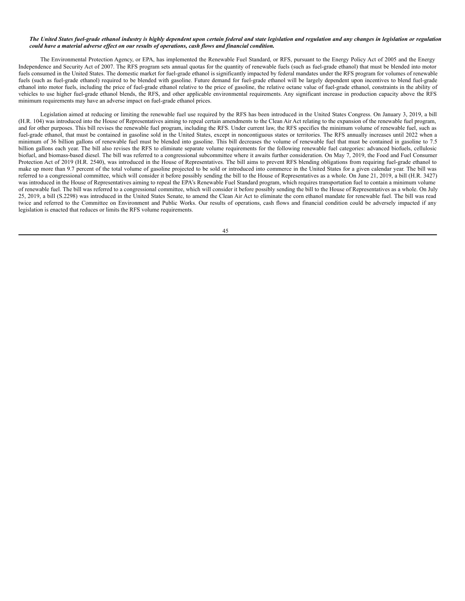#### The United States fuel-grade ethanol industry is highly dependent upon certain federal and state legislation and regulation and any changes in legislation or regulation *could have a material adverse ef ect on our results of operations, cash flows and financial condition.*

The Environmental Protection Agency, or EPA, has implemented the Renewable Fuel Standard, or RFS, pursuant to the Energy Policy Act of 2005 and the Energy Independence and Security Act of 2007. The RFS program sets annual quotas for the quantity of renewable fuels (such as fuel-grade ethanol) that must be blended into motor fuels consumed in the United States. The domestic market for fuel-grade ethanol is significantly impacted by federal mandates under the RFS program for volumes of renewable fuels (such as fuel-grade ethanol) required to be blended with gasoline. Future demand for fuel-grade ethanol will be largely dependent upon incentives to blend fuel-grade ethanol into motor fuels, including the price of fuel-grade ethanol relative to the price of gasoline, the relative octane value of fuel-grade ethanol, constraints in the ability of vehicles to use higher fuel-grade ethanol blends, the RFS, and other applicable environmental requirements. Any significant increase in production capacity above the RFS minimum requirements may have an adverse impact on fuel-grade ethanol prices.

Legislation aimed at reducing or limiting the renewable fuel use required by the RFS has been introduced in the United States Congress. On January 3, 2019, a bill (H.R. 104) was introduced into the House of Representatives aiming to repeal certain amendments to the Clean Air Act relating to the expansion of the renewable fuel program, and for other purposes. This bill revises the renewable fuel program, including the RFS. Under current law, the RFS specifies the minimum volume of renewable fuel, such as fuel-grade ethanol, that must be contained in gasoline sold in the United States, except in noncontiguous states or territories. The RFS annually increases until 2022 when a minimum of 36 billion gallons of renewable fuel must be blended into gasoline. This bill decreases the volume of renewable fuel that must be contained in gasoline to 7.5 billion gallons each year. The bill also revises the RFS to eliminate separate volume requirements for the following renewable fuel categories: advanced biofuels, cellulosic biofuel, and biomass-based diesel. The bill was referred to a congressional subcommittee where it awaits further consideration. On May 7, 2019, the Food and Fuel Consumer Protection Act of 2019 (H.R. 2540), was introduced in the House of Representatives. The bill aims to prevent RFS blending obligations from requiring fuel-grade ethanol to make up more than 9.7 percent of the total volume of gasoline projected to be sold or introduced into commerce in the United States for a given calendar year. The bill was referred to a congressional committee, which will consider it before possibly sending the bill to the House of Representatives as a whole. On June 21, 2019, a bill (H.R. 3427) was introduced in the House of Representatives aiming to repeal the EPA's Renewable Fuel Standard program, which requires transportation fuel to contain a minimum volume of renewable fuel. The bill was referred to a congressional committee, which will consider it before possibly sending the bill to the House of Representatives as a whole. On July 25, 2019, a bill (S.2298) was introduced in the United States Senate, to amend the Clean Air Act to eliminate the corn ethanol mandate for renewable fuel. The bill was read twice and referred to the Committee on Environment and Public Works. Our results of operations, cash flows and financial condition could be adversely impacted if any legislation is enacted that reduces or limits the RFS volume requirements.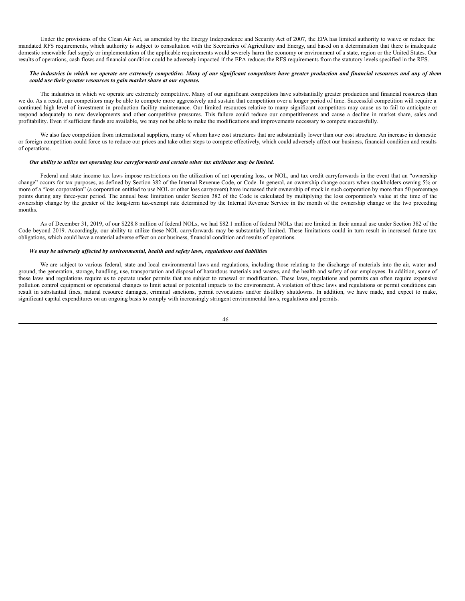Under the provisions of the Clean Air Act, as amended by the Energy Independence and Security Act of 2007, the EPA has limited authority to waive or reduce the mandated RFS requirements, which authority is subject to consultation with the Secretaries of Agriculture and Energy, and based on a determination that there is inadequate domestic renewable fuel supply or implementation of the applicable requirements would severely harm the economy or environment of a state, region or the United States. Our results of operations, cash flows and financial condition could be adversely impacted if the EPA reduces the RFS requirements from the statutory levels specified in the RFS.

#### The industries in which we operate are extremely competitive. Many of our significant competitors have greater production and financial resources and any of them *could use their greater resources to gain market share at our expense.*

The industries in which we operate are extremely competitive. Many of our significant competitors have substantially greater production and financial resources than we do. As a result, our competitors may be able to compete more aggressively and sustain that competition over a longer period of time. Successful competition will require a continued high level of investment in production facility maintenance. Our limited resources relative to many significant competitors may cause us to fail to anticipate or respond adequately to new developments and other competitive pressures. This failure could reduce our competitiveness and cause a decline in market share, sales and profitability. Even if sufficient funds are available, we may not be able to make the modifications and improvements necessary to compete successfully.

We also face competition from international suppliers, many of whom have cost structures that are substantially lower than our cost structure. An increase in domestic or foreign competition could force us to reduce our prices and take other steps to compete effectively, which could adversely affect our business, financial condition and results of operations.

## *Our ability to utilize net operating loss carryforwards and certain other tax attributes may be limited.*

Federal and state income tax laws impose restrictions on the utilization of net operating loss, or NOL, and tax credit carryforwards in the event that an "ownership change" occurs for tax purposes, as defined by Section 382 of the Internal Revenue Code, or Code. In general, an ownership change occurs when stockholders owning 5% or more of a "loss corporation" (a corporation entitled to use NOL or other loss carryovers) have increased their ownership of stock in such corporation by more than 50 percentage points during any three-year period. The annual base limitation under Section 382 of the Code is calculated by multiplying the loss corporation's value at the time of the ownership change by the greater of the long-term tax-exempt rate determined by the Internal Revenue Service in the month of the ownership change or the two preceding months.

As of December 31, 2019, of our \$228.8 million of federal NOLs, we had \$82.1 million of federal NOLs that are limited in their annual use under Section 382 of the Code beyond 2019. Accordingly, our ability to utilize these NOL carryforwards may be substantially limited. These limitations could in turn result in increased future tax obligations, which could have a material adverse effect on our business, financial condition and results of operations.

## *We may be adversely af ected by environmental, health and safety laws, regulations and liabilities*.

We are subject to various federal, state and local environmental laws and regulations, including those relating to the discharge of materials into the air, water and ground, the generation, storage, handling, use, transportation and disposal of hazardous materials and wastes, and the health and safety of our employees. In addition, some of these laws and regulations require us to operate under permits that are subject to renewal or modification. These laws, regulations and permits can often require expensive pollution control equipment or operational changes to limit actual or potential impacts to the environment. A violation of these laws and regulations or permit conditions can result in substantial fines, natural resource damages, criminal sanctions, permit revocations and/or distillery shutdowns. In addition, we have made, and expect to make, significant capital expenditures on an ongoing basis to comply with increasingly stringent environmental laws, regulations and permits.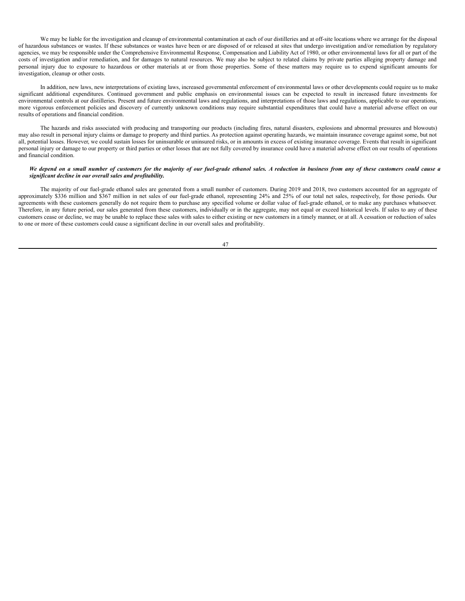We may be liable for the investigation and cleanup of environmental contamination at each of our distilleries and at off-site locations where we arrange for the disposal of hazardous substances or wastes. If these substances or wastes have been or are disposed of or released at sites that undergo investigation and/or remediation by regulatory agencies, we may be responsible under the Comprehensive Environmental Response, Compensation and Liability Act of 1980, or other environmental laws for all or part of the costs of investigation and/or remediation, and for damages to natural resources. We may also be subject to related claims by private parties alleging property damage and personal injury due to exposure to hazardous or other materials at or from those properties. Some of these matters may require us to expend significant amounts for investigation, cleanup or other costs.

In addition, new laws, new interpretations of existing laws, increased governmental enforcement of environmental laws or other developments could require us to make significant additional expenditures. Continued government and public emphasis on environmental issues can be expected to result in increased future investments for environmental controls at our distilleries. Present and future environmental laws and regulations, and interpretations of those laws and regulations, applicable to our operations, more vigorous enforcement policies and discovery of currently unknown conditions may require substantial expenditures that could have a material adverse effect on our results of operations and financial condition.

The hazards and risks associated with producing and transporting our products (including fires, natural disasters, explosions and abnormal pressures and blowouts) may also result in personal injury claims or damage to property and third parties. As protection against operating hazards, we maintain insurance coverage against some, but not all, potential losses. However, we could sustain losses for uninsurable or uninsured risks, or in amounts in excess of existing insurance coverage. Events that result in significant personal injury or damage to our property or third parties or other losses that are not fully covered by insurance could have a material adverse effect on our results of operations and financial condition.

## We depend on a small number of customers for the majority of our fuel-grade ethanol sales. A reduction in business from any of these customers could cause a *significant decline in our overall sales and profitability.*

The majority of our fuel-grade ethanol sales are generated from a small number of customers. During 2019 and 2018, two customers accounted for an aggregate of approximately \$336 million and \$367 million in net sales of our fuel-grade ethanol, representing 24% and 25% of our total net sales, respectively, for those periods. Our agreements with these customers generally do not require them to purchase any specified volume or dollar value of fuel-grade ethanol, or to make any purchases whatsoever. Therefore, in any future period, our sales generated from these customers, individually or in the aggregate, may not equal or exceed historical levels. If sales to any of these customers cease or decline, we may be unable to replace these sales with sales to either existing or new customers in a timely manner, or at all. A cessation or reduction of sales to one or more of these customers could cause a significant decline in our overall sales and profitability.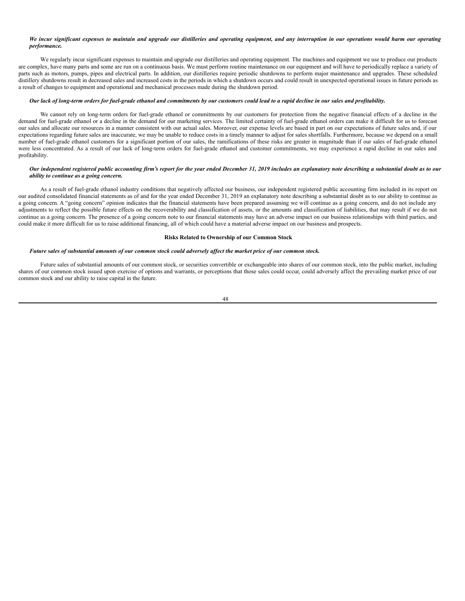#### We incur significant expenses to maintain and upgrade our distilleries and operating equipment, and any interruption in our operations would harm our operating *performance.*

We regularly incur significant expenses to maintain and upgrade our distilleries and operating equipment. The machines and equipment we use to produce our products are complex, have many parts and some are run on a continuous basis. We must perform routine maintenance on our equipment and will have to periodically replace a variety of parts such as motors, pumps, pipes and electrical parts. In addition, our distilleries require periodic shutdowns to perform major maintenance and upgrades. These scheduled distillery shutdowns result in decreased sales and increased costs in the periods in which a shutdown occurs and could result in unexpected operational issues in future periods as a result of changes to equipment and operational and mechanical processes made during the shutdown period.

#### Our lack of long-term orders for fuel-grade ethanol and commitments by our customers could lead to a rapid decline in our sales and profitability.

We cannot rely on long-term orders for fuel-grade ethanol or commitments by our customers for protection from the negative financial effects of a decline in the demand for fuel-grade ethanol or a decline in the demand for our marketing services. The limited certainty of fuel-grade ethanol orders can make it difficult for us to forecast our sales and allocate our resources in a manner consistent with our actual sales. Moreover, our expense levels are based in part on our expectations of future sales and, if our expectations regarding future sales are inaccurate, we may be unable to reduce costs in a timely manner to adjust for sales shortfalls. Furthermore, because we depend on a small number of fuel-grade ethanol customers for a significant portion of our sales, the ramifications of these risks are greater in magnitude than if our sales of fuel-grade ethanol were less concentrated. As a result of our lack of long-term orders for fuel-grade ethanol and customer commitments, we may experience a rapid decline in our sales and profitability.

## Our independent registered public accounting firm's report for the year ended December 31, 2019 includes an explanatory note describing a substantial doubt as to our *ability to continue as a going concern.*

As a result of fuel-grade ethanol industry conditions that negatively affected our business, our independent registered public accounting firm included in its report on our audited consolidated financial statements as of and for the year ended December 31, 2019 an explanatory note describing a substantial doubt as to our ability to continue as a going concern. A "going concern" opinion indicates that the financial statements have been prepared assuming we will continue as a going concern, and do not include any adjustments to reflect the possible future effects on the recoverability and classification of assets, or the amounts and classification of liabilities, that may result if we do not continue as a going concern. The presence of a going concern note to our financial statements may have an adverse impact on our business relationships with third parties, and could make it more difficult for us to raise additional financing, all of which could have a material adverse impact on our business and prospects.

#### **Risks Related to Ownership of our Common Stock**

## Future sales of substantial amounts of our common stock could adversely affect the market price of our common stock.

Future sales of substantial amounts of our common stock, or securities convertible or exchangeable into shares of our common stock, into the public market, including shares of our common stock issued upon exercise of options and warrants, or perceptions that those sales could occur, could adversely affect the prevailing market price of our common stock and our ability to raise capital in the future.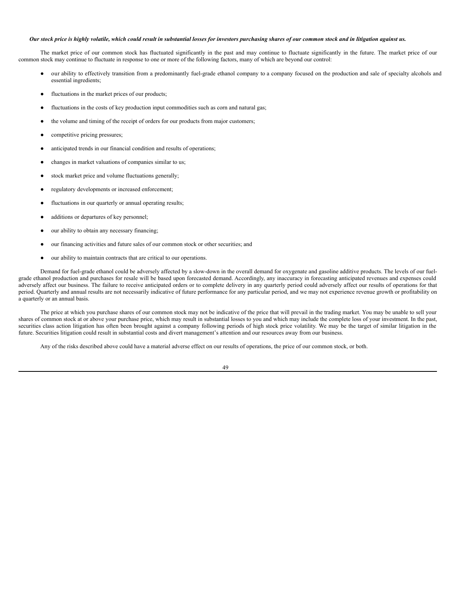#### Our stock price is highly volatile, which could result in substantial losses for investors purchasing shares of our common stock and in litigation against us.

The market price of our common stock has fluctuated significantly in the past and may continue to fluctuate significantly in the future. The market price of our common stock may continue to fluctuate in response to one or more of the following factors, many of which are beyond our control:

- our ability to effectively transition from a predominantly fuel-grade ethanol company to a company focused on the production and sale of specialty alcohols and essential ingredients;
- fluctuations in the market prices of our products;
- fluctuations in the costs of key production input commodities such as corn and natural gas;
- the volume and timing of the receipt of orders for our products from major customers;
- competitive pricing pressures;
- anticipated trends in our financial condition and results of operations;
- changes in market valuations of companies similar to us;
- stock market price and volume fluctuations generally;
- regulatory developments or increased enforcement;
- fluctuations in our quarterly or annual operating results;
- additions or departures of key personnel;
- our ability to obtain any necessary financing;
- our financing activities and future sales of our common stock or other securities; and
- our ability to maintain contracts that are critical to our operations.

Demand for fuel-grade ethanol could be adversely affected by a slow-down in the overall demand for oxygenate and gasoline additive products. The levels of our fuelgrade ethanol production and purchases for resale will be based upon forecasted demand. Accordingly, any inaccuracy in forecasting anticipated revenues and expenses could adversely affect our business. The failure to receive anticipated orders or to complete delivery in any quarterly period could adversely affect our results of operations for that period. Quarterly and annual results are not necessarily indicative of future performance for any particular period, and we may not experience revenue growth or profitability on a quarterly or an annual basis.

The price at which you purchase shares of our common stock may not be indicative of the price that will prevail in the trading market. You may be unable to sell your shares of common stock at or above your purchase price, which may result in substantial losses to you and which may include the complete loss of your investment. In the past, securities class action litigation has often been brought against a company following periods of high stock price volatility. We may be the target of similar litigation in the future. Securities litigation could result in substantial costs and divert management's attention and our resources away from our business.

Any of the risks described above could have a material adverse effect on our results of operations, the price of our common stock, or both.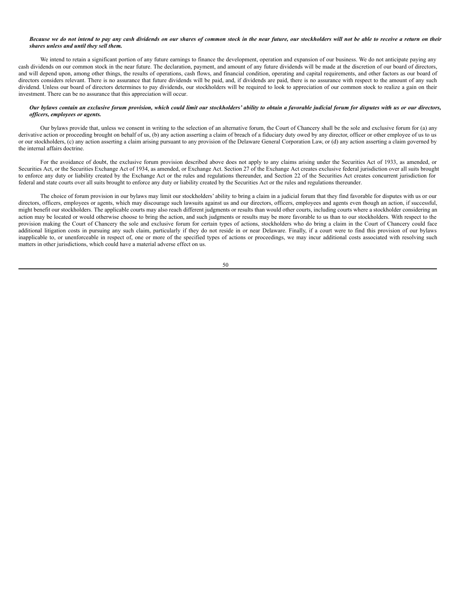#### Because we do not intend to pay any cash dividends on our shares of common stock in the near future, our stockholders will not be able to receive a return on their *shares unless and until they sell them.*

We intend to retain a significant portion of any future earnings to finance the development, operation and expansion of our business. We do not anticipate paying any cash dividends on our common stock in the near future. The declaration, payment, and amount of any future dividends will be made at the discretion of our board of directors, and will depend upon, among other things, the results of operations, cash flows, and financial condition, operating and capital requirements, and other factors as our board of directors considers relevant. There is no assurance that future dividends will be paid, and, if dividends are paid, there is no assurance with respect to the amount of any such dividend. Unless our board of directors determines to pay dividends, our stockholders will be required to look to appreciation of our common stock to realize a gain on their investment. There can be no assurance that this appreciation will occur.

## Our bylaws contain an exclusive forum provision, which could limit our stockholders' ability to obtain a favorable judicial forum for disputes with us or our directors, *of icers, employees or agents.*

Our bylaws provide that, unless we consent in writing to the selection of an alternative forum, the Court of Chancery shall be the sole and exclusive forum for (a) any derivative action or proceeding brought on behalf of us, (b) any action asserting a claim of breach of a fiduciary duty owed by any director, officer or other employee of us to us or our stockholders, (c) any action asserting a claim arising pursuant to any provision of the Delaware General Corporation Law, or (d) any action asserting a claim governed by the internal affairs doctrine.

For the avoidance of doubt, the exclusive forum provision described above does not apply to any claims arising under the Securities Act of 1933, as amended, or Securities Act, or the Securities Exchange Act of 1934, as amended, or Exchange Act. Section 27 of the Exchange Act creates exclusive federal jurisdiction over all suits brought to enforce any duty or liability created by the Exchange Act or the rules and regulations thereunder, and Section 22 of the Securities Act creates concurrent jurisdiction for federal and state courts over all suits brought to enforce any duty or liability created by the Securities Act or the rules and regulations thereunder.

The choice of forum provision in our bylaws may limit our stockholders' ability to bring a claim in a judicial forum that they find favorable for disputes with us or our directors, officers, employees or agents, which may discourage such lawsuits against us and our directors, officers, employees and agents even though an action, if successful, might benefit our stockholders. The applicable courts may also reach different judgments or results than would other courts, including courts where a stockholder considering an action may be located or would otherwise choose to bring the action, and such judgments or results may be more favorable to us than to our stockholders. With respect to the provision making the Court of Chancery the sole and exclusive forum for certain types of actions, stockholders who do bring a claim in the Court of Chancery could face additional litigation costs in pursuing any such claim, particularly if they do not reside in or near Delaware. Finally, if a court were to find this provision of our bylaws inapplicable to, or unenforceable in respect of, one or more of the specified types of actions or proceedings, we may incur additional costs associated with resolving such matters in other jurisdictions, which could have a material adverse effect on us.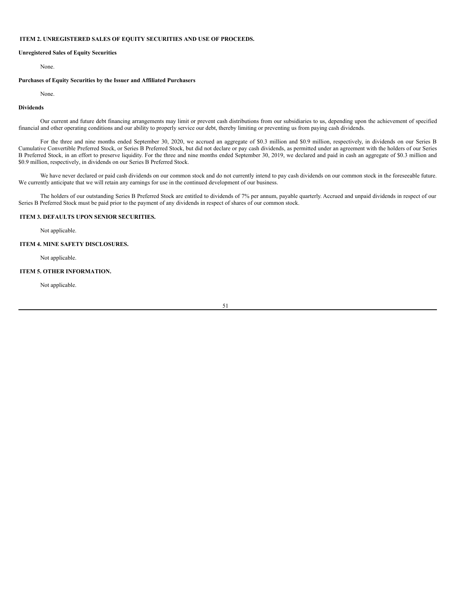## <span id="page-52-0"></span>**ITEM 2. UNREGISTERED SALES OF EQUITY SECURITIES AND USE OF PROCEEDS.**

#### **Unregistered Sales of Equity Securities**

None.

## **Purchases of Equity Securities by the Issuer and Affiliated Purchasers**

None.

# **Dividends**

Our current and future debt financing arrangements may limit or prevent cash distributions from our subsidiaries to us, depending upon the achievement of specified financial and other operating conditions and our ability to properly service our debt, thereby limiting or preventing us from paying cash dividends.

For the three and nine months ended September 30, 2020, we accrued an aggregate of \$0.3 million and \$0.9 million, respectively, in dividends on our Series B Cumulative Convertible Preferred Stock, or Series B Preferred Stock, but did not declare or pay cash dividends, as permitted under an agreement with the holders of our Series B Preferred Stock, in an effort to preserve liquidity. For the three and nine months ended September 30, 2019, we declared and paid in cash an aggregate of \$0.3 million and B Preferred Stock, in an effort to preserve liqui \$0.9 million, respectively, in dividends on our Series B Preferred Stock.

We have never declared or paid cash dividends on our common stock and do not currently intend to pay cash dividends on our common stock in the foreseeable future. We currently anticipate that we will retain any earnings for use in the continued development of our business.

The holders of our outstanding Series B Preferred Stock are entitled to dividends of 7% per annum, payable quarterly. Accrued and unpaid dividends in respect of our Series B Preferred Stock must be paid prior to the payment of any dividends in respect of shares of our common stock.

## <span id="page-52-1"></span>**ITEM 3. DEFAULTS UPON SENIOR SECURITIES.**

Not applicable.

## <span id="page-52-2"></span>**ITEM 4. MINE SAFETY DISCLOSURES.**

Not applicable.

# <span id="page-52-3"></span>**ITEM 5. OTHER INFORMATION.**

Not applicable.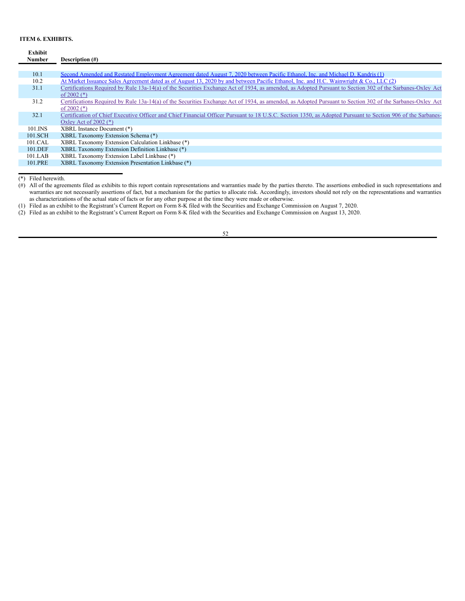# <span id="page-53-0"></span>**ITEM 6. EXHIBITS.**

| Exhibit |                                                                                                                                                              |
|---------|--------------------------------------------------------------------------------------------------------------------------------------------------------------|
| Number  | Description $(\#)$                                                                                                                                           |
|         |                                                                                                                                                              |
| 10.1    | Second Amended and Restated Employment Agreement dated August 7, 2020 between Pacific Ethanol, Inc. and Michael D. Kandris (1)                               |
| 10.2    | At Market Issuance Sales Agreement dated as of August 13, 2020 by and between Pacific Ethanol, Inc. and H.C. Wainwright & Co., LLC (2)                       |
| 31.1    | Certifications Required by Rule 13a-14(a) of the Securities Exchange Act of 1934, as amended, as Adopted Pursuant to Section 302 of the Sarbanes-Oxley Act   |
|         | of $2002$ $(*)$                                                                                                                                              |
| 31.2    | Certifications Required by Rule 13a-14(a) of the Securities Exchange Act of 1934, as amended, as Adopted Pursuant to Section 302 of the Sarbanes-Oxley Act   |
|         | of 2002 $(*)$                                                                                                                                                |
| 32.1    | Certification of Chief Executive Officer and Chief Financial Officer Pursuant to 18 U.S.C. Section 1350, as Adopted Pursuant to Section 906 of the Sarbanes- |
|         | Oxley Act of 2002 $(*)$                                                                                                                                      |
| 101.INS | XBRL Instance Document (*)                                                                                                                                   |
| 101.SCH | XBRL Taxonomy Extension Schema (*)                                                                                                                           |
| 101.CAL | XBRL Taxonomy Extension Calculation Linkbase (*)                                                                                                             |
| 101.DEF | XBRL Taxonomy Extension Definition Linkbase (*)                                                                                                              |
| 101.LAB | XBRL Taxonomy Extension Label Linkbase (*)                                                                                                                   |
| 101.PRE | XBRL Taxonomy Extension Presentation Linkbase (*)                                                                                                            |
|         |                                                                                                                                                              |

(\*) Filed herewith.

 $($ # $)$  All of the agreements filed as exhibits to this report contain representations and warranties made by the parties thereto. The assertions embodied in such representations and warranties are not necessarily assertions of fact, but a mechanism for the parties to allocate risk. Accordingly, investors should not rely on the representations and warranties as characterizations of the actual state of facts or for any other purpose at the time they were made or otherwise.

(1) Filed as an exhibit to the Registrant's Current Report on Form 8-K filed with the Securities and Exchange Commission on August 7, 2020.

(2) Filed as an exhibit to the Registrant's Current Report on Form 8-K filed with the Securities and Exchange Commission on August 13, 2020.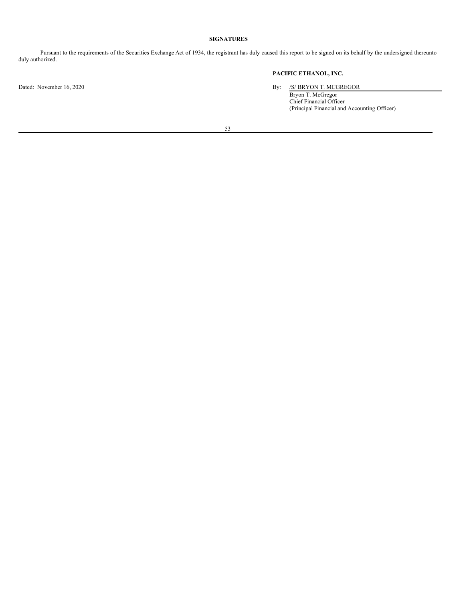# <span id="page-54-0"></span>**SIGNATURES**

Pursuant to the requirements of the Securities Exchange Act of 1934, the registrant has duly caused this report to be signed on its behalf by the undersigned thereunto duly authorized.

# **PACIFIC ETHANOL, INC.**

Dated: November 16, 2020 By: /S/ BRYON T. MCGREGOR

Bryon T. McGregor Chief Financial Officer (Principal Financial and Accounting Officer)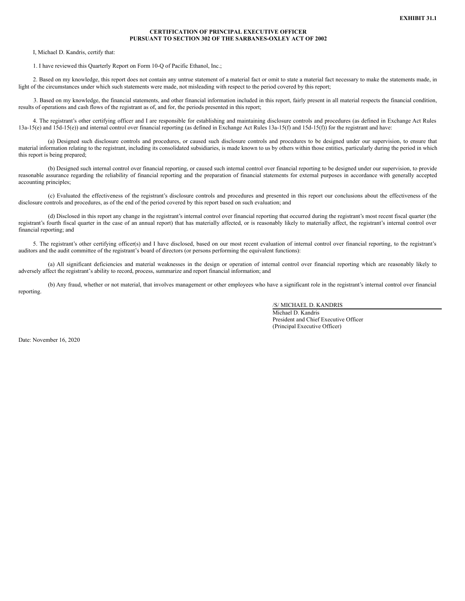## **CERTIFICATION OF PRINCIPAL EXECUTIVE OFFICER PURSUANT TO SECTION 302 OF THE SARBANES-OXLEY ACT OF 2002**

<span id="page-55-0"></span>I, Michael D. Kandris, certify that:

1. I have reviewed this Quarterly Report on Form 10-Q of Pacific Ethanol, Inc.;

2. Based on my knowledge, this report does not contain any untrue statement of a material fact or omit to state a material fact necessary to make the statements made, in light of the circumstances under which such statements were made, not misleading with respect to the period covered by this report;

3. Based on my knowledge, the financial statements, and other financial information included in this report, fairly present in all material respects the financial condition, results of operations and cash flows of the registrant as of, and for, the periods presented in this report;

4. The registrant's other certifying officer and I are responsible for establishing and maintaining disclosure controls and procedures (as defined in Exchange Act Rules 13a-15(e) and 15d-15(e)) and internal control over financial reporting (as defined in Exchange Act Rules 13a-15(f) and 15d-15(f)) for the registrant and have:

(a) Designed such disclosure controls and procedures, or caused such disclosure controls and procedures to be designed under our supervision, to ensure that material information relating to the registrant, including its consolidated subsidiaries, is made known to us by others within those entities, particularly during the period in which this report is being prepared;

(b) Designed such internal control over financial reporting, or caused such internal control over financial reporting to be designed under our supervision, to provide reasonable assurance regarding the reliability of financial reporting and the preparation of financial statements for external purposes in accordance with generally accepted accounting principles;

(c) Evaluated the effectiveness of the registrant's disclosure controls and procedures and presented in this report our conclusions about the effectiveness of the disclosure controls and procedures, as of the end of the period covered by this report based on such evaluation; and

(d) Disclosed in this report any change in the registrant's internal control over financial reporting that occurred during the registrant's most recent fiscal quarter (the registrant's fourth fiscal quarter in the case of an annual report) that has materially affected, or is reasonably likely to materially affect, the registrant's internal control over financial reporting; and

5. The registrant's other certifying officer(s) and I have disclosed, based on our most recent evaluation of internal control over financial reporting, to the registrant's auditors and the audit committee of the registrant's board of directors (or persons performing the equivalent functions):

(a) All significant deficiencies and material weaknesses in the design or operation of internal control over financial reporting which are reasonably likely to adversely affect the registrant's ability to record, process, summarize and report financial information; and

(b) Any fraud, whether or not material, that involves management or other employees who have a significant role in the registrant's internal control over financial reporting.

/S/ MICHAEL D. KANDRIS

Michael D. Kandris President and Chief Executive Officer (Principal Executive Officer)

Date: November 16, 2020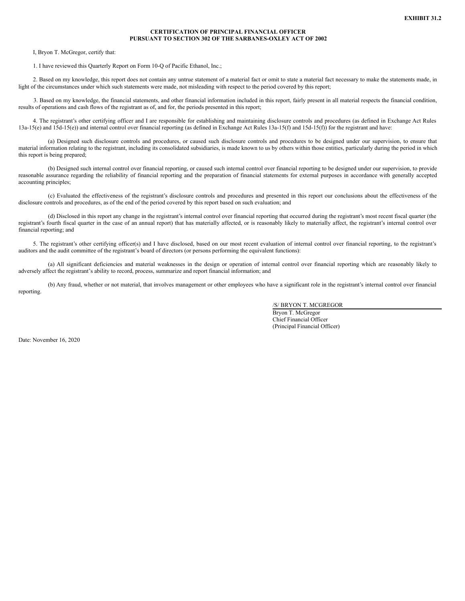## **CERTIFICATION OF PRINCIPAL FINANCIAL OFFICER PURSUANT TO SECTION 302 OF THE SARBANES-OXLEY ACT OF 2002**

<span id="page-56-0"></span>I, Bryon T. McGregor, certify that:

1. I have reviewed this Quarterly Report on Form 10-Q of Pacific Ethanol, Inc.;

2. Based on my knowledge, this report does not contain any untrue statement of a material fact or omit to state a material fact necessary to make the statements made, in light of the circumstances under which such statements were made, not misleading with respect to the period covered by this report;

3. Based on my knowledge, the financial statements, and other financial information included in this report, fairly present in all material respects the financial condition, results of operations and cash flows of the registrant as of, and for, the periods presented in this report;

4. The registrant's other certifying officer and I are responsible for establishing and maintaining disclosure controls and procedures (as defined in Exchange Act Rules 13a-15(e) and 15d-15(e)) and internal control over financial reporting (as defined in Exchange Act Rules 13a-15(f) and 15d-15(f)) for the registrant and have:

(a) Designed such disclosure controls and procedures, or caused such disclosure controls and procedures to be designed under our supervision, to ensure that material information relating to the registrant, including its consolidated subsidiaries, is made known to us by others within those entities, particularly during the period in which this report is being prepared;

(b) Designed such internal control over financial reporting, or caused such internal control over financial reporting to be designed under our supervision, to provide reasonable assurance regarding the reliability of financial reporting and the preparation of financial statements for external purposes in accordance with generally accepted accounting principles;

(c) Evaluated the effectiveness of the registrant's disclosure controls and procedures and presented in this report our conclusions about the effectiveness of the disclosure controls and procedures, as of the end of the period covered by this report based on such evaluation; and

(d) Disclosed in this report any change in the registrant's internal control over financial reporting that occurred during the registrant's most recent fiscal quarter (the registrant's fourth fiscal quarter in the case of an annual report) that has materially affected, or is reasonably likely to materially affect, the registrant's internal control over financial reporting; and

5. The registrant's other certifying officer(s) and I have disclosed, based on our most recent evaluation of internal control over financial reporting, to the registrant's auditors and the audit committee of the registrant's board of directors (or persons performing the equivalent functions):

(a) All significant deficiencies and material weaknesses in the design or operation of internal control over financial reporting which are reasonably likely to adversely affect the registrant's ability to record, process, summarize and report financial information; and

(b) Any fraud, whether or not material, that involves management or other employees who have a significant role in the registrant's internal control over financial reporting.

/S/ BRYON T. MCGREGOR

Bryon T. McGregor Chief Financial Officer (Principal Financial Officer)

Date: November 16, 2020